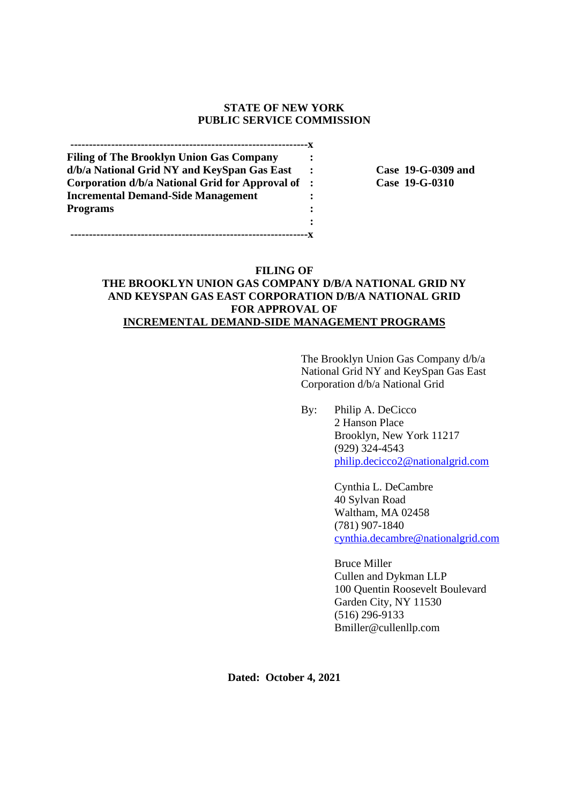## **STATE OF NEW YORK PUBLIC SERVICE COMMISSION**

**----------------------------------------------------------------x Filing of The Brooklyn Union Gas Company : d/b/a National Grid NY and KeySpan Gas East : Case 19-G-0309 and Corporation d/b/a National Grid for Approval of : Case 19-G-0310 Incremental Demand-Side Management : Programs : :**

**----------------------------------------------------------------x**

# **FILING OF THE BROOKLYN UNION GAS COMPANY D/B/A NATIONAL GRID NY AND KEYSPAN GAS EAST CORPORATION D/B/A NATIONAL GRID FOR APPROVAL OF INCREMENTAL DEMAND-SIDE MANAGEMENT PROGRAMS**

The Brooklyn Union Gas Company d/b/a National Grid NY and KeySpan Gas East Corporation d/b/a National Grid

By: Philip A. DeCicco 2 Hanson Place Brooklyn, New York 11217 (929) 324-4543 philip.decicco2@nationalgrid.com

> Cynthia L. DeCambre 40 Sylvan Road Waltham, MA 02458 (781) 907-1840 cynthia.decambre@nationalgrid.com

Bruce Miller Cullen and Dykman LLP 100 Quentin Roosevelt Boulevard Garden City, NY 11530 (516) 296-9133 Bmiller@cullenllp.com

**Dated: October 4, 2021**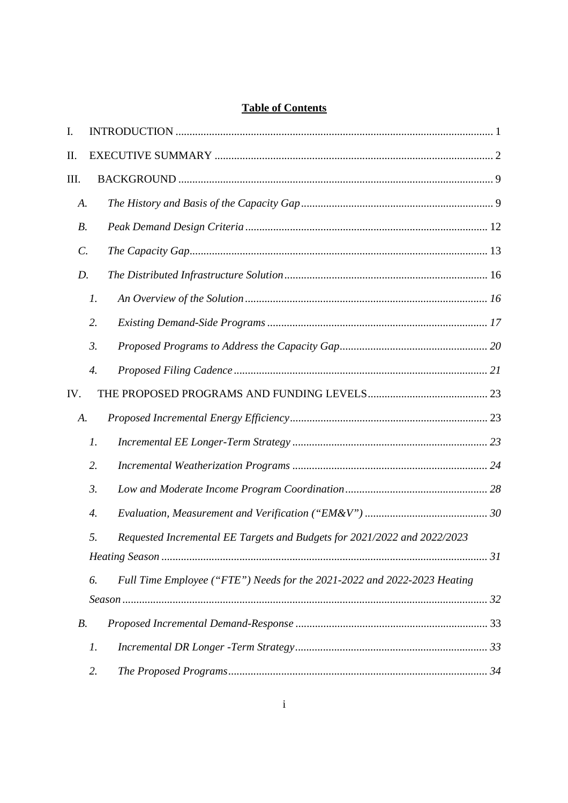# **Table of Contents**

| I.              |                    |                                                                          |  |
|-----------------|--------------------|--------------------------------------------------------------------------|--|
| Π.              |                    |                                                                          |  |
| Ш.              |                    |                                                                          |  |
| A.              |                    |                                                                          |  |
| <i>B</i> .      |                    |                                                                          |  |
| $\mathcal{C}$ . |                    |                                                                          |  |
| D.              |                    |                                                                          |  |
|                 | $\mathfrak{1}.$    |                                                                          |  |
|                 | 2.                 |                                                                          |  |
|                 | 3.                 |                                                                          |  |
|                 | $\boldsymbol{4}$ . |                                                                          |  |
| IV.             |                    |                                                                          |  |
| A.              |                    |                                                                          |  |
|                 | $\mathfrak{1}.$    |                                                                          |  |
|                 | 2.                 |                                                                          |  |
|                 | $\mathfrak{Z}$ .   |                                                                          |  |
|                 | $\boldsymbol{4}$ . |                                                                          |  |
|                 | 5.                 | Requested Incremental EE Targets and Budgets for 2021/2022 and 2022/2023 |  |
|                 |                    |                                                                          |  |
|                 | 6.                 | Full Time Employee ("FTE") Needs for the 2021-2022 and 2022-2023 Heating |  |
|                 |                    |                                                                          |  |
| $B$ .           |                    |                                                                          |  |
|                 | $\mathfrak{1}.$    |                                                                          |  |
|                 | 2.                 |                                                                          |  |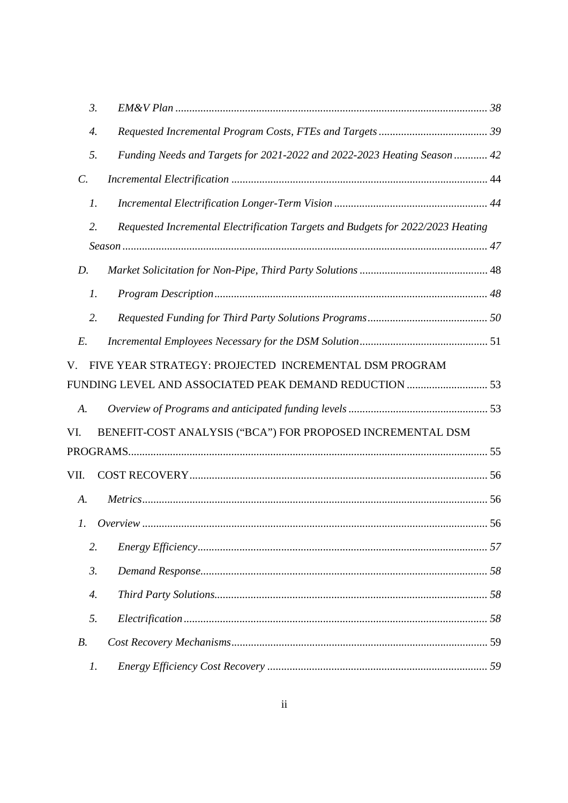| $\mathfrak{Z}$ .      |                                                                                 |  |
|-----------------------|---------------------------------------------------------------------------------|--|
| 4.                    |                                                                                 |  |
| 5.                    | Funding Needs and Targets for 2021-2022 and 2022-2023 Heating Season  42        |  |
| $\mathcal{C}$ .       |                                                                                 |  |
| 1.                    |                                                                                 |  |
| 2.                    | Requested Incremental Electrification Targets and Budgets for 2022/2023 Heating |  |
|                       |                                                                                 |  |
| D.                    |                                                                                 |  |
| $\mathfrak{1}.$       |                                                                                 |  |
| 2.                    |                                                                                 |  |
| $E$ .                 |                                                                                 |  |
| V.                    | FIVE YEAR STRATEGY: PROJECTED INCREMENTAL DSM PROGRAM                           |  |
|                       | FUNDING LEVEL AND ASSOCIATED PEAK DEMAND REDUCTION  53                          |  |
| A.                    |                                                                                 |  |
| VI.                   | BENEFIT-COST ANALYSIS ("BCA") FOR PROPOSED INCREMENTAL DSM                      |  |
|                       |                                                                                 |  |
| VII.                  |                                                                                 |  |
| A.                    |                                                                                 |  |
| 1.                    |                                                                                 |  |
| 2.                    |                                                                                 |  |
| $\mathfrak{Z}$ .      |                                                                                 |  |
| $\mathcal{A}_{\cdot}$ |                                                                                 |  |
| 5.                    |                                                                                 |  |
| $B$ .                 |                                                                                 |  |
| 1.                    |                                                                                 |  |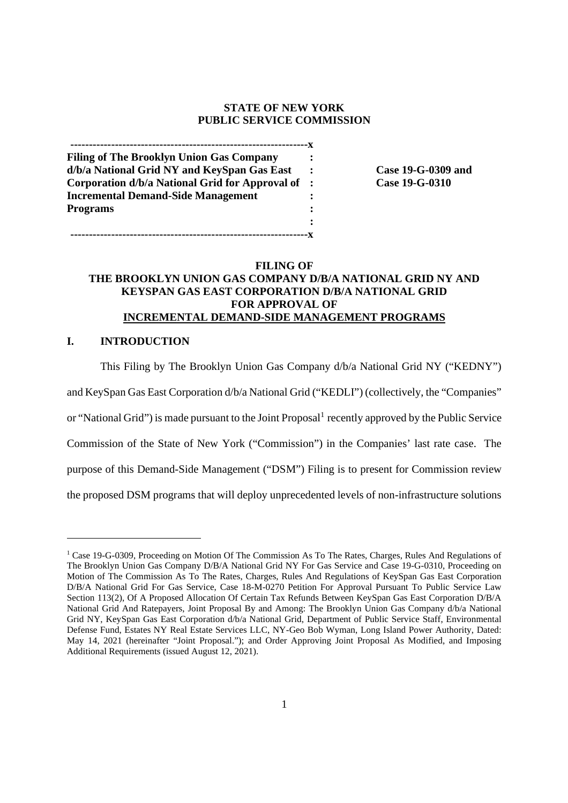#### **STATE OF NEW YORK PUBLIC SERVICE COMMISSION**

**----------------------------------------------------------------x Filing of The Brooklyn Union Gas Company : d/b/a National Grid NY and KeySpan Gas East : Case 19-G-0309 and Corporation d/b/a National Grid for Approval of : Case 19-G-0310 Incremental Demand-Side Management : Programs : :**

**----------------------------------------------------------------x**

# **FILING OF**

# **THE BROOKLYN UNION GAS COMPANY D/B/A NATIONAL GRID NY AND KEYSPAN GAS EAST CORPORATION D/B/A NATIONAL GRID FOR APPROVAL OF INCREMENTAL DEMAND-SIDE MANAGEMENT PROGRAMS**

## **I. INTRODUCTION**

This Filing by The Brooklyn Union Gas Company d/b/a National Grid NY ("KEDNY")

and KeySpan Gas East Corporation d/b/a National Grid ("KEDLI") (collectively, the "Companies"

or "National Grid") is made pursuant to the Joint Proposal<sup>1</sup> recently approved by the Public Service

Commission of the State of New York ("Commission") in the Companies' last rate case. The

purpose of this Demand-Side Management ("DSM") Filing is to present for Commission review

the proposed DSM programs that will deploy unprecedented levels of non-infrastructure solutions

<sup>&</sup>lt;sup>1</sup> Case 19-G-0309, Proceeding on Motion Of The Commission As To The Rates, Charges, Rules And Regulations of The Brooklyn Union Gas Company D/B/A National Grid NY For Gas Service and Case 19-G-0310, Proceeding on Motion of The Commission As To The Rates, Charges, Rules And Regulations of KeySpan Gas East Corporation D/B/A National Grid For Gas Service, Case 18-M-0270 Petition For Approval Pursuant To Public Service Law Section 113(2), Of A Proposed Allocation Of Certain Tax Refunds Between KeySpan Gas East Corporation D/B/A National Grid And Ratepayers, Joint Proposal By and Among: The Brooklyn Union Gas Company d/b/a National Grid NY, KeySpan Gas East Corporation d/b/a National Grid, Department of Public Service Staff, Environmental Defense Fund, Estates NY Real Estate Services LLC, NY-Geo Bob Wyman, Long Island Power Authority, Dated: May 14, 2021 (hereinafter "Joint Proposal."); and Order Approving Joint Proposal As Modified, and Imposing Additional Requirements (issued August 12, 2021).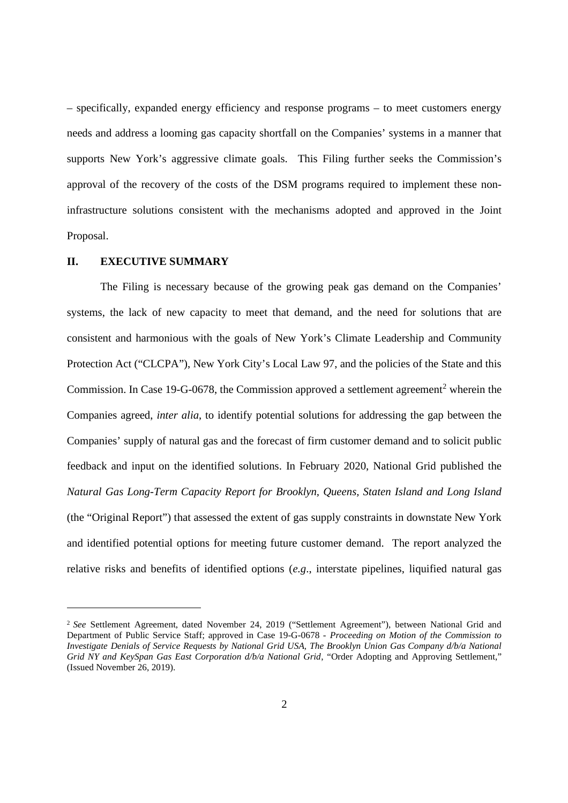– specifically, expanded energy efficiency and response programs – to meet customers energy needs and address a looming gas capacity shortfall on the Companies' systems in a manner that supports New York's aggressive climate goals. This Filing further seeks the Commission's approval of the recovery of the costs of the DSM programs required to implement these noninfrastructure solutions consistent with the mechanisms adopted and approved in the Joint Proposal.

# **II. EXECUTIVE SUMMARY**

The Filing is necessary because of the growing peak gas demand on the Companies' systems, the lack of new capacity to meet that demand, and the need for solutions that are consistent and harmonious with the goals of New York's Climate Leadership and Community Protection Act ("CLCPA"), New York City's Local Law 97, and the policies of the State and this Commission. In Case 19-G-0678, the Commission approved a settlement agreement<sup>2</sup> wherein the Companies agreed, *inter alia*, to identify potential solutions for addressing the gap between the Companies' supply of natural gas and the forecast of firm customer demand and to solicit public feedback and input on the identified solutions. In February 2020, National Grid published the *Natural Gas Long-Term Capacity Report for Brooklyn, Queens, Staten Island and Long Island* (the "Original Report") that assessed the extent of gas supply constraints in downstate New York and identified potential options for meeting future customer demand. The report analyzed the relative risks and benefits of identified options (*e.g*., interstate pipelines, liquified natural gas

<sup>&</sup>lt;sup>2</sup> See Settlement Agreement, dated November 24, 2019 ("Settlement Agreement"), between National Grid and Department of Public Service Staff; approved in Case 19-G-0678 - *Proceeding on Motion of the Commission to Investigate Denials of Service Requests by National Grid USA, The Brooklyn Union Gas Company d/b/a National Grid NY and KeySpan Gas East Corporation d/b/a National Grid*, "Order Adopting and Approving Settlement," (Issued November 26, 2019).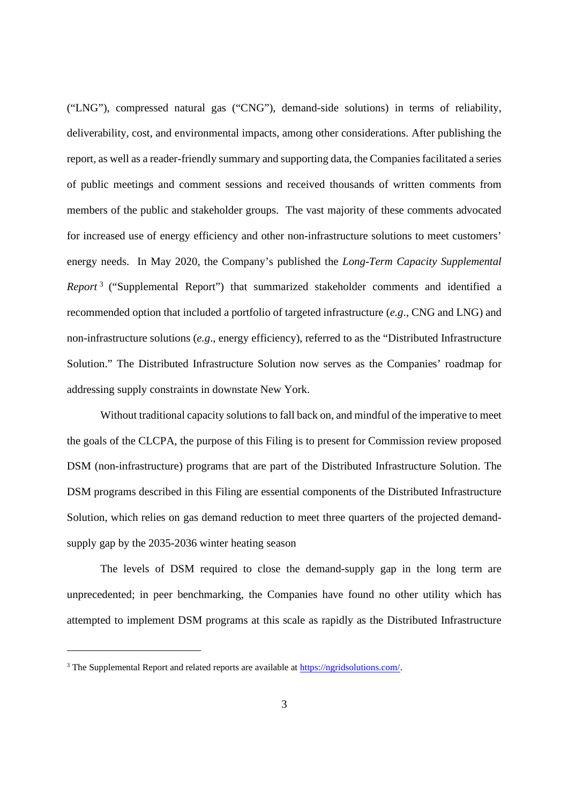("LNG"), compressed natural gas ("CNG"), demand-side solutions) in terms of reliability, deliverability, cost, and environmental impacts, among other considerations. After publishing the report, as well as a reader-friendly summary and supporting data, the Companies facilitated a series of public meetings and comment sessions and received thousands of written comments from members of the public and stakeholder groups. The vast majority of these comments advocated for increased use of energy efficiency and other non-infrastructure solutions to meet customers' energy needs. In May 2020, the Company's published the *Long-Term Capacity Supplemental Report* <sup>3</sup> ("Supplemental Report") that summarized stakeholder comments and identified a recommended option that included a portfolio of targeted infrastructure (*e.g*., CNG and LNG) and non-infrastructure solutions (*e.g*., energy efficiency), referred to as the "Distributed Infrastructure Solution." The Distributed Infrastructure Solution now serves as the Companies' roadmap for addressing supply constraints in downstate New York.

Without traditional capacity solutions to fall back on, and mindful of the imperative to meet the goals of the CLCPA, the purpose of this Filing is to present for Commission review proposed DSM (non-infrastructure) programs that are part of the Distributed Infrastructure Solution. The DSM programs described in this Filing are essential components of the Distributed Infrastructure Solution, which relies on gas demand reduction to meet three quarters of the projected demandsupply gap by the 2035-2036 winter heating season

The levels of DSM required to close the demand-supply gap in the long term are unprecedented; in peer benchmarking, the Companies have found no other utility which has attempted to implement DSM programs at this scale as rapidly as the Distributed Infrastructure

<sup>&</sup>lt;sup>3</sup> The Supplemental Report and related reports are available at https://ngridsolutions.com/.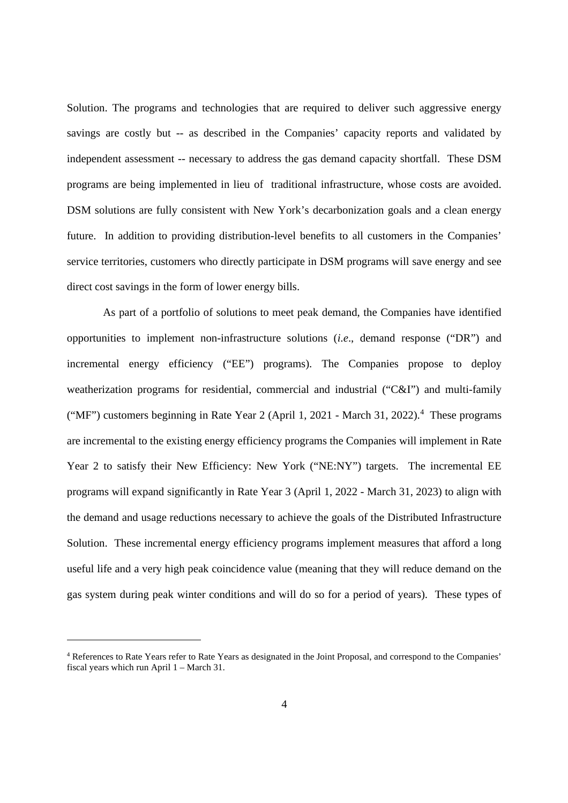Solution. The programs and technologies that are required to deliver such aggressive energy savings are costly but -- as described in the Companies' capacity reports and validated by independent assessment -- necessary to address the gas demand capacity shortfall. These DSM programs are being implemented in lieu of traditional infrastructure, whose costs are avoided. DSM solutions are fully consistent with New York's decarbonization goals and a clean energy future. In addition to providing distribution-level benefits to all customers in the Companies' service territories, customers who directly participate in DSM programs will save energy and see direct cost savings in the form of lower energy bills.

As part of a portfolio of solutions to meet peak demand, the Companies have identified opportunities to implement non-infrastructure solutions (*i.e*., demand response ("DR") and incremental energy efficiency ("EE") programs). The Companies propose to deploy weatherization programs for residential, commercial and industrial ("C&I") and multi-family ("MF") customers beginning in Rate Year 2 (April 1, 2021 - March 31, 2022).<sup>4</sup> These programs are incremental to the existing energy efficiency programs the Companies will implement in Rate Year 2 to satisfy their New Efficiency: New York ("NE:NY") targets. The incremental EE programs will expand significantly in Rate Year 3 (April 1, 2022 - March 31, 2023) to align with the demand and usage reductions necessary to achieve the goals of the Distributed Infrastructure Solution. These incremental energy efficiency programs implement measures that afford a long useful life and a very high peak coincidence value (meaning that they will reduce demand on the gas system during peak winter conditions and will do so for a period of years). These types of

<sup>4</sup> References to Rate Years refer to Rate Years as designated in the Joint Proposal, and correspond to the Companies' fiscal years which run April 1 – March 31.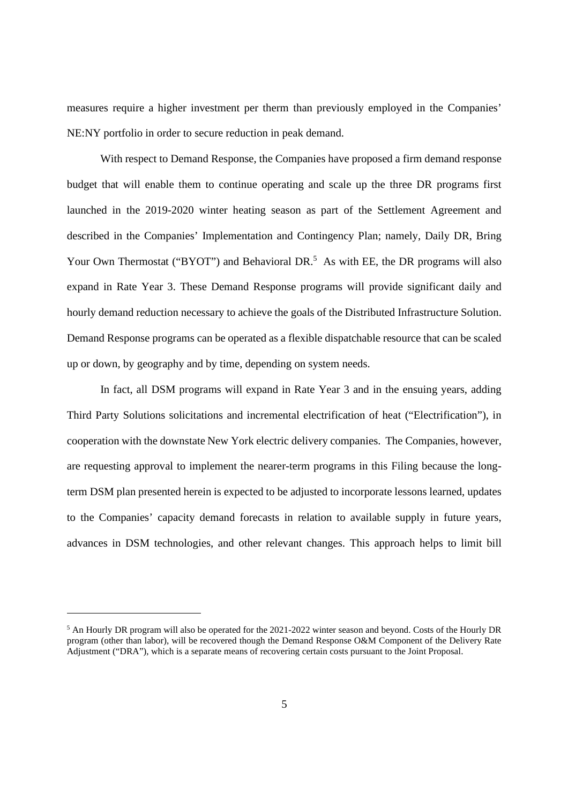measures require a higher investment per therm than previously employed in the Companies' NE:NY portfolio in order to secure reduction in peak demand.

With respect to Demand Response, the Companies have proposed a firm demand response budget that will enable them to continue operating and scale up the three DR programs first launched in the 2019-2020 winter heating season as part of the Settlement Agreement and described in the Companies' Implementation and Contingency Plan; namely, Daily DR, Bring Your Own Thermostat ("BYOT") and Behavioral DR.<sup>5</sup> As with EE, the DR programs will also expand in Rate Year 3. These Demand Response programs will provide significant daily and hourly demand reduction necessary to achieve the goals of the Distributed Infrastructure Solution. Demand Response programs can be operated as a flexible dispatchable resource that can be scaled up or down, by geography and by time, depending on system needs.

In fact, all DSM programs will expand in Rate Year 3 and in the ensuing years, adding Third Party Solutions solicitations and incremental electrification of heat ("Electrification"), in cooperation with the downstate New York electric delivery companies. The Companies, however, are requesting approval to implement the nearer-term programs in this Filing because the longterm DSM plan presented herein is expected to be adjusted to incorporate lessons learned, updates to the Companies' capacity demand forecasts in relation to available supply in future years, advances in DSM technologies, and other relevant changes. This approach helps to limit bill

<sup>5</sup> An Hourly DR program will also be operated for the 2021-2022 winter season and beyond. Costs of the Hourly DR program (other than labor), will be recovered though the Demand Response O&M Component of the Delivery Rate Adjustment ("DRA"), which is a separate means of recovering certain costs pursuant to the Joint Proposal.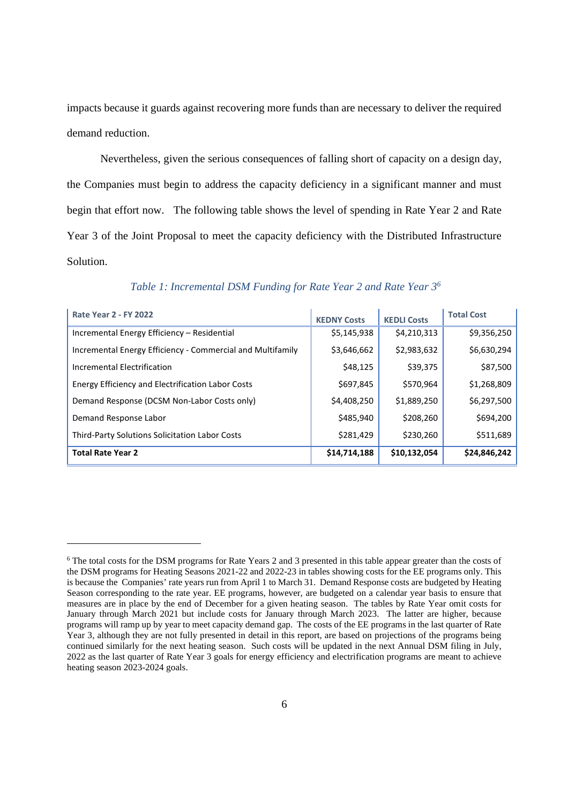impacts because it guards against recovering more funds than are necessary to deliver the required demand reduction.

Nevertheless, given the serious consequences of falling short of capacity on a design day, the Companies must begin to address the capacity deficiency in a significant manner and must begin that effort now. The following table shows the level of spending in Rate Year 2 and Rate Year 3 of the Joint Proposal to meet the capacity deficiency with the Distributed Infrastructure Solution.

| <b>Rate Year 2 - FY 2022</b>                               | <b>KEDNY Costs</b> | <b>KEDLI Costs</b> | <b>Total Cost</b> |
|------------------------------------------------------------|--------------------|--------------------|-------------------|
| Incremental Energy Efficiency - Residential                | \$5,145,938        | \$4,210,313        | \$9,356,250       |
| Incremental Energy Efficiency - Commercial and Multifamily | \$3,646,662        | \$2,983,632        | \$6,630,294       |
| Incremental Electrification                                | \$48,125           | \$39,375           | \$87,500          |
| <b>Energy Efficiency and Electrification Labor Costs</b>   | \$697,845          | \$570,964          | \$1,268,809       |
| Demand Response (DCSM Non-Labor Costs only)                | \$4,408,250        | \$1,889,250        | \$6,297,500       |
| Demand Response Labor                                      | \$485,940          | \$208,260          | \$694,200         |
| Third-Party Solutions Solicitation Labor Costs             | \$281,429          | \$230,260          | \$511,689         |
| <b>Total Rate Year 2</b>                                   | \$14,714,188       | \$10,132,054       | \$24,846,242      |

*Table 1: Incremental DSM Funding for Rate Year 2 and Rate Year 3<sup>6</sup>*

<sup>6</sup> The total costs for the DSM programs for Rate Years 2 and 3 presented in this table appear greater than the costs of the DSM programs for Heating Seasons 2021-22 and 2022-23 in tables showing costs for the EE programs only. This is because the Companies' rate years run from April 1 to March 31. Demand Response costs are budgeted by Heating Season corresponding to the rate year. EE programs, however, are budgeted on a calendar year basis to ensure that measures are in place by the end of December for a given heating season. The tables by Rate Year omit costs for January through March 2021 but include costs for January through March 2023. The latter are higher, because programs will ramp up by year to meet capacity demand gap. The costs of the EE programs in the last quarter of Rate Year 3, although they are not fully presented in detail in this report, are based on projections of the programs being continued similarly for the next heating season. Such costs will be updated in the next Annual DSM filing in July, 2022 as the last quarter of Rate Year 3 goals for energy efficiency and electrification programs are meant to achieve heating season 2023-2024 goals.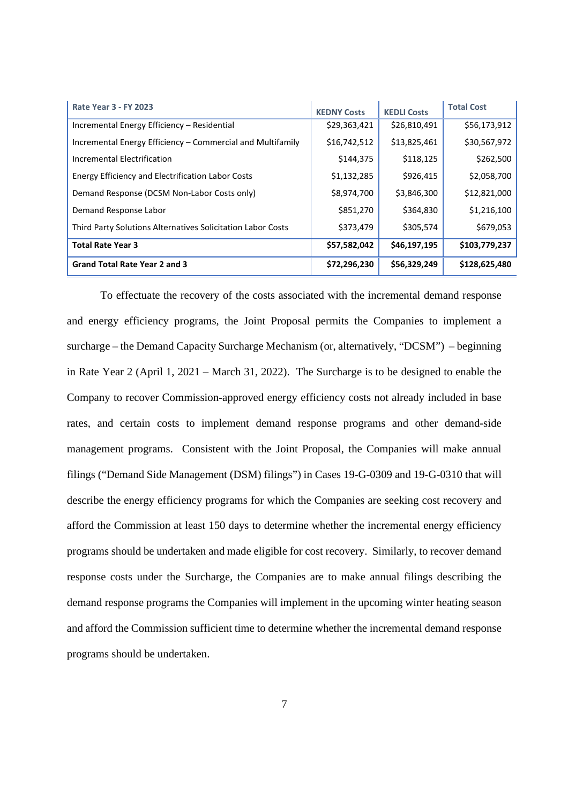| <b>Rate Year 3 - FY 2023</b>                                | <b>KEDNY Costs</b> | <b>KEDLI Costs</b> | <b>Total Cost</b> |
|-------------------------------------------------------------|--------------------|--------------------|-------------------|
| Incremental Energy Efficiency - Residential                 | \$29,363,421       | \$26,810,491       | \$56,173,912      |
| Incremental Energy Efficiency – Commercial and Multifamily  | \$16,742,512       | \$13,825,461       | \$30,567,972      |
| Incremental Electrification                                 | \$144,375          | \$118,125          | \$262,500         |
| Energy Efficiency and Electrification Labor Costs           | \$1,132,285        | \$926,415          | \$2,058,700       |
| Demand Response (DCSM Non-Labor Costs only)                 | \$8,974,700        | \$3,846,300        | \$12,821,000      |
| Demand Response Labor                                       | \$851,270          | \$364,830          | \$1,216,100       |
| Third Party Solutions Alternatives Solicitation Labor Costs | \$373,479          | \$305,574          | \$679,053         |
| <b>Total Rate Year 3</b>                                    | \$57,582,042       | \$46,197,195       | \$103,779,237     |
| Grand Total Rate Year 2 and 3                               | \$72,296,230       | \$56,329,249       | \$128,625,480     |

To effectuate the recovery of the costs associated with the incremental demand response and energy efficiency programs, the Joint Proposal permits the Companies to implement a surcharge – the Demand Capacity Surcharge Mechanism (or, alternatively, "DCSM") – beginning in Rate Year 2 (April 1, 2021 – March 31, 2022). The Surcharge is to be designed to enable the Company to recover Commission-approved energy efficiency costs not already included in base rates, and certain costs to implement demand response programs and other demand-side management programs. Consistent with the Joint Proposal, the Companies will make annual filings ("Demand Side Management (DSM) filings") in Cases 19-G-0309 and 19-G-0310 that will describe the energy efficiency programs for which the Companies are seeking cost recovery and afford the Commission at least 150 days to determine whether the incremental energy efficiency programs should be undertaken and made eligible for cost recovery. Similarly, to recover demand response costs under the Surcharge, the Companies are to make annual filings describing the demand response programs the Companies will implement in the upcoming winter heating season and afford the Commission sufficient time to determine whether the incremental demand response programs should be undertaken.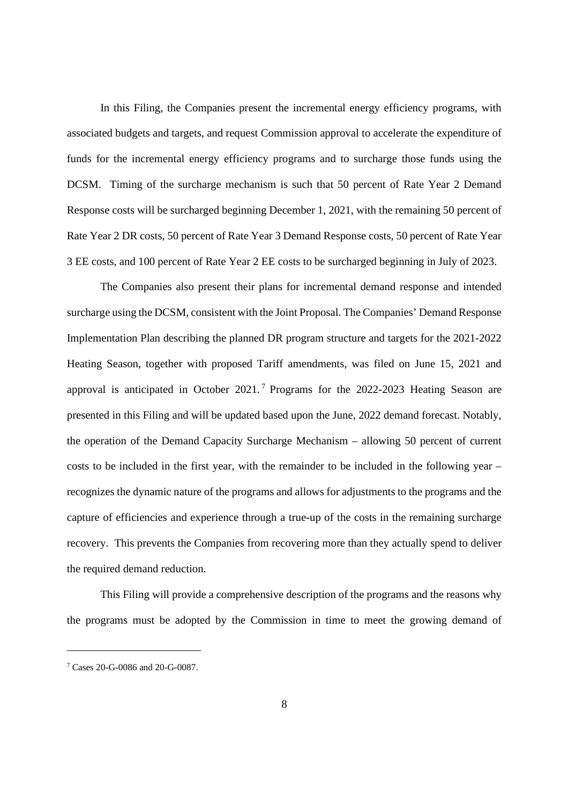In this Filing, the Companies present the incremental energy efficiency programs, with associated budgets and targets, and request Commission approval to accelerate the expenditure of funds for the incremental energy efficiency programs and to surcharge those funds using the DCSM. Timing of the surcharge mechanism is such that 50 percent of Rate Year 2 Demand Response costs will be surcharged beginning December 1, 2021, with the remaining 50 percent of Rate Year 2 DR costs, 50 percent of Rate Year 3 Demand Response costs, 50 percent of Rate Year 3 EE costs, and 100 percent of Rate Year 2 EE costs to be surcharged beginning in July of 2023.

The Companies also present their plans for incremental demand response and intended surcharge using the DCSM, consistent with the Joint Proposal. The Companies' Demand Response Implementation Plan describing the planned DR program structure and targets for the 2021-2022 Heating Season, together with proposed Tariff amendments, was filed on June 15, 2021 and approval is anticipated in October 2021.<sup>7</sup> Programs for the 2022-2023 Heating Season are presented in this Filing and will be updated based upon the June, 2022 demand forecast. Notably, the operation of the Demand Capacity Surcharge Mechanism – allowing 50 percent of current costs to be included in the first year, with the remainder to be included in the following year – recognizes the dynamic nature of the programs and allows for adjustments to the programs and the capture of efficiencies and experience through a true-up of the costs in the remaining surcharge recovery. This prevents the Companies from recovering more than they actually spend to deliver the required demand reduction.

This Filing will provide a comprehensive description of the programs and the reasons why the programs must be adopted by the Commission in time to meet the growing demand of

<sup>7</sup> Cases 20-G-0086 and 20-G-0087.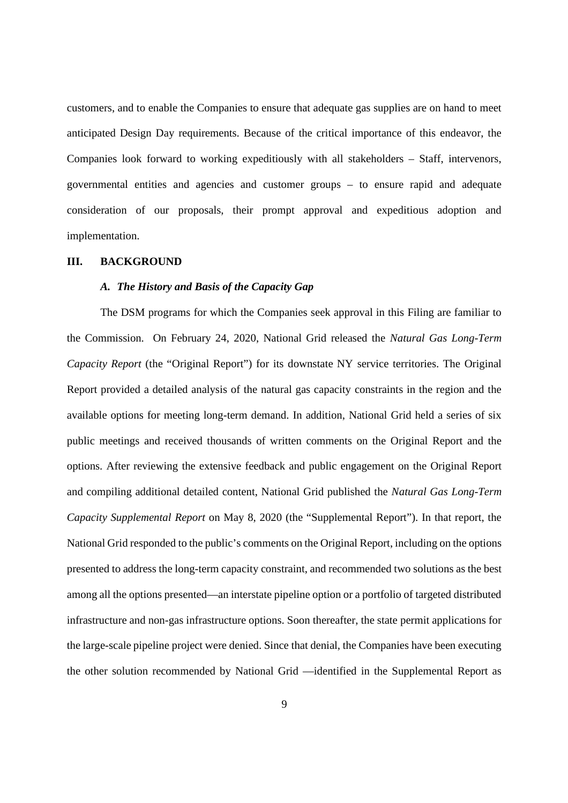customers, and to enable the Companies to ensure that adequate gas supplies are on hand to meet anticipated Design Day requirements. Because of the critical importance of this endeavor, the Companies look forward to working expeditiously with all stakeholders – Staff, intervenors, governmental entities and agencies and customer groups – to ensure rapid and adequate consideration of our proposals, their prompt approval and expeditious adoption and implementation.

#### **III. BACKGROUND**

## *A. The History and Basis of the Capacity Gap*

The DSM programs for which the Companies seek approval in this Filing are familiar to the Commission. On February 24, 2020, National Grid released the *Natural Gas Long-Term Capacity Report* (the "Original Report") for its downstate NY service territories. The Original Report provided a detailed analysis of the natural gas capacity constraints in the region and the available options for meeting long-term demand. In addition, National Grid held a series of six public meetings and received thousands of written comments on the Original Report and the options. After reviewing the extensive feedback and public engagement on the Original Report and compiling additional detailed content, National Grid published the *Natural Gas Long-Term Capacity Supplemental Report* on May 8, 2020 (the "Supplemental Report"). In that report, the National Grid responded to the public's comments on the Original Report, including on the options presented to address the long-term capacity constraint, and recommended two solutions as the best among all the options presented—an interstate pipeline option or a portfolio of targeted distributed infrastructure and non-gas infrastructure options. Soon thereafter, the state permit applications for the large-scale pipeline project were denied. Since that denial, the Companies have been executing the other solution recommended by National Grid —identified in the Supplemental Report as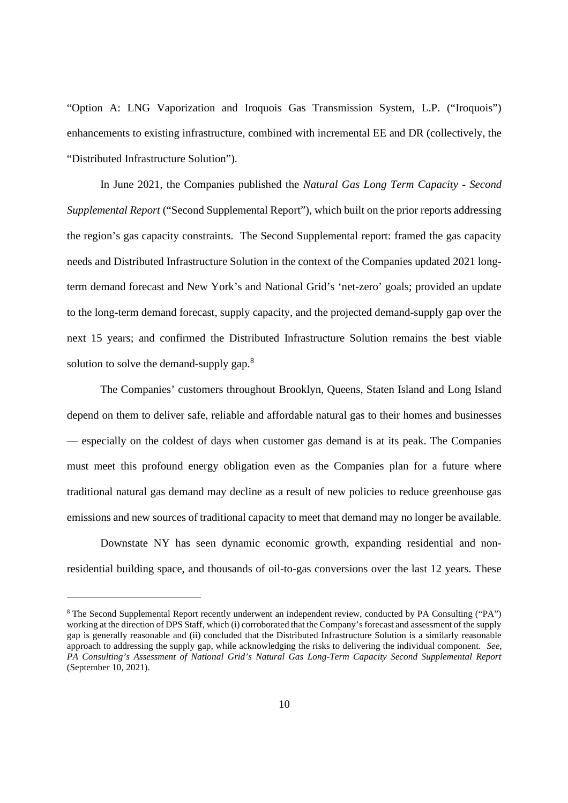"Option A: LNG Vaporization and Iroquois Gas Transmission System, L.P. ("Iroquois") enhancements to existing infrastructure, combined with incremental EE and DR (collectively, the "Distributed Infrastructure Solution").

In June 2021, the Companies published the *Natural Gas Long Term Capacity* - *Second Supplemental Report* ("Second Supplemental Report"), which built on the prior reports addressing the region's gas capacity constraints. The Second Supplemental report: framed the gas capacity needs and Distributed Infrastructure Solution in the context of the Companies updated 2021 longterm demand forecast and New York's and National Grid's 'net-zero' goals; provided an update to the long-term demand forecast, supply capacity, and the projected demand-supply gap over the next 15 years; and confirmed the Distributed Infrastructure Solution remains the best viable solution to solve the demand-supply gap.<sup>8</sup>

The Companies' customers throughout Brooklyn, Queens, Staten Island and Long Island depend on them to deliver safe, reliable and affordable natural gas to their homes and businesses — especially on the coldest of days when customer gas demand is at its peak. The Companies must meet this profound energy obligation even as the Companies plan for a future where traditional natural gas demand may decline as a result of new policies to reduce greenhouse gas emissions and new sources of traditional capacity to meet that demand may no longer be available.

Downstate NY has seen dynamic economic growth, expanding residential and nonresidential building space, and thousands of oil-to-gas conversions over the last 12 years. These

<sup>8</sup> The Second Supplemental Report recently underwent an independent review, conducted by PA Consulting ("PA") working at the direction of DPS Staff, which (i) corroborated that the Company's forecast and assessment of the supply gap is generally reasonable and (ii) concluded that the Distributed Infrastructure Solution is a similarly reasonable approach to addressing the supply gap, while acknowledging the risks to delivering the individual component. *See*, *PA Consulting's Assessment of National Grid's Natural Gas Long-Term Capacity Second Supplemental Report* (September 10, 2021).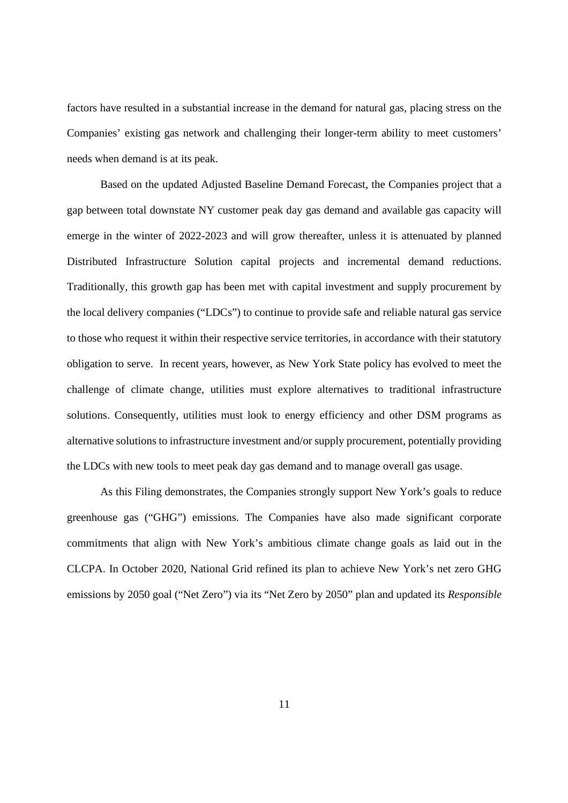factors have resulted in a substantial increase in the demand for natural gas, placing stress on the Companies' existing gas network and challenging their longer-term ability to meet customers' needs when demand is at its peak.

Based on the updated Adjusted Baseline Demand Forecast, the Companies project that a gap between total downstate NY customer peak day gas demand and available gas capacity will emerge in the winter of 2022-2023 and will grow thereafter, unless it is attenuated by planned Distributed Infrastructure Solution capital projects and incremental demand reductions. Traditionally, this growth gap has been met with capital investment and supply procurement by the local delivery companies ("LDCs") to continue to provide safe and reliable natural gas service to those who request it within their respective service territories, in accordance with their statutory obligation to serve. In recent years, however, as New York State policy has evolved to meet the challenge of climate change, utilities must explore alternatives to traditional infrastructure solutions. Consequently, utilities must look to energy efficiency and other DSM programs as alternative solutions to infrastructure investment and/or supply procurement, potentially providing the LDCs with new tools to meet peak day gas demand and to manage overall gas usage.

As this Filing demonstrates, the Companies strongly support New York's goals to reduce greenhouse gas ("GHG") emissions. The Companies have also made significant corporate commitments that align with New York's ambitious climate change goals as laid out in the CLCPA. In October 2020, National Grid refined its plan to achieve New York's net zero GHG emissions by 2050 goal ("Net Zero") via its "Net Zero by 2050" plan and updated its *Responsible*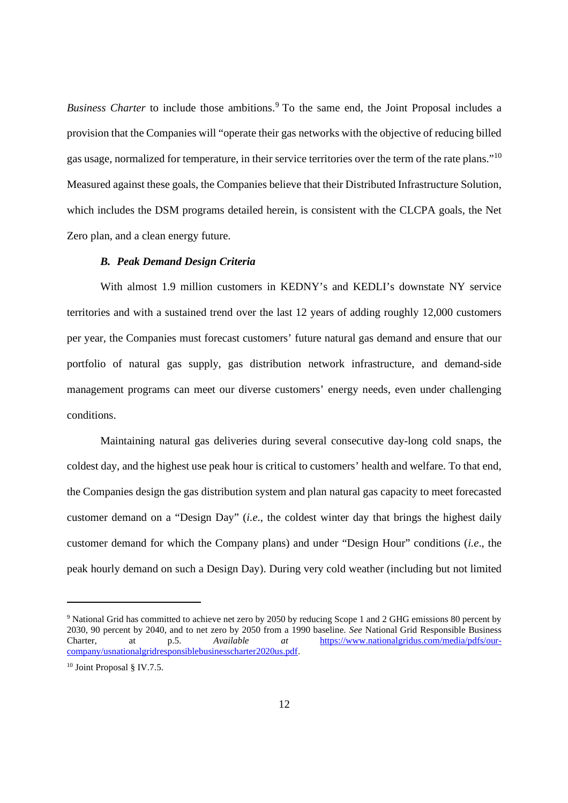*Business Charter* to include those ambitions.<sup>9</sup> To the same end, the Joint Proposal includes a provision that the Companies will "operate their gas networks with the objective of reducing billed gas usage, normalized for temperature, in their service territories over the term of the rate plans."<sup>10</sup> Measured against these goals, the Companies believe that their Distributed Infrastructure Solution, which includes the DSM programs detailed herein, is consistent with the CLCPA goals, the Net Zero plan, and a clean energy future.

#### *B. Peak Demand Design Criteria*

With almost 1.9 million customers in KEDNY's and KEDLI's downstate NY service territories and with a sustained trend over the last 12 years of adding roughly 12,000 customers per year, the Companies must forecast customers' future natural gas demand and ensure that our portfolio of natural gas supply, gas distribution network infrastructure, and demand-side management programs can meet our diverse customers' energy needs, even under challenging conditions.

Maintaining natural gas deliveries during several consecutive day-long cold snaps, the coldest day, and the highest use peak hour is critical to customers' health and welfare. To that end, the Companies design the gas distribution system and plan natural gas capacity to meet forecasted customer demand on a "Design Day" (*i.e*., the coldest winter day that brings the highest daily customer demand for which the Company plans) and under "Design Hour" conditions (*i.e*., the peak hourly demand on such a Design Day). During very cold weather (including but not limited

<sup>&</sup>lt;sup>9</sup> National Grid has committed to achieve net zero by 2050 by reducing Scope 1 and 2 GHG emissions 80 percent by 2030, 90 percent by 2040, and to net zero by 2050 from a 1990 baseline. *See* National Grid Responsible Business Charter, at p.5. *Available at* https://www.nationalgridus.com/media/pdfs/ourcompany/usnationalgridresponsiblebusinesscharter2020us.pdf.

<sup>10</sup> Joint Proposal § IV.7.5.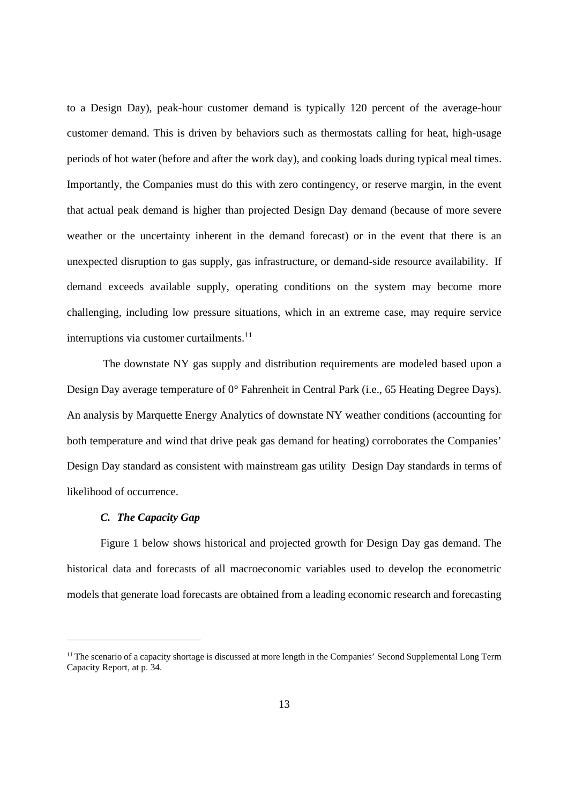to a Design Day), peak-hour customer demand is typically 120 percent of the average-hour customer demand. This is driven by behaviors such as thermostats calling for heat, high-usage periods of hot water (before and after the work day), and cooking loads during typical meal times. Importantly, the Companies must do this with zero contingency, or reserve margin, in the event that actual peak demand is higher than projected Design Day demand (because of more severe weather or the uncertainty inherent in the demand forecast) or in the event that there is an unexpected disruption to gas supply, gas infrastructure, or demand-side resource availability. If demand exceeds available supply, operating conditions on the system may become more challenging, including low pressure situations, which in an extreme case, may require service interruptions via customer curtailments.<sup>11</sup>

The downstate NY gas supply and distribution requirements are modeled based upon a Design Day average temperature of 0° Fahrenheit in Central Park (i.e., 65 Heating Degree Days). An analysis by Marquette Energy Analytics of downstate NY weather conditions (accounting for both temperature and wind that drive peak gas demand for heating) corroborates the Companies' Design Day standard as consistent with mainstream gas utility Design Day standards in terms of likelihood of occurrence.

#### *C. The Capacity Gap*

Figure 1 below shows historical and projected growth for Design Day gas demand. The historical data and forecasts of all macroeconomic variables used to develop the econometric models that generate load forecasts are obtained from a leading economic research and forecasting

<sup>&</sup>lt;sup>11</sup> The scenario of a capacity shortage is discussed at more length in the Companies' Second Supplemental Long Term Capacity Report, at p. 34.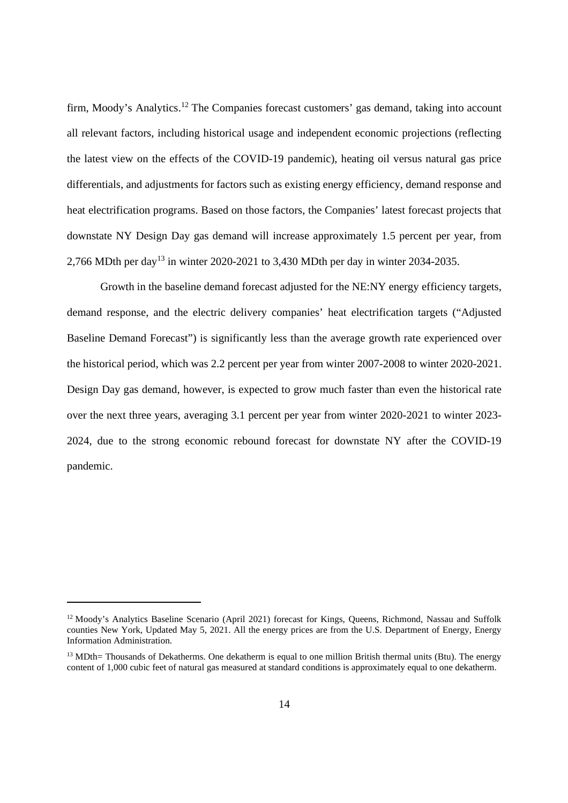firm, Moody's Analytics.<sup>12</sup> The Companies forecast customers' gas demand, taking into account all relevant factors, including historical usage and independent economic projections (reflecting the latest view on the effects of the COVID-19 pandemic), heating oil versus natural gas price differentials, and adjustments for factors such as existing energy efficiency, demand response and heat electrification programs. Based on those factors, the Companies' latest forecast projects that downstate NY Design Day gas demand will increase approximately 1.5 percent per year, from 2,766 MDth per day<sup>13</sup> in winter 2020-2021 to 3,430 MDth per day in winter 2034-2035.

Growth in the baseline demand forecast adjusted for the NE:NY energy efficiency targets, demand response, and the electric delivery companies' heat electrification targets ("Adjusted Baseline Demand Forecast") is significantly less than the average growth rate experienced over the historical period, which was 2.2 percent per year from winter 2007-2008 to winter 2020-2021. Design Day gas demand, however, is expected to grow much faster than even the historical rate over the next three years, averaging 3.1 percent per year from winter 2020-2021 to winter 2023- 2024, due to the strong economic rebound forecast for downstate NY after the COVID-19 pandemic.

<sup>&</sup>lt;sup>12</sup> Moody's Analytics Baseline Scenario (April 2021) forecast for Kings, Queens, Richmond, Nassau and Suffolk counties New York, Updated May 5, 2021. All the energy prices are from the U.S. Department of Energy, Energy Information Administration.

<sup>&</sup>lt;sup>13</sup> MDth= Thousands of Dekatherms. One dekatherm is equal to one million British thermal units (Btu). The energy content of 1,000 cubic feet of natural gas measured at standard conditions is approximately equal to one dekatherm.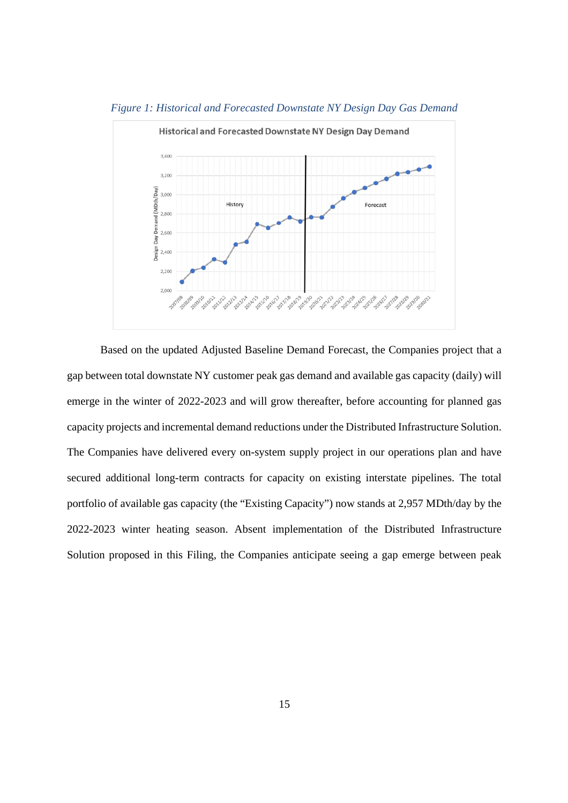

*Figure 1: Historical and Forecasted Downstate NY Design Day Gas Demand*

Based on the updated Adjusted Baseline Demand Forecast, the Companies project that a gap between total downstate NY customer peak gas demand and available gas capacity (daily) will emerge in the winter of 2022-2023 and will grow thereafter, before accounting for planned gas capacity projects and incremental demand reductions under the Distributed Infrastructure Solution. The Companies have delivered every on-system supply project in our operations plan and have secured additional long-term contracts for capacity on existing interstate pipelines. The total portfolio of available gas capacity (the "Existing Capacity") now stands at 2,957 MDth/day by the 2022-2023 winter heating season. Absent implementation of the Distributed Infrastructure Solution proposed in this Filing, the Companies anticipate seeing a gap emerge between peak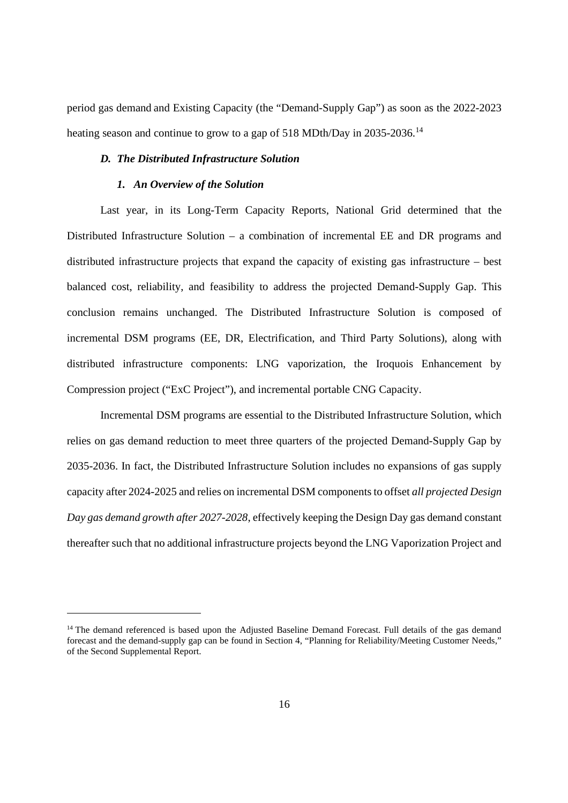period gas demand and Existing Capacity (the "Demand-Supply Gap") as soon as the 2022-2023 heating season and continue to grow to a gap of 518 MDth/Day in 2035-2036.<sup>14</sup>

#### *D. The Distributed Infrastructure Solution*

#### *1. An Overview of the Solution*

Last year, in its Long-Term Capacity Reports, National Grid determined that the Distributed Infrastructure Solution – a combination of incremental EE and DR programs and distributed infrastructure projects that expand the capacity of existing gas infrastructure – best balanced cost, reliability, and feasibility to address the projected Demand-Supply Gap. This conclusion remains unchanged. The Distributed Infrastructure Solution is composed of incremental DSM programs (EE, DR, Electrification, and Third Party Solutions), along with distributed infrastructure components: LNG vaporization, the Iroquois Enhancement by Compression project ("ExC Project"), and incremental portable CNG Capacity.

Incremental DSM programs are essential to the Distributed Infrastructure Solution, which relies on gas demand reduction to meet three quarters of the projected Demand-Supply Gap by 2035-2036. In fact, the Distributed Infrastructure Solution includes no expansions of gas supply capacity after 2024-2025 and relies on incremental DSM components to offset *all projected Design Day gas demand growth after 2027-2028*, effectively keeping the Design Day gas demand constant thereafter such that no additional infrastructure projects beyond the LNG Vaporization Project and

<sup>&</sup>lt;sup>14</sup> The demand referenced is based upon the Adjusted Baseline Demand Forecast. Full details of the gas demand forecast and the demand-supply gap can be found in Section 4, "Planning for Reliability/Meeting Customer Needs," of the Second Supplemental Report.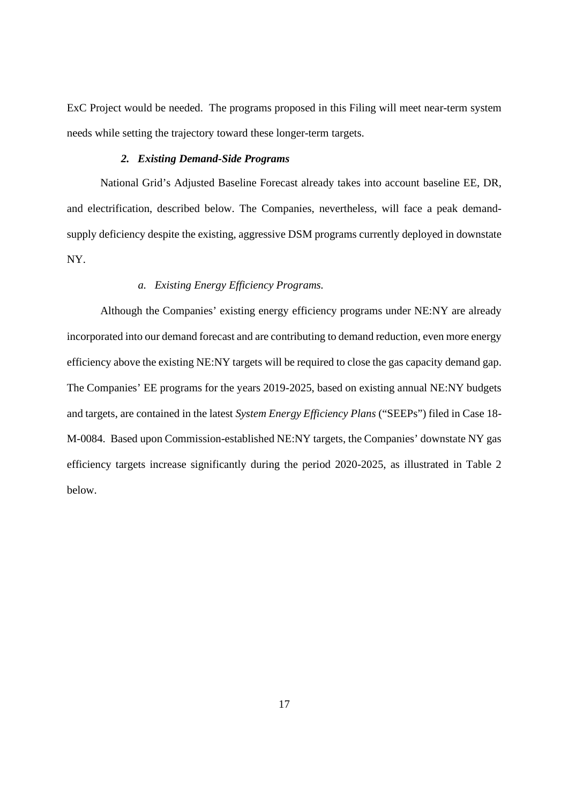ExC Project would be needed. The programs proposed in this Filing will meet near-term system needs while setting the trajectory toward these longer-term targets.

#### *2. Existing Demand-Side Programs*

National Grid's Adjusted Baseline Forecast already takes into account baseline EE, DR, and electrification, described below. The Companies, nevertheless, will face a peak demandsupply deficiency despite the existing, aggressive DSM programs currently deployed in downstate NY.

## *a. Existing Energy Efficiency Programs.*

Although the Companies' existing energy efficiency programs under NE:NY are already incorporated into our demand forecast and are contributing to demand reduction, even more energy efficiency above the existing NE:NY targets will be required to close the gas capacity demand gap. The Companies' EE programs for the years 2019-2025, based on existing annual NE:NY budgets and targets, are contained in the latest *System Energy Efficiency Plans* ("SEEPs") filed in Case 18- M-0084. Based upon Commission-established NE:NY targets, the Companies' downstate NY gas efficiency targets increase significantly during the period 2020-2025, as illustrated in Table 2 below.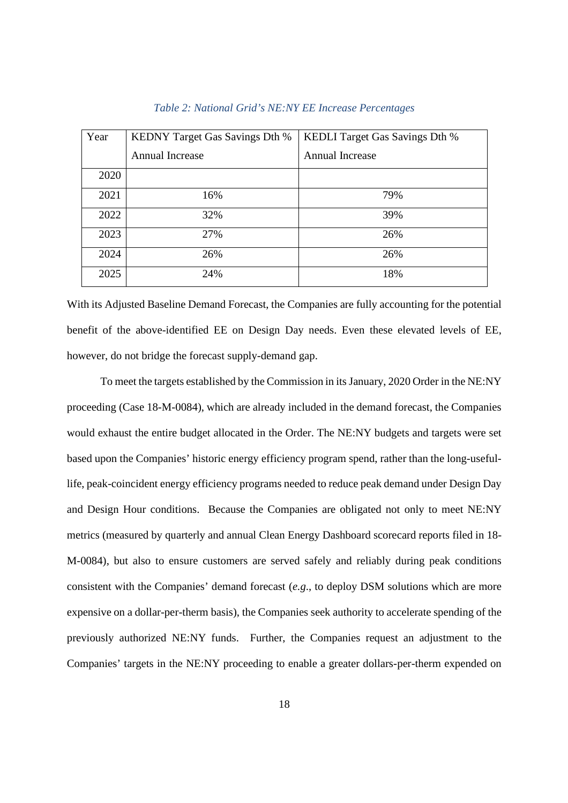| Year | <b>KEDNY Target Gas Savings Dth %</b> | <b>KEDLI</b> Target Gas Savings Dth % |
|------|---------------------------------------|---------------------------------------|
|      | Annual Increase                       | <b>Annual Increase</b>                |
| 2020 |                                       |                                       |
| 2021 | 16%                                   | 79%                                   |
| 2022 | 32%                                   | 39%                                   |
| 2023 | 27%                                   | 26%                                   |
| 2024 | 26%                                   | 26%                                   |
| 2025 | 24%                                   | 18%                                   |

#### *Table 2: National Grid's NE:NY EE Increase Percentages*

With its Adjusted Baseline Demand Forecast, the Companies are fully accounting for the potential benefit of the above-identified EE on Design Day needs. Even these elevated levels of EE, however, do not bridge the forecast supply-demand gap.

To meet the targets established by the Commission in its January, 2020 Order in the NE:NY proceeding (Case 18-M-0084), which are already included in the demand forecast, the Companies would exhaust the entire budget allocated in the Order. The NE:NY budgets and targets were set based upon the Companies' historic energy efficiency program spend, rather than the long-usefullife, peak-coincident energy efficiency programs needed to reduce peak demand under Design Day and Design Hour conditions. Because the Companies are obligated not only to meet NE:NY metrics (measured by quarterly and annual Clean Energy Dashboard scorecard reports filed in 18- M-0084), but also to ensure customers are served safely and reliably during peak conditions consistent with the Companies' demand forecast (*e.g*., to deploy DSM solutions which are more expensive on a dollar-per-therm basis), the Companies seek authority to accelerate spending of the previously authorized NE:NY funds. Further, the Companies request an adjustment to the Companies' targets in the NE:NY proceeding to enable a greater dollars-per-therm expended on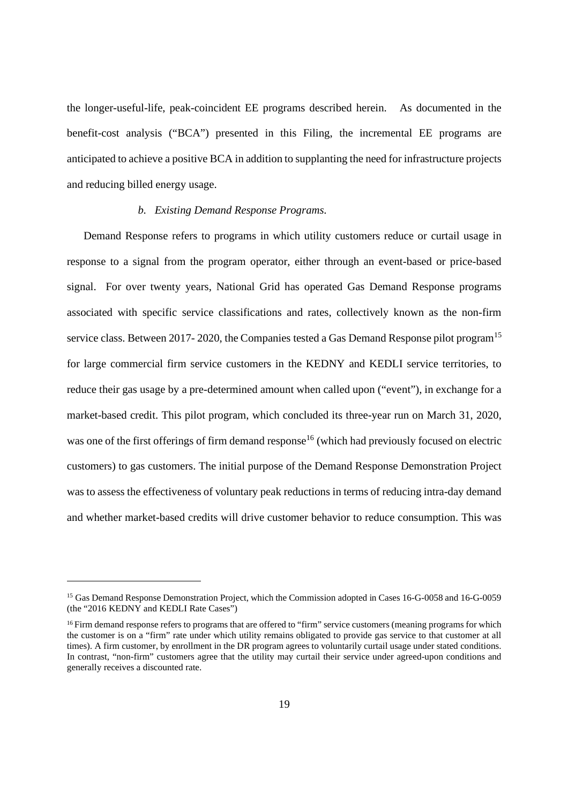the longer-useful-life, peak-coincident EE programs described herein. As documented in the benefit-cost analysis ("BCA") presented in this Filing, the incremental EE programs are anticipated to achieve a positive BCA in addition to supplanting the need for infrastructure projects and reducing billed energy usage.

## *b. Existing Demand Response Programs.*

Demand Response refers to programs in which utility customers reduce or curtail usage in response to a signal from the program operator, either through an event-based or price-based signal. For over twenty years, National Grid has operated Gas Demand Response programs associated with specific service classifications and rates, collectively known as the non-firm service class. Between 2017- 2020, the Companies tested a Gas Demand Response pilot program<sup>15</sup> for large commercial firm service customers in the KEDNY and KEDLI service territories, to reduce their gas usage by a pre-determined amount when called upon ("event"), in exchange for a market-based credit. This pilot program, which concluded its three-year run on March 31, 2020, was one of the first offerings of firm demand response<sup>16</sup> (which had previously focused on electric customers) to gas customers. The initial purpose of the Demand Response Demonstration Project was to assess the effectiveness of voluntary peak reductions in terms of reducing intra-day demand and whether market-based credits will drive customer behavior to reduce consumption. This was

<sup>&</sup>lt;sup>15</sup> Gas Demand Response Demonstration Project, which the Commission adopted in Cases 16-G-0058 and 16-G-0059 (the "2016 KEDNY and KEDLI Rate Cases")

<sup>&</sup>lt;sup>16</sup> Firm demand response refers to programs that are offered to "firm" service customers (meaning programs for which the customer is on a "firm" rate under which utility remains obligated to provide gas service to that customer at all times). A firm customer, by enrollment in the DR program agrees to voluntarily curtail usage under stated conditions. In contrast, "non-firm" customers agree that the utility may curtail their service under agreed-upon conditions and generally receives a discounted rate.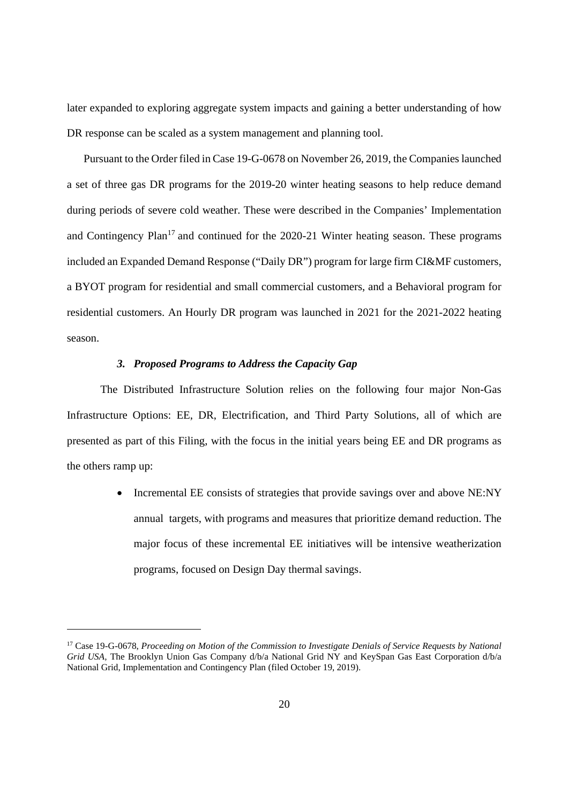later expanded to exploring aggregate system impacts and gaining a better understanding of how DR response can be scaled as a system management and planning tool.

Pursuant to the Order filed in Case 19-G-0678 on November 26, 2019, the Companies launched a set of three gas DR programs for the 2019-20 winter heating seasons to help reduce demand during periods of severe cold weather. These were described in the Companies' Implementation and Contingency Plan<sup>17</sup> and continued for the  $2020-21$  Winter heating season. These programs included an Expanded Demand Response ("Daily DR") program for large firm CI&MF customers, a BYOT program for residential and small commercial customers, and a Behavioral program for residential customers. An Hourly DR program was launched in 2021 for the 2021-2022 heating season.

## *3. Proposed Programs to Address the Capacity Gap*

The Distributed Infrastructure Solution relies on the following four major Non-Gas Infrastructure Options: EE, DR, Electrification, and Third Party Solutions, all of which are presented as part of this Filing, with the focus in the initial years being EE and DR programs as the others ramp up:

> • Incremental EE consists of strategies that provide savings over and above NE:NY annual targets, with programs and measures that prioritize demand reduction. The major focus of these incremental EE initiatives will be intensive weatherization programs, focused on Design Day thermal savings.

<sup>17</sup> Case 19-G-0678, *Proceeding on Motion of the Commission to Investigate Denials of Service Requests by National Grid USA,* The Brooklyn Union Gas Company d/b/a National Grid NY and KeySpan Gas East Corporation d/b/a National Grid, Implementation and Contingency Plan (filed October 19, 2019).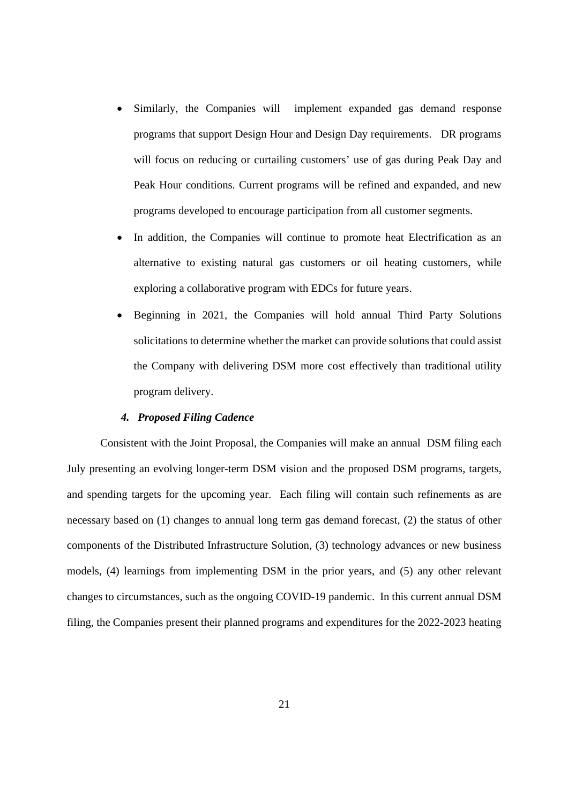- Similarly, the Companies will implement expanded gas demand response programs that support Design Hour and Design Day requirements. DR programs will focus on reducing or curtailing customers' use of gas during Peak Day and Peak Hour conditions. Current programs will be refined and expanded, and new programs developed to encourage participation from all customer segments.
- In addition, the Companies will continue to promote heat Electrification as an alternative to existing natural gas customers or oil heating customers, while exploring a collaborative program with EDCs for future years.
- Beginning in 2021, the Companies will hold annual Third Party Solutions solicitations to determine whether the market can provide solutions that could assist the Company with delivering DSM more cost effectively than traditional utility program delivery.

#### *4. Proposed Filing Cadence*

Consistent with the Joint Proposal, the Companies will make an annual DSM filing each July presenting an evolving longer-term DSM vision and the proposed DSM programs, targets, and spending targets for the upcoming year. Each filing will contain such refinements as are necessary based on (1) changes to annual long term gas demand forecast, (2) the status of other components of the Distributed Infrastructure Solution, (3) technology advances or new business models, (4) learnings from implementing DSM in the prior years, and (5) any other relevant changes to circumstances, such as the ongoing COVID-19 pandemic. In this current annual DSM filing, the Companies present their planned programs and expenditures for the 2022-2023 heating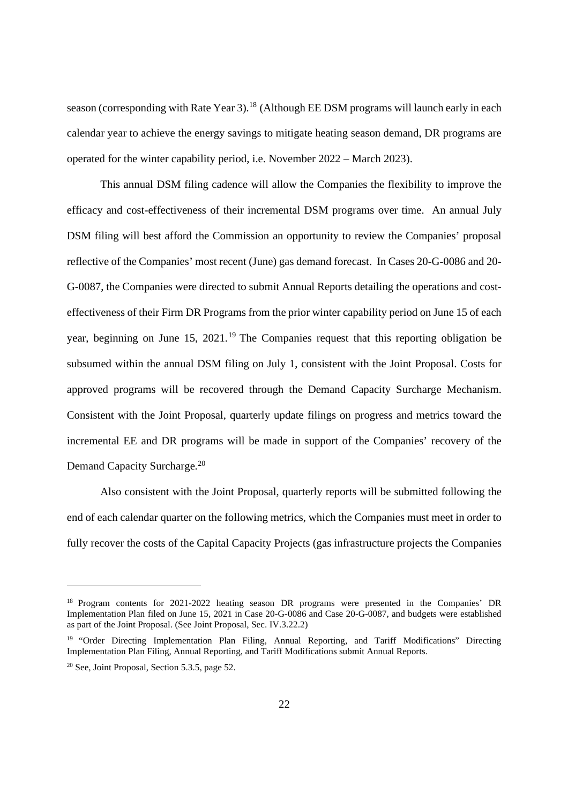season (corresponding with Rate Year 3).<sup>18</sup> (Although EE DSM programs will launch early in each calendar year to achieve the energy savings to mitigate heating season demand, DR programs are operated for the winter capability period, i.e. November 2022 – March 2023).

This annual DSM filing cadence will allow the Companies the flexibility to improve the efficacy and cost-effectiveness of their incremental DSM programs over time. An annual July DSM filing will best afford the Commission an opportunity to review the Companies' proposal reflective of the Companies' most recent (June) gas demand forecast. In Cases 20-G-0086 and 20- G-0087, the Companies were directed to submit Annual Reports detailing the operations and costeffectiveness of their Firm DR Programs from the prior winter capability period on June 15 of each year, beginning on June 15, 2021.<sup>19</sup> The Companies request that this reporting obligation be subsumed within the annual DSM filing on July 1, consistent with the Joint Proposal. Costs for approved programs will be recovered through the Demand Capacity Surcharge Mechanism. Consistent with the Joint Proposal, quarterly update filings on progress and metrics toward the incremental EE and DR programs will be made in support of the Companies' recovery of the Demand Capacity Surcharge.<sup>20</sup>

Also consistent with the Joint Proposal, quarterly reports will be submitted following the end of each calendar quarter on the following metrics, which the Companies must meet in order to fully recover the costs of the Capital Capacity Projects (gas infrastructure projects the Companies

<sup>&</sup>lt;sup>18</sup> Program contents for 2021-2022 heating season DR programs were presented in the Companies' DR Implementation Plan filed on June 15, 2021 in Case 20-G-0086 and Case 20-G-0087, and budgets were established as part of the Joint Proposal. (See Joint Proposal, Sec. IV.3.22.2)

<sup>&</sup>lt;sup>19</sup> "Order Directing Implementation Plan Filing, Annual Reporting, and Tariff Modifications" Directing Implementation Plan Filing, Annual Reporting, and Tariff Modifications submit Annual Reports.

<sup>20</sup> See, Joint Proposal, Section 5.3.5, page 52.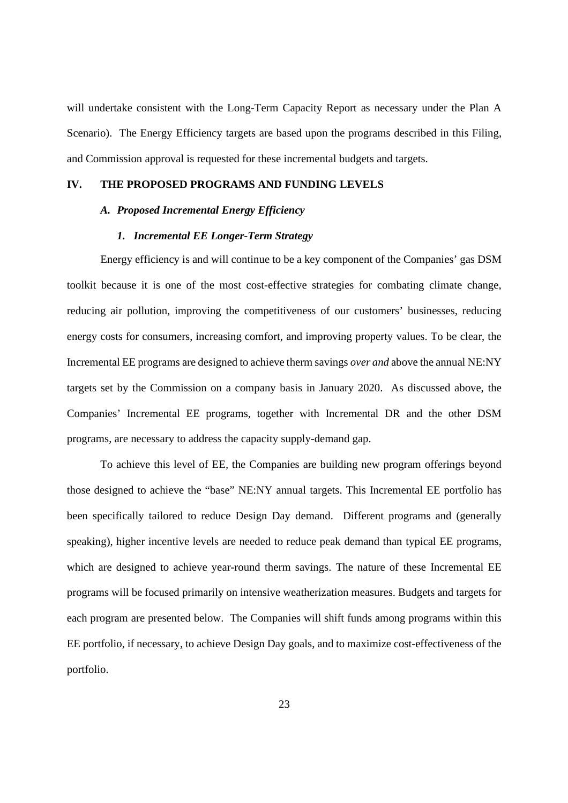will undertake consistent with the Long-Term Capacity Report as necessary under the Plan A Scenario). The Energy Efficiency targets are based upon the programs described in this Filing, and Commission approval is requested for these incremental budgets and targets.

## **IV. THE PROPOSED PROGRAMS AND FUNDING LEVELS**

## *A. Proposed Incremental Energy Efficiency*

## *1. Incremental EE Longer-Term Strategy*

Energy efficiency is and will continue to be a key component of the Companies' gas DSM toolkit because it is one of the most cost-effective strategies for combating climate change, reducing air pollution, improving the competitiveness of our customers' businesses, reducing energy costs for consumers, increasing comfort, and improving property values. To be clear, the Incremental EE programs are designed to achieve therm savings *over and* above the annual NE:NY targets set by the Commission on a company basis in January 2020. As discussed above, the Companies' Incremental EE programs, together with Incremental DR and the other DSM programs, are necessary to address the capacity supply-demand gap.

To achieve this level of EE, the Companies are building new program offerings beyond those designed to achieve the "base" NE:NY annual targets. This Incremental EE portfolio has been specifically tailored to reduce Design Day demand. Different programs and (generally speaking), higher incentive levels are needed to reduce peak demand than typical EE programs, which are designed to achieve year-round therm savings. The nature of these Incremental EE programs will be focused primarily on intensive weatherization measures. Budgets and targets for each program are presented below. The Companies will shift funds among programs within this EE portfolio, if necessary, to achieve Design Day goals, and to maximize cost-effectiveness of the portfolio.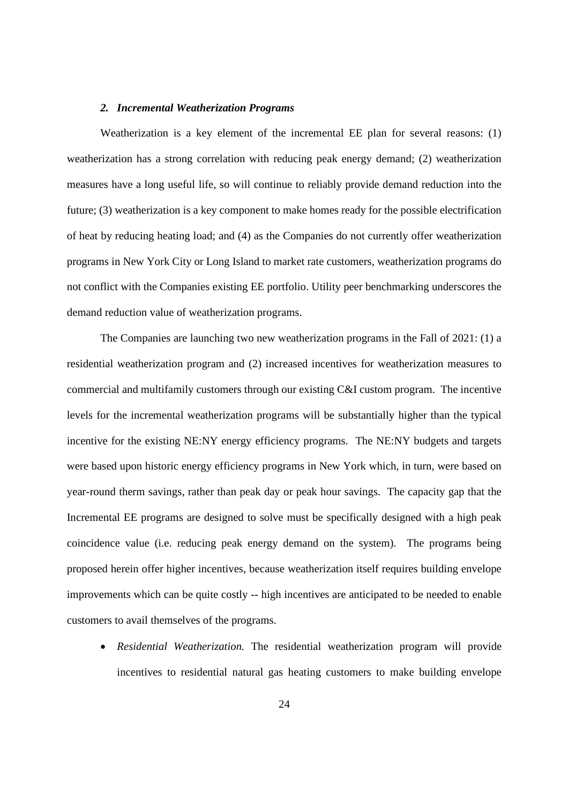#### *2. Incremental Weatherization Programs*

Weatherization is a key element of the incremental EE plan for several reasons: (1) weatherization has a strong correlation with reducing peak energy demand; (2) weatherization measures have a long useful life, so will continue to reliably provide demand reduction into the future; (3) weatherization is a key component to make homes ready for the possible electrification of heat by reducing heating load; and (4) as the Companies do not currently offer weatherization programs in New York City or Long Island to market rate customers, weatherization programs do not conflict with the Companies existing EE portfolio. Utility peer benchmarking underscores the demand reduction value of weatherization programs.

The Companies are launching two new weatherization programs in the Fall of 2021: (1) a residential weatherization program and (2) increased incentives for weatherization measures to commercial and multifamily customers through our existing C&I custom program. The incentive levels for the incremental weatherization programs will be substantially higher than the typical incentive for the existing NE:NY energy efficiency programs. The NE:NY budgets and targets were based upon historic energy efficiency programs in New York which, in turn, were based on year-round therm savings, rather than peak day or peak hour savings. The capacity gap that the Incremental EE programs are designed to solve must be specifically designed with a high peak coincidence value (i.e. reducing peak energy demand on the system). The programs being proposed herein offer higher incentives, because weatherization itself requires building envelope improvements which can be quite costly -- high incentives are anticipated to be needed to enable customers to avail themselves of the programs.

 *Residential Weatherization.* The residential weatherization program will provide incentives to residential natural gas heating customers to make building envelope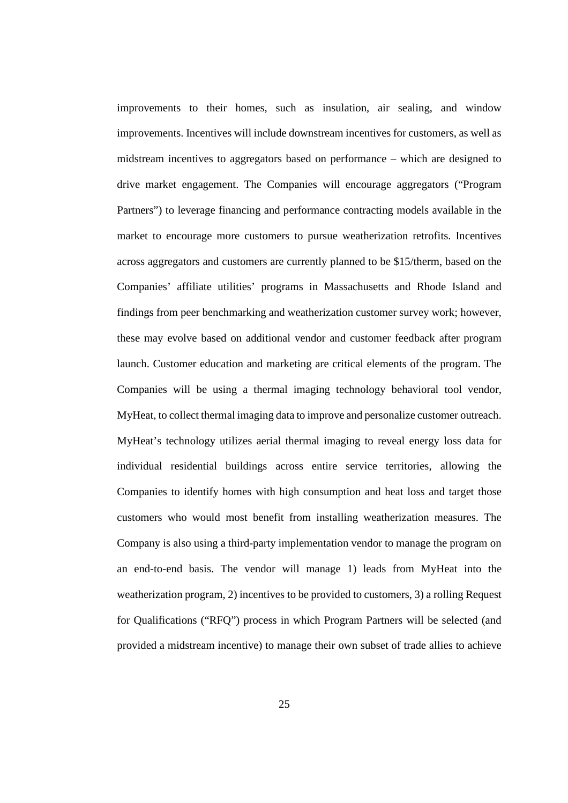improvements to their homes, such as insulation, air sealing, and window improvements. Incentives will include downstream incentives for customers, as well as midstream incentives to aggregators based on performance – which are designed to drive market engagement. The Companies will encourage aggregators ("Program Partners") to leverage financing and performance contracting models available in the market to encourage more customers to pursue weatherization retrofits. Incentives across aggregators and customers are currently planned to be \$15/therm, based on the Companies' affiliate utilities' programs in Massachusetts and Rhode Island and findings from peer benchmarking and weatherization customer survey work; however, these may evolve based on additional vendor and customer feedback after program launch. Customer education and marketing are critical elements of the program. The Companies will be using a thermal imaging technology behavioral tool vendor, MyHeat, to collect thermal imaging data to improve and personalize customer outreach. MyHeat's technology utilizes aerial thermal imaging to reveal energy loss data for individual residential buildings across entire service territories, allowing the Companies to identify homes with high consumption and heat loss and target those customers who would most benefit from installing weatherization measures. The Company is also using a third-party implementation vendor to manage the program on an end-to-end basis. The vendor will manage 1) leads from MyHeat into the weatherization program, 2) incentives to be provided to customers, 3) a rolling Request for Qualifications ("RFQ") process in which Program Partners will be selected (and provided a midstream incentive) to manage their own subset of trade allies to achieve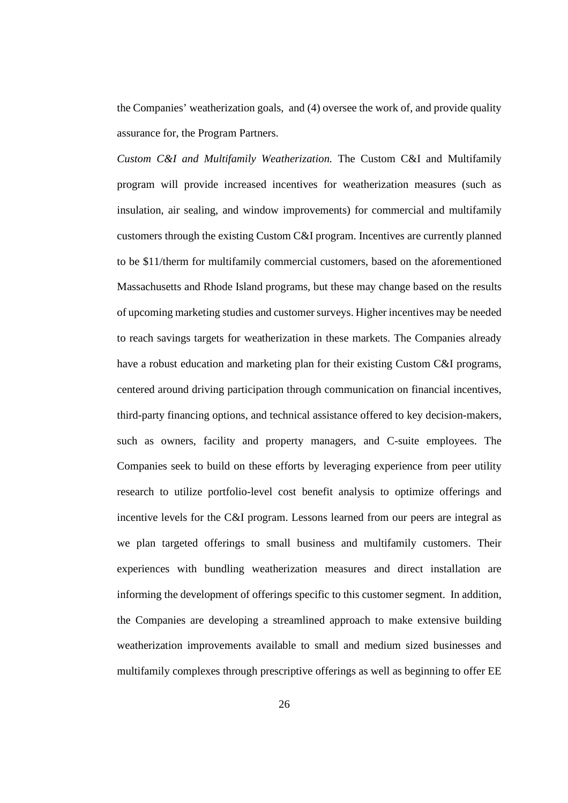the Companies' weatherization goals, and (4) oversee the work of, and provide quality assurance for, the Program Partners.

*Custom C&I and Multifamily Weatherization.* The Custom C&I and Multifamily program will provide increased incentives for weatherization measures (such as insulation, air sealing, and window improvements) for commercial and multifamily customers through the existing Custom C&I program. Incentives are currently planned to be \$11/therm for multifamily commercial customers, based on the aforementioned Massachusetts and Rhode Island programs, but these may change based on the results of upcoming marketing studies and customer surveys. Higher incentives may be needed to reach savings targets for weatherization in these markets. The Companies already have a robust education and marketing plan for their existing Custom C&I programs, centered around driving participation through communication on financial incentives, third-party financing options, and technical assistance offered to key decision-makers, such as owners, facility and property managers, and C-suite employees. The Companies seek to build on these efforts by leveraging experience from peer utility research to utilize portfolio-level cost benefit analysis to optimize offerings and incentive levels for the C&I program. Lessons learned from our peers are integral as we plan targeted offerings to small business and multifamily customers. Their experiences with bundling weatherization measures and direct installation are informing the development of offerings specific to this customer segment. In addition, the Companies are developing a streamlined approach to make extensive building weatherization improvements available to small and medium sized businesses and multifamily complexes through prescriptive offerings as well as beginning to offer EE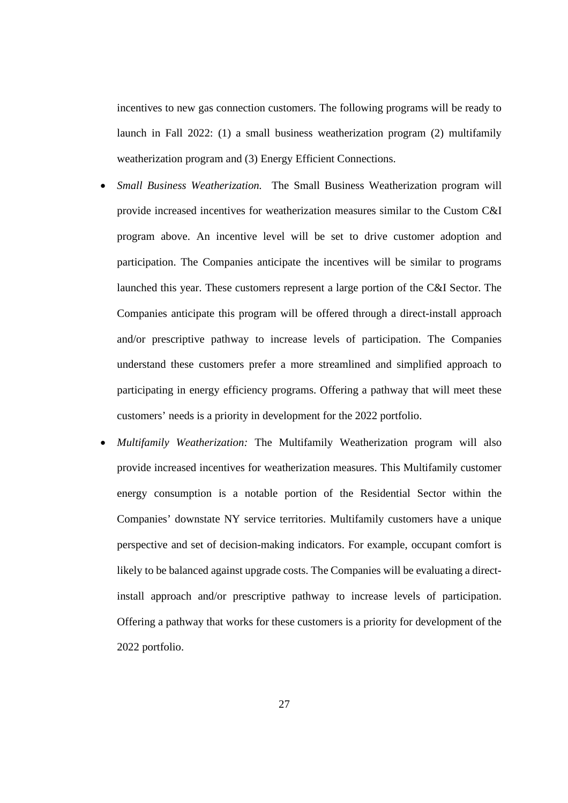incentives to new gas connection customers. The following programs will be ready to launch in Fall 2022: (1) a small business weatherization program (2) multifamily weatherization program and (3) Energy Efficient Connections.

- *Small Business Weatherization.* The Small Business Weatherization program will provide increased incentives for weatherization measures similar to the Custom C&I program above. An incentive level will be set to drive customer adoption and participation. The Companies anticipate the incentives will be similar to programs launched this year. These customers represent a large portion of the C&I Sector. The Companies anticipate this program will be offered through a direct-install approach and/or prescriptive pathway to increase levels of participation. The Companies understand these customers prefer a more streamlined and simplified approach to participating in energy efficiency programs. Offering a pathway that will meet these customers' needs is a priority in development for the 2022 portfolio.
- *Multifamily Weatherization:* The Multifamily Weatherization program will also provide increased incentives for weatherization measures. This Multifamily customer energy consumption is a notable portion of the Residential Sector within the Companies' downstate NY service territories. Multifamily customers have a unique perspective and set of decision-making indicators. For example, occupant comfort is likely to be balanced against upgrade costs. The Companies will be evaluating a directinstall approach and/or prescriptive pathway to increase levels of participation. Offering a pathway that works for these customers is a priority for development of the 2022 portfolio.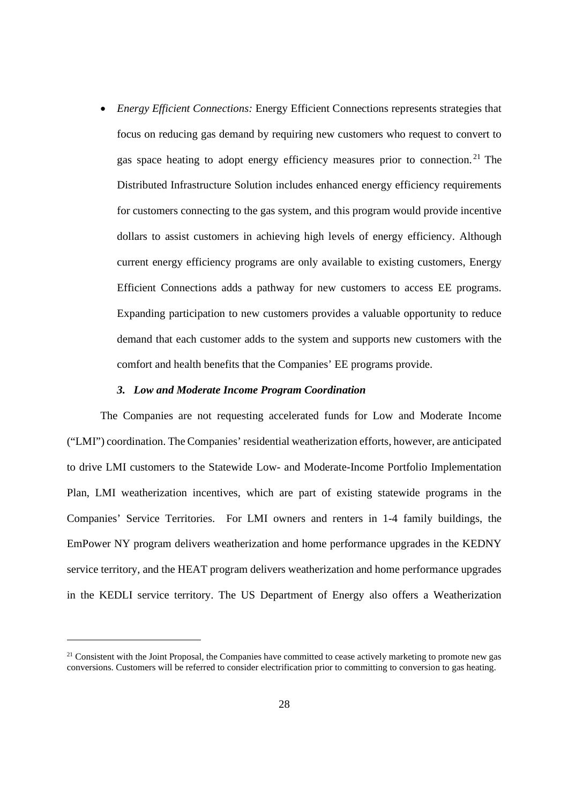*Energy Efficient Connections:* Energy Efficient Connections represents strategies that focus on reducing gas demand by requiring new customers who request to convert to gas space heating to adopt energy efficiency measures prior to connection. <sup>21</sup> The Distributed Infrastructure Solution includes enhanced energy efficiency requirements for customers connecting to the gas system, and this program would provide incentive dollars to assist customers in achieving high levels of energy efficiency. Although current energy efficiency programs are only available to existing customers, Energy Efficient Connections adds a pathway for new customers to access EE programs. Expanding participation to new customers provides a valuable opportunity to reduce demand that each customer adds to the system and supports new customers with the comfort and health benefits that the Companies' EE programs provide.

#### *3. Low and Moderate Income Program Coordination*

The Companies are not requesting accelerated funds for Low and Moderate Income ("LMI") coordination. The Companies' residential weatherization efforts, however, are anticipated to drive LMI customers to the Statewide Low- and Moderate-Income Portfolio Implementation Plan, LMI weatherization incentives, which are part of existing statewide programs in the Companies' Service Territories. For LMI owners and renters in 1-4 family buildings, the EmPower NY program delivers weatherization and home performance upgrades in the KEDNY service territory, and the HEAT program delivers weatherization and home performance upgrades in the KEDLI service territory. The US Department of Energy also offers a Weatherization

<sup>&</sup>lt;sup>21</sup> Consistent with the Joint Proposal, the Companies have committed to cease actively marketing to promote new gas conversions. Customers will be referred to consider electrification prior to committing to conversion to gas heating.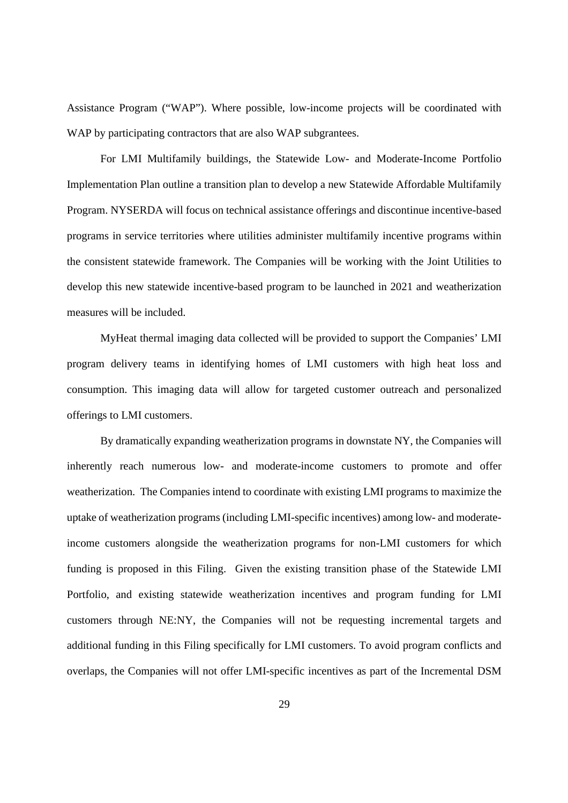Assistance Program ("WAP"). Where possible, low-income projects will be coordinated with WAP by participating contractors that are also WAP subgrantees.

For LMI Multifamily buildings, the Statewide Low- and Moderate-Income Portfolio Implementation Plan outline a transition plan to develop a new Statewide Affordable Multifamily Program. NYSERDA will focus on technical assistance offerings and discontinue incentive-based programs in service territories where utilities administer multifamily incentive programs within the consistent statewide framework. The Companies will be working with the Joint Utilities to develop this new statewide incentive-based program to be launched in 2021 and weatherization measures will be included.

MyHeat thermal imaging data collected will be provided to support the Companies' LMI program delivery teams in identifying homes of LMI customers with high heat loss and consumption. This imaging data will allow for targeted customer outreach and personalized offerings to LMI customers.

By dramatically expanding weatherization programs in downstate NY, the Companies will inherently reach numerous low- and moderate-income customers to promote and offer weatherization. The Companies intend to coordinate with existing LMI programs to maximize the uptake of weatherization programs (including LMI-specific incentives) among low- and moderateincome customers alongside the weatherization programs for non-LMI customers for which funding is proposed in this Filing. Given the existing transition phase of the Statewide LMI Portfolio, and existing statewide weatherization incentives and program funding for LMI customers through NE:NY, the Companies will not be requesting incremental targets and additional funding in this Filing specifically for LMI customers. To avoid program conflicts and overlaps, the Companies will not offer LMI-specific incentives as part of the Incremental DSM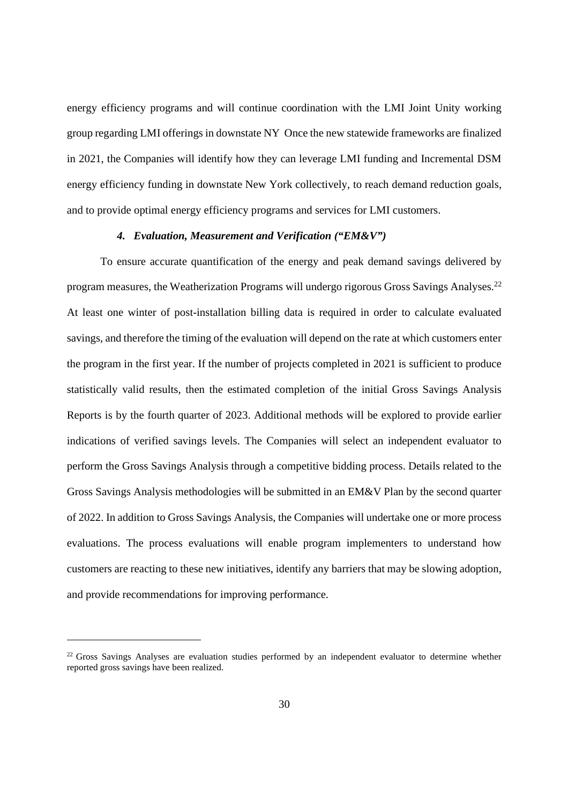energy efficiency programs and will continue coordination with the LMI Joint Unity working group regarding LMI offerings in downstate NY Once the new statewide frameworks are finalized in 2021, the Companies will identify how they can leverage LMI funding and Incremental DSM energy efficiency funding in downstate New York collectively, to reach demand reduction goals, and to provide optimal energy efficiency programs and services for LMI customers.

## *4. Evaluation, Measurement and Verification ("EM&V")*

To ensure accurate quantification of the energy and peak demand savings delivered by program measures, the Weatherization Programs will undergo rigorous Gross Savings Analyses.<sup>22</sup> At least one winter of post-installation billing data is required in order to calculate evaluated savings, and therefore the timing of the evaluation will depend on the rate at which customers enter the program in the first year. If the number of projects completed in 2021 is sufficient to produce statistically valid results, then the estimated completion of the initial Gross Savings Analysis Reports is by the fourth quarter of 2023. Additional methods will be explored to provide earlier indications of verified savings levels. The Companies will select an independent evaluator to perform the Gross Savings Analysis through a competitive bidding process. Details related to the Gross Savings Analysis methodologies will be submitted in an EM&V Plan by the second quarter of 2022. In addition to Gross Savings Analysis, the Companies will undertake one or more process evaluations. The process evaluations will enable program implementers to understand how customers are reacting to these new initiatives, identify any barriers that may be slowing adoption, and provide recommendations for improving performance.

<sup>&</sup>lt;sup>22</sup> Gross Savings Analyses are evaluation studies performed by an independent evaluator to determine whether reported gross savings have been realized.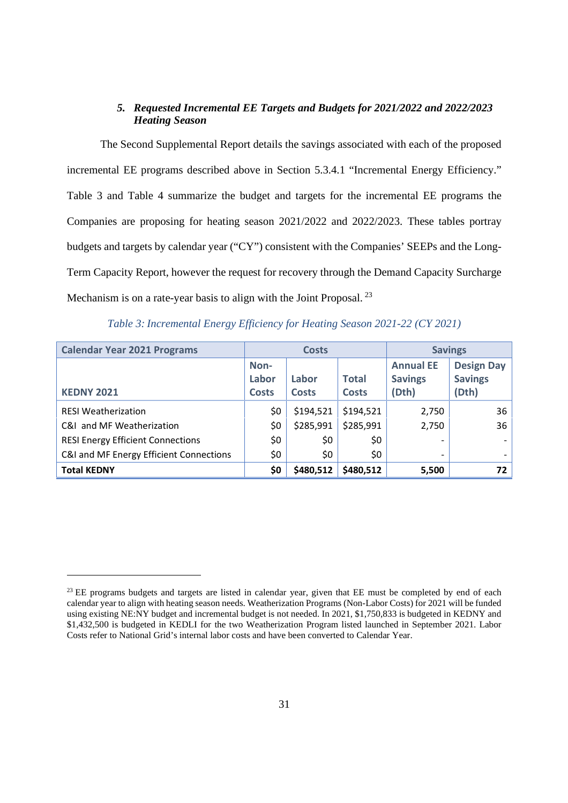## *5. Requested Incremental EE Targets and Budgets for 2021/2022 and 2022/2023 Heating Season*

The Second Supplemental Report details the savings associated with each of the proposed incremental EE programs described above in Section 5.3.4.1 "Incremental Energy Efficiency." Table 3 and Table 4 summarize the budget and targets for the incremental EE programs the Companies are proposing for heating season 2021/2022 and 2022/2023. These tables portray budgets and targets by calendar year ("CY") consistent with the Companies' SEEPs and the Long-Term Capacity Report, however the request for recovery through the Demand Capacity Surcharge Mechanism is on a rate-year basis to align with the Joint Proposal.<sup>23</sup>

| <b>Calendar Year 2021 Programs</b>       | <b>Costs</b>                  |                       |                              | <b>Savings</b>                              |                                              |
|------------------------------------------|-------------------------------|-----------------------|------------------------------|---------------------------------------------|----------------------------------------------|
| <b>KEDNY 2021</b>                        | Non-<br>Labor<br><b>Costs</b> | Labor<br><b>Costs</b> | <b>Total</b><br><b>Costs</b> | <b>Annual EE</b><br><b>Savings</b><br>(Dth) | <b>Design Day</b><br><b>Savings</b><br>(Dth) |
| <b>RESI Weatherization</b>               | \$0                           | \$194,521             | \$194,521                    | 2,750                                       | 36                                           |
| C&I and MF Weatherization                | \$0                           | \$285,991             | \$285,991                    | 2,750                                       | 36                                           |
| <b>RESI Energy Efficient Connections</b> | \$0                           | \$0                   | \$0                          |                                             |                                              |
| C&I and MF Energy Efficient Connections  | \$0                           | \$0                   | \$0                          | $\overline{\phantom{0}}$                    |                                              |
| <b>Total KEDNY</b>                       | \$0                           | \$480,512             | \$480,512                    | 5,500                                       | 72                                           |

*Table 3: Incremental Energy Efficiency for Heating Season 2021-22 (CY 2021)*

<sup>&</sup>lt;sup>23</sup> EE programs budgets and targets are listed in calendar year, given that EE must be completed by end of each calendar year to align with heating season needs. Weatherization Programs (Non-Labor Costs) for 2021 will be funded using existing NE:NY budget and incremental budget is not needed. In 2021, \$1,750,833 is budgeted in KEDNY and \$1,432,500 is budgeted in KEDLI for the two Weatherization Program listed launched in September 2021. Labor Costs refer to National Grid's internal labor costs and have been converted to Calendar Year.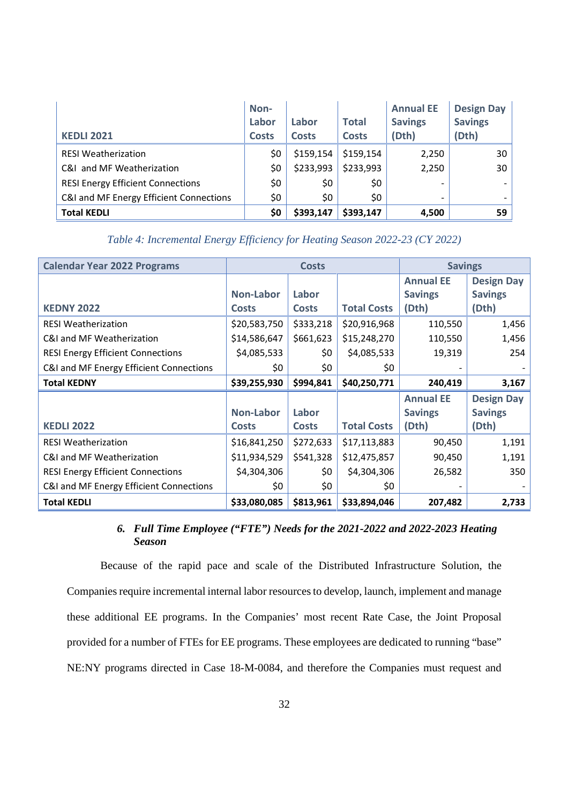| <b>KEDLI 2021</b>                        | Non-<br>Labor<br><b>Costs</b> | Labor<br><b>Costs</b> | <b>Total</b><br><b>Costs</b> | <b>Annual EE</b><br><b>Savings</b><br>(Dth) | <b>Design Day</b><br><b>Savings</b><br>(Dth) |
|------------------------------------------|-------------------------------|-----------------------|------------------------------|---------------------------------------------|----------------------------------------------|
| <b>RESI Weatherization</b>               | \$0                           | \$159,154             | \$159,154                    | 2,250                                       | 30                                           |
| C&I and MF Weatherization                | \$0                           | \$233,993             | \$233,993                    | 2,250                                       | 30                                           |
| <b>RESI Energy Efficient Connections</b> | \$0                           | \$0                   | \$0                          |                                             |                                              |
| C&I and MF Energy Efficient Connections  | \$0                           | \$0                   | \$0                          |                                             |                                              |
| <b>Total KEDLI</b>                       | \$0                           | \$393,147             | \$393,147                    | 4,500                                       | 59                                           |

# *Table 4: Incremental Energy Efficiency for Heating Season 2022-23 (CY 2022)*

| <b>Calendar Year 2022 Programs</b>       | <b>Costs</b>     |              |                    | <b>Savings</b>   |                   |
|------------------------------------------|------------------|--------------|--------------------|------------------|-------------------|
|                                          |                  |              |                    | <b>Annual EE</b> | <b>Design Day</b> |
|                                          | <b>Non-Labor</b> | Labor        |                    | <b>Savings</b>   | <b>Savings</b>    |
| <b>KEDNY 2022</b>                        | <b>Costs</b>     | <b>Costs</b> | <b>Total Costs</b> | (Dth)            | (Dth)             |
| <b>RESI Weatherization</b>               | \$20,583,750     | \$333,218    | \$20,916,968       | 110,550          | 1,456             |
| C&I and MF Weatherization                | \$14,586,647     | \$661,623    | \$15,248,270       | 110,550          | 1,456             |
| <b>RESI Energy Efficient Connections</b> | \$4,085,533      | \$0          | \$4,085,533        | 19,319           | 254               |
| C&I and MF Energy Efficient Connections  | \$0              | \$0          | \$0                |                  |                   |
| <b>Total KEDNY</b>                       | \$39,255,930     | \$994,841    | \$40,250,771       | 240,419          | 3,167             |
|                                          |                  |              |                    | <b>Annual EE</b> | <b>Design Day</b> |
|                                          | <b>Non-Labor</b> | Labor        |                    | <b>Savings</b>   | <b>Savings</b>    |
| <b>KEDLI 2022</b>                        | <b>Costs</b>     | <b>Costs</b> | <b>Total Costs</b> | (Dth)            | (Dth)             |
| <b>RESI Weatherization</b>               | \$16,841,250     | \$272,633    | \$17,113,883       | 90,450           | 1,191             |
| C&I and MF Weatherization                | \$11,934,529     | \$541,328    | \$12,475,857       | 90,450           | 1,191             |
| <b>RESI Energy Efficient Connections</b> | \$4,304,306      | \$0          | \$4,304,306        | 26,582           | 350               |
| C&I and MF Energy Efficient Connections  | \$0              | \$0          | \$0                |                  |                   |
| <b>Total KEDLI</b>                       | \$33,080,085     | \$813,961    | \$33,894,046       | 207,482          | 2,733             |

# *6. Full Time Employee ("FTE") Needs for the 2021-2022 and 2022-2023 Heating Season*

Because of the rapid pace and scale of the Distributed Infrastructure Solution, the Companies require incremental internal labor resources to develop, launch, implement and manage these additional EE programs. In the Companies' most recent Rate Case, the Joint Proposal provided for a number of FTEs for EE programs. These employees are dedicated to running "base" NE:NY programs directed in Case 18-M-0084, and therefore the Companies must request and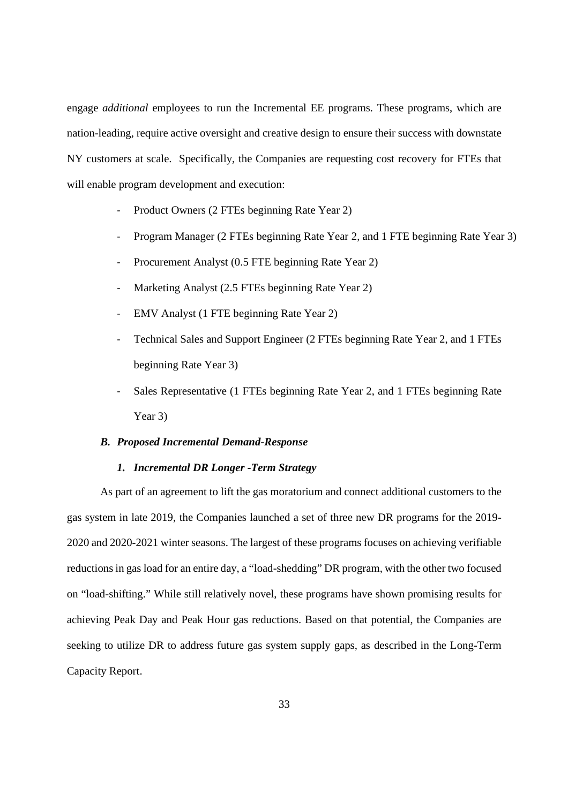engage *additional* employees to run the Incremental EE programs. These programs, which are nation-leading, require active oversight and creative design to ensure their success with downstate NY customers at scale. Specifically, the Companies are requesting cost recovery for FTEs that will enable program development and execution:

- Product Owners (2 FTEs beginning Rate Year 2)
- Program Manager (2 FTEs beginning Rate Year 2, and 1 FTE beginning Rate Year 3)
- Procurement Analyst (0.5 FTE beginning Rate Year 2)
- Marketing Analyst (2.5 FTEs beginning Rate Year 2)
- EMV Analyst (1 FTE beginning Rate Year 2)
- Technical Sales and Support Engineer (2 FTEs beginning Rate Year 2, and 1 FTEs beginning Rate Year 3)
- Sales Representative (1 FTEs beginning Rate Year 2, and 1 FTEs beginning Rate Year 3)

#### *B. Proposed Incremental Demand-Response*

# *1. Incremental DR Longer -Term Strategy*

As part of an agreement to lift the gas moratorium and connect additional customers to the gas system in late 2019, the Companies launched a set of three new DR programs for the 2019- 2020 and 2020-2021 winter seasons. The largest of these programs focuses on achieving verifiable reductions in gas load for an entire day, a "load-shedding" DR program, with the other two focused on "load-shifting." While still relatively novel, these programs have shown promising results for achieving Peak Day and Peak Hour gas reductions. Based on that potential, the Companies are seeking to utilize DR to address future gas system supply gaps, as described in the Long-Term Capacity Report.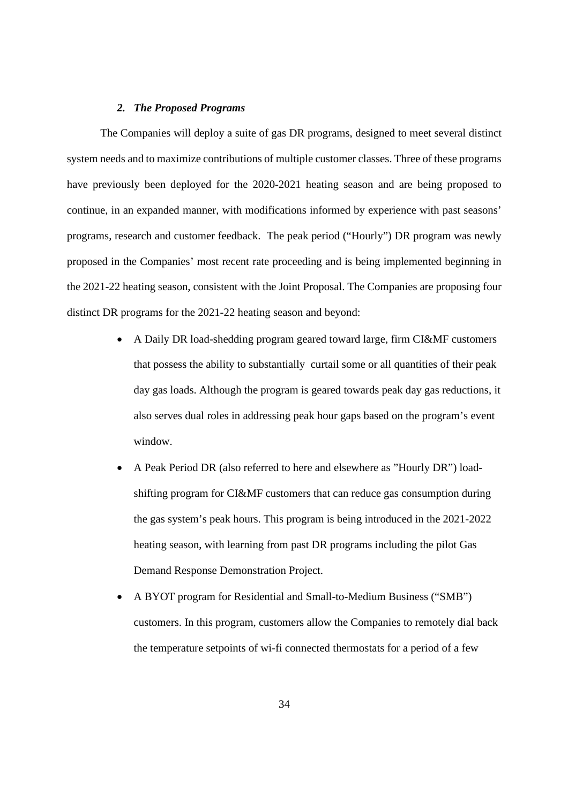#### *2. The Proposed Programs*

The Companies will deploy a suite of gas DR programs, designed to meet several distinct system needs and to maximize contributions of multiple customer classes. Three of these programs have previously been deployed for the 2020-2021 heating season and are being proposed to continue, in an expanded manner, with modifications informed by experience with past seasons' programs, research and customer feedback. The peak period ("Hourly") DR program was newly proposed in the Companies' most recent rate proceeding and is being implemented beginning in the 2021-22 heating season, consistent with the Joint Proposal. The Companies are proposing four distinct DR programs for the 2021-22 heating season and beyond:

- A Daily DR load-shedding program geared toward large, firm CI&MF customers that possess the ability to substantially curtail some or all quantities of their peak day gas loads. Although the program is geared towards peak day gas reductions, it also serves dual roles in addressing peak hour gaps based on the program's event window.
- A Peak Period DR (also referred to here and elsewhere as "Hourly DR") loadshifting program for CI&MF customers that can reduce gas consumption during the gas system's peak hours. This program is being introduced in the 2021-2022 heating season, with learning from past DR programs including the pilot Gas Demand Response Demonstration Project.
- A BYOT program for Residential and Small-to-Medium Business ("SMB") customers. In this program, customers allow the Companies to remotely dial back the temperature setpoints of wi-fi connected thermostats for a period of a few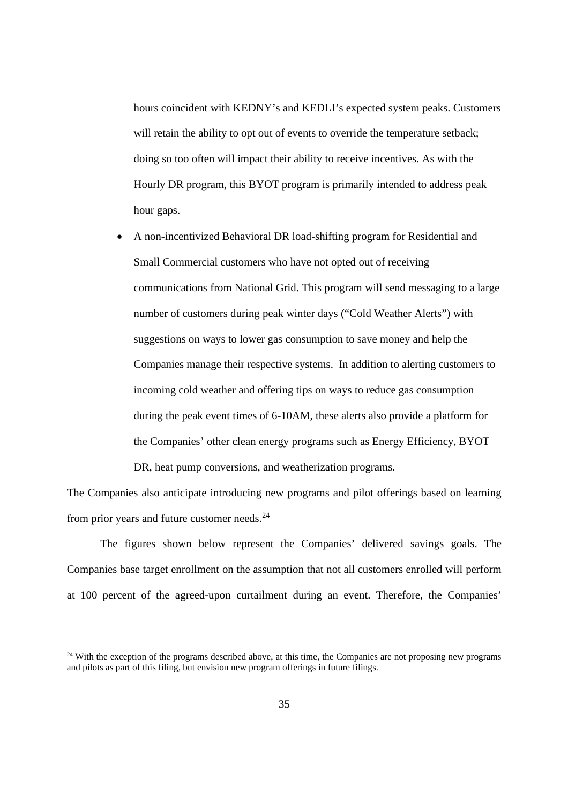hours coincident with KEDNY's and KEDLI's expected system peaks. Customers will retain the ability to opt out of events to override the temperature setback; doing so too often will impact their ability to receive incentives. As with the Hourly DR program, this BYOT program is primarily intended to address peak hour gaps.

 A non-incentivized Behavioral DR load-shifting program for Residential and Small Commercial customers who have not opted out of receiving communications from National Grid. This program will send messaging to a large number of customers during peak winter days ("Cold Weather Alerts") with suggestions on ways to lower gas consumption to save money and help the Companies manage their respective systems. In addition to alerting customers to incoming cold weather and offering tips on ways to reduce gas consumption during the peak event times of 6-10AM, these alerts also provide a platform for the Companies' other clean energy programs such as Energy Efficiency, BYOT DR, heat pump conversions, and weatherization programs.

The Companies also anticipate introducing new programs and pilot offerings based on learning from prior years and future customer needs.<sup>24</sup>

The figures shown below represent the Companies' delivered savings goals. The Companies base target enrollment on the assumption that not all customers enrolled will perform at 100 percent of the agreed-upon curtailment during an event. Therefore, the Companies'

<sup>&</sup>lt;sup>24</sup> With the exception of the programs described above, at this time, the Companies are not proposing new programs and pilots as part of this filing, but envision new program offerings in future filings.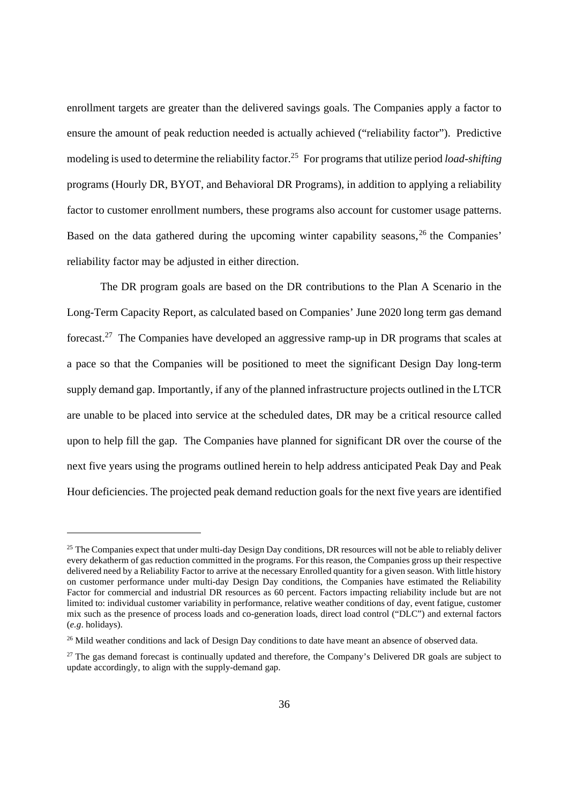enrollment targets are greater than the delivered savings goals. The Companies apply a factor to ensure the amount of peak reduction needed is actually achieved ("reliability factor"). Predictive modeling is used to determine the reliability factor.<sup>25</sup> For programs that utilize period *load*-*shifting* programs (Hourly DR, BYOT, and Behavioral DR Programs), in addition to applying a reliability factor to customer enrollment numbers, these programs also account for customer usage patterns. Based on the data gathered during the upcoming winter capability seasons,<sup>26</sup> the Companies' reliability factor may be adjusted in either direction.

The DR program goals are based on the DR contributions to the Plan A Scenario in the Long-Term Capacity Report, as calculated based on Companies' June 2020 long term gas demand forecast.<sup>27</sup> The Companies have developed an aggressive ramp-up in DR programs that scales at a pace so that the Companies will be positioned to meet the significant Design Day long-term supply demand gap. Importantly, if any of the planned infrastructure projects outlined in the LTCR are unable to be placed into service at the scheduled dates, DR may be a critical resource called upon to help fill the gap. The Companies have planned for significant DR over the course of the next five years using the programs outlined herein to help address anticipated Peak Day and Peak Hour deficiencies. The projected peak demand reduction goals for the next five years are identified

<sup>&</sup>lt;sup>25</sup> The Companies expect that under multi-day Design Day conditions, DR resources will not be able to reliably deliver every dekatherm of gas reduction committed in the programs. For this reason, the Companies gross up their respective delivered need by a Reliability Factor to arrive at the necessary Enrolled quantity for a given season. With little history on customer performance under multi-day Design Day conditions, the Companies have estimated the Reliability Factor for commercial and industrial DR resources as 60 percent. Factors impacting reliability include but are not limited to: individual customer variability in performance, relative weather conditions of day, event fatigue, customer mix such as the presence of process loads and co-generation loads, direct load control ("DLC") and external factors (*e.g*. holidays).

<sup>&</sup>lt;sup>26</sup> Mild weather conditions and lack of Design Day conditions to date have meant an absence of observed data.

<sup>&</sup>lt;sup>27</sup> The gas demand forecast is continually updated and therefore, the Company's Delivered DR goals are subject to update accordingly, to align with the supply-demand gap.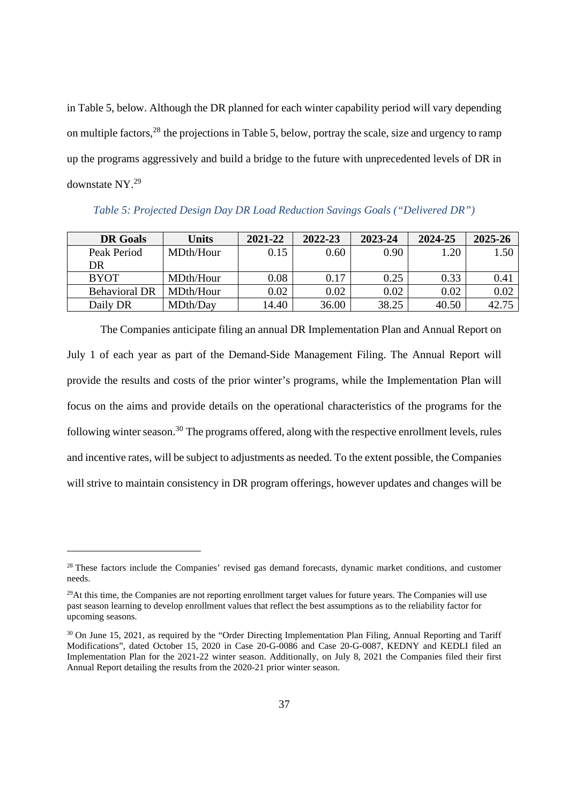in Table 5, below. Although the DR planned for each winter capability period will vary depending on multiple factors,<sup>28</sup> the projections in Table 5, below, portray the scale, size and urgency to ramp up the programs aggressively and build a bridge to the future with unprecedented levels of DR in downstate NY.<sup>29</sup>

| <b>DR</b> Goals      | Units     | 2021-22 | 2022-23 | 2023-24 | 2024-25 | 2025-26 |
|----------------------|-----------|---------|---------|---------|---------|---------|
| Peak Period          | MDth/Hour | 0.15    | 0.60    | 0.90    | .20     | 1.50    |
| DR                   |           |         |         |         |         |         |
| <b>BYOT</b>          | MDth/Hour | 0.08    | 0.17    | 0.25    | 0.33    | 0.41    |
| <b>Behavioral DR</b> | MDth/Hour | 0.02    | 0.02    | 0.02    | 0.02    | 0.02    |
| Daily DR             | MDth/Day  | 14.40   | 36.00   | 38.25   | 40.50   | 42.75   |

*Table 5: Projected Design Day DR Load Reduction Savings Goals ("Delivered DR")*

The Companies anticipate filing an annual DR Implementation Plan and Annual Report on July 1 of each year as part of the Demand-Side Management Filing. The Annual Report will provide the results and costs of the prior winter's programs, while the Implementation Plan will focus on the aims and provide details on the operational characteristics of the programs for the following winter season.<sup>30</sup> The programs offered, along with the respective enrollment levels, rules and incentive rates, will be subject to adjustments as needed. To the extent possible, the Companies will strive to maintain consistency in DR program offerings, however updates and changes will be

<sup>&</sup>lt;sup>28</sup> These factors include the Companies' revised gas demand forecasts, dynamic market conditions, and customer needs.

 $^{29}$ At this time, the Companies are not reporting enrollment target values for future years. The Companies will use past season learning to develop enrollment values that reflect the best assumptions as to the reliability factor for upcoming seasons.

<sup>&</sup>lt;sup>30</sup> On June 15, 2021, as required by the "Order Directing Implementation Plan Filing, Annual Reporting and Tariff Modifications", dated October 15, 2020 in Case 20-G-0086 and Case 20-G-0087, KEDNY and KEDLI filed an Implementation Plan for the 2021-22 winter season. Additionally, on July 8, 2021 the Companies filed their first Annual Report detailing the results from the 2020-21 prior winter season.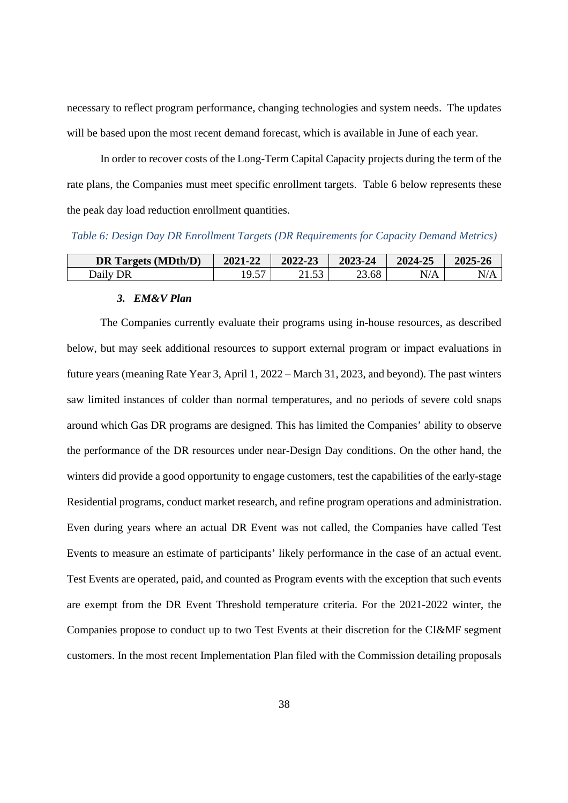necessary to reflect program performance, changing technologies and system needs. The updates will be based upon the most recent demand forecast, which is available in June of each year.

In order to recover costs of the Long-Term Capital Capacity projects during the term of the rate plans, the Companies must meet specific enrollment targets. Table 6 below represents these the peak day load reduction enrollment quantities.

*Table 6: Design Day DR Enrollment Targets (DR Requirements for Capacity Demand Metrics)*

| <b>DR Targets (MDth/D)</b> | 2021-22       | 2022-23 | 2023-24 | 2024-25   | 2025-26 |
|----------------------------|---------------|---------|---------|-----------|---------|
| Daily DR                   | 10.57<br>ر. ر | ر.      | 23.68   | $\rm N/A$ | N/A     |

#### *3. EM&V Plan*

The Companies currently evaluate their programs using in-house resources, as described below, but may seek additional resources to support external program or impact evaluations in future years (meaning Rate Year 3, April 1, 2022 – March 31, 2023, and beyond). The past winters saw limited instances of colder than normal temperatures, and no periods of severe cold snaps around which Gas DR programs are designed. This has limited the Companies' ability to observe the performance of the DR resources under near-Design Day conditions. On the other hand, the winters did provide a good opportunity to engage customers, test the capabilities of the early-stage Residential programs, conduct market research, and refine program operations and administration. Even during years where an actual DR Event was not called, the Companies have called Test Events to measure an estimate of participants' likely performance in the case of an actual event. Test Events are operated, paid, and counted as Program events with the exception that such events are exempt from the DR Event Threshold temperature criteria. For the 2021-2022 winter, the Companies propose to conduct up to two Test Events at their discretion for the CI&MF segment customers. In the most recent Implementation Plan filed with the Commission detailing proposals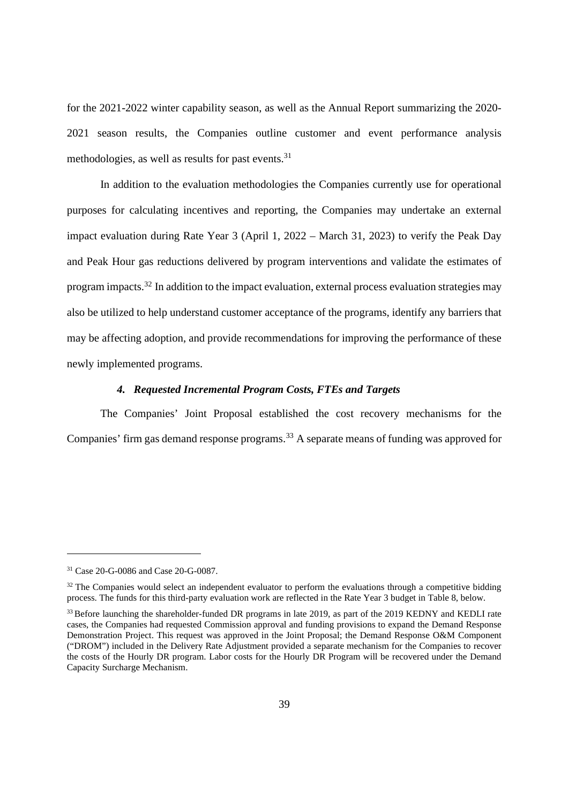for the 2021-2022 winter capability season, as well as the Annual Report summarizing the 2020- 2021 season results, the Companies outline customer and event performance analysis methodologies, as well as results for past events. $31$ 

In addition to the evaluation methodologies the Companies currently use for operational purposes for calculating incentives and reporting, the Companies may undertake an external impact evaluation during Rate Year 3 (April 1, 2022 – March 31, 2023) to verify the Peak Day and Peak Hour gas reductions delivered by program interventions and validate the estimates of program impacts.<sup>32</sup> In addition to the impact evaluation, external process evaluation strategies may also be utilized to help understand customer acceptance of the programs, identify any barriers that may be affecting adoption, and provide recommendations for improving the performance of these newly implemented programs.

#### *4. Requested Incremental Program Costs, FTEs and Targets*

The Companies' Joint Proposal established the cost recovery mechanisms for the Companies' firm gas demand response programs.<sup>33</sup> A separate means of funding was approved for

<sup>31</sup> Case 20-G-0086 and Case 20-G-0087.

<sup>&</sup>lt;sup>32</sup> The Companies would select an independent evaluator to perform the evaluations through a competitive bidding process. The funds for this third-party evaluation work are reflected in the Rate Year 3 budget in Table 8, below.

<sup>&</sup>lt;sup>33</sup> Before launching the shareholder-funded DR programs in late 2019, as part of the 2019 KEDNY and KEDLI rate cases, the Companies had requested Commission approval and funding provisions to expand the Demand Response Demonstration Project. This request was approved in the Joint Proposal; the Demand Response O&M Component ("DROM") included in the Delivery Rate Adjustment provided a separate mechanism for the Companies to recover the costs of the Hourly DR program. Labor costs for the Hourly DR Program will be recovered under the Demand Capacity Surcharge Mechanism.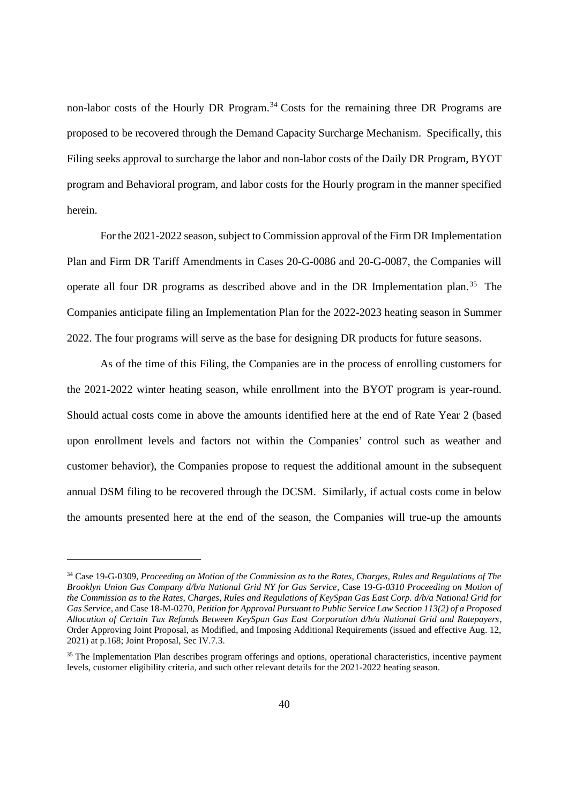non-labor costs of the Hourly DR Program.<sup>34</sup> Costs for the remaining three DR Programs are proposed to be recovered through the Demand Capacity Surcharge Mechanism. Specifically, this Filing seeks approval to surcharge the labor and non-labor costs of the Daily DR Program, BYOT program and Behavioral program, and labor costs for the Hourly program in the manner specified herein.

For the 2021-2022 season, subject to Commission approval of the Firm DR Implementation Plan and Firm DR Tariff Amendments in Cases 20-G-0086 and 20-G-0087, the Companies will operate all four DR programs as described above and in the DR Implementation plan.<sup>35</sup> The Companies anticipate filing an Implementation Plan for the 2022-2023 heating season in Summer 2022. The four programs will serve as the base for designing DR products for future seasons.

As of the time of this Filing, the Companies are in the process of enrolling customers for the 2021-2022 winter heating season, while enrollment into the BYOT program is year-round. Should actual costs come in above the amounts identified here at the end of Rate Year 2 (based upon enrollment levels and factors not within the Companies' control such as weather and customer behavior), the Companies propose to request the additional amount in the subsequent annual DSM filing to be recovered through the DCSM. Similarly, if actual costs come in below the amounts presented here at the end of the season, the Companies will true-up the amounts

<sup>34</sup> Case 19-G-0309*, Proceeding on Motion of the Commission as to the Rates, Charges, Rules and Regulations of The Brooklyn Union Gas Company d/b/a National Grid NY for Gas Service*, Case 19-G-*0310 Proceeding on Motion of the Commission as to the Rates, Charges, Rules and Regulations of KeySpan Gas East Corp. d/b/a National Grid for Gas Service*, and Case 18-M-0270*, Petition for Approval Pursuant to Public Service Law Section 113(2) of a Proposed Allocation of Certain Tax Refunds Between KeySpan Gas East Corporation d/b/a National Grid and Ratepayers*, Order Approving Joint Proposal, as Modified, and Imposing Additional Requirements (issued and effective Aug. 12, 2021) at p.168; Joint Proposal, Sec IV.7.3.

<sup>&</sup>lt;sup>35</sup> The Implementation Plan describes program offerings and options, operational characteristics, incentive payment levels, customer eligibility criteria, and such other relevant details for the 2021-2022 heating season.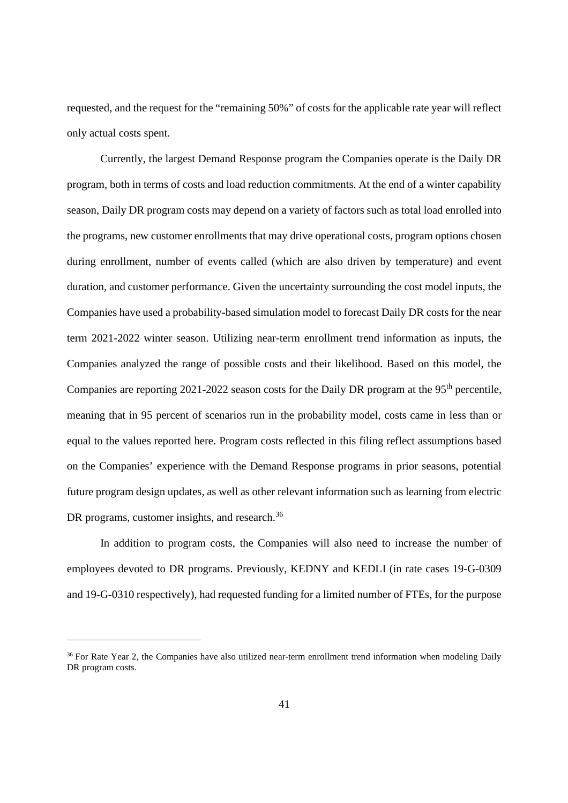requested, and the request for the "remaining 50%" of costs for the applicable rate year will reflect only actual costs spent.

Currently, the largest Demand Response program the Companies operate is the Daily DR program, both in terms of costs and load reduction commitments. At the end of a winter capability season, Daily DR program costs may depend on a variety of factors such as total load enrolled into the programs, new customer enrollments that may drive operational costs, program options chosen during enrollment, number of events called (which are also driven by temperature) and event duration, and customer performance. Given the uncertainty surrounding the cost model inputs, the Companies have used a probability-based simulation model to forecast Daily DR costs for the near term 2021-2022 winter season. Utilizing near-term enrollment trend information as inputs, the Companies analyzed the range of possible costs and their likelihood. Based on this model, the Companies are reporting 2021-2022 season costs for the Daily DR program at the 95<sup>th</sup> percentile, meaning that in 95 percent of scenarios run in the probability model, costs came in less than or equal to the values reported here. Program costs reflected in this filing reflect assumptions based on the Companies' experience with the Demand Response programs in prior seasons, potential future program design updates, as well as other relevant information such as learning from electric DR programs, customer insights, and research.<sup>36</sup>

In addition to program costs, the Companies will also need to increase the number of employees devoted to DR programs. Previously, KEDNY and KEDLI (in rate cases 19-G-0309 and 19-G-0310 respectively), had requested funding for a limited number of FTEs, for the purpose

<sup>&</sup>lt;sup>36</sup> For Rate Year 2, the Companies have also utilized near-term enrollment trend information when modeling Daily DR program costs.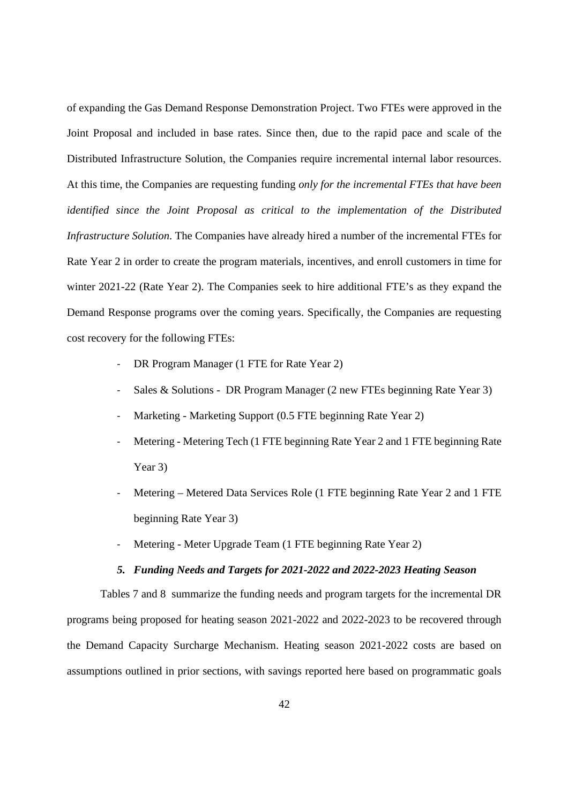of expanding the Gas Demand Response Demonstration Project. Two FTEs were approved in the Joint Proposal and included in base rates. Since then, due to the rapid pace and scale of the Distributed Infrastructure Solution, the Companies require incremental internal labor resources. At this time, the Companies are requesting funding *only for the incremental FTEs that have been identified since the Joint Proposal as critical to the implementation of the Distributed Infrastructure Solution*. The Companies have already hired a number of the incremental FTEs for Rate Year 2 in order to create the program materials, incentives, and enroll customers in time for winter 2021-22 (Rate Year 2). The Companies seek to hire additional FTE's as they expand the Demand Response programs over the coming years. Specifically, the Companies are requesting cost recovery for the following FTEs:

- DR Program Manager (1 FTE for Rate Year 2)
- Sales & Solutions DR Program Manager (2 new FTEs beginning Rate Year 3)
- Marketing Marketing Support (0.5 FTE beginning Rate Year 2)
- Metering Metering Tech (1 FTE beginning Rate Year 2 and 1 FTE beginning Rate Year 3)
- Metering Metered Data Services Role (1 FTE beginning Rate Year 2 and 1 FTE beginning Rate Year 3)
- Metering Meter Upgrade Team (1 FTE beginning Rate Year 2)

### *5. Funding Needs and Targets for 2021-2022 and 2022-2023 Heating Season*

Tables 7 and 8 summarize the funding needs and program targets for the incremental DR programs being proposed for heating season 2021-2022 and 2022-2023 to be recovered through the Demand Capacity Surcharge Mechanism. Heating season 2021-2022 costs are based on assumptions outlined in prior sections, with savings reported here based on programmatic goals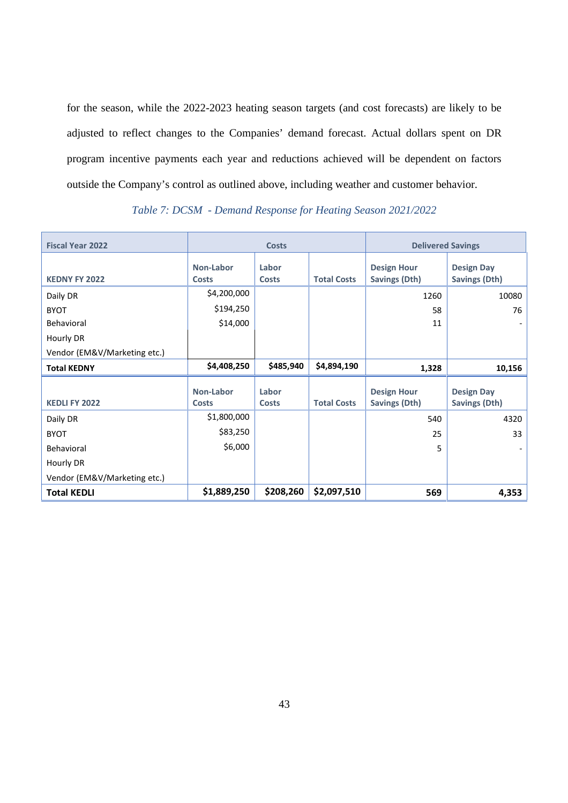for the season, while the 2022-2023 heating season targets (and cost forecasts) are likely to be adjusted to reflect changes to the Companies' demand forecast. Actual dollars spent on DR program incentive payments each year and reductions achieved will be dependent on factors outside the Company's control as outlined above, including weather and customer behavior.

| <b>Fiscal Year 2022</b>      |                           | <b>Costs</b>   |                    | <b>Delivered Savings</b>                   |                                           |
|------------------------------|---------------------------|----------------|--------------------|--------------------------------------------|-------------------------------------------|
| <b>KEDNY FY 2022</b>         | Non-Labor<br><b>Costs</b> | Labor<br>Costs | <b>Total Costs</b> | <b>Design Hour</b><br>Savings (Dth)        | <b>Design Day</b><br>Savings (Dth)        |
| Daily DR                     | \$4,200,000               |                |                    | 1260                                       | 10080                                     |
| <b>BYOT</b>                  | \$194,250                 |                |                    | 58                                         | 76                                        |
| Behavioral                   | \$14,000                  |                |                    | 11                                         |                                           |
| Hourly DR                    |                           |                |                    |                                            |                                           |
| Vendor (EM&V/Marketing etc.) |                           |                |                    |                                            |                                           |
| <b>Total KEDNY</b>           | \$4,408,250               | \$485,940      | \$4,894,190        | 1,328                                      | 10,156                                    |
| <b>KEDLI FY 2022</b>         | Non-Labor<br>Costs        | Labor<br>Costs | <b>Total Costs</b> | <b>Design Hour</b><br><b>Savings (Dth)</b> | <b>Design Day</b><br><b>Savings (Dth)</b> |
| Daily DR                     | \$1,800,000               |                |                    | 540                                        | 4320                                      |
| <b>BYOT</b>                  | \$83,250                  |                |                    | 25                                         | 33                                        |
| Behavioral                   | \$6,000                   |                |                    | 5                                          |                                           |
| Hourly DR                    |                           |                |                    |                                            |                                           |
| Vendor (EM&V/Marketing etc.) |                           |                |                    |                                            |                                           |
| <b>Total KEDLI</b>           | \$1,889,250               | \$208,260      | \$2,097,510        | 569                                        | 4,353                                     |

## *Table 7: DCSM - Demand Response for Heating Season 2021/2022*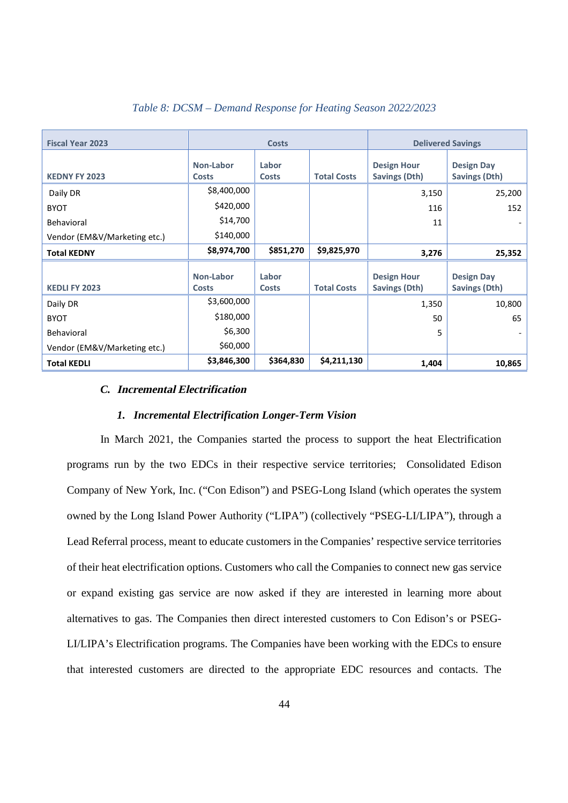| <b>Fiscal Year 2023</b>      | <b>Costs</b>              |                       |                    | <b>Delivered Savings</b>            |                                    |
|------------------------------|---------------------------|-----------------------|--------------------|-------------------------------------|------------------------------------|
| <b>KEDNY FY 2023</b>         | Non-Labor<br><b>Costs</b> | Labor<br><b>Costs</b> | <b>Total Costs</b> | <b>Design Hour</b><br>Savings (Dth) | <b>Design Day</b><br>Savings (Dth) |
| Daily DR                     | \$8,400,000               |                       |                    | 3,150                               | 25,200                             |
| <b>BYOT</b>                  | \$420,000                 |                       |                    | 116                                 | 152                                |
| Behavioral                   | \$14,700                  |                       |                    | 11                                  |                                    |
| Vendor (EM&V/Marketing etc.) | \$140,000                 |                       |                    |                                     |                                    |
| <b>Total KEDNY</b>           | \$8,974,700               | \$851,270             | \$9,825,970        | 3,276                               | 25,352                             |
| <b>KEDLI FY 2023</b>         | Non-Labor<br><b>Costs</b> | Labor<br><b>Costs</b> | <b>Total Costs</b> | <b>Design Hour</b><br>Savings (Dth) | <b>Design Day</b><br>Savings (Dth) |
| Daily DR                     | \$3,600,000               |                       |                    | 1,350                               | 10,800                             |
| <b>BYOT</b>                  | \$180,000                 |                       |                    | 50                                  | 65                                 |
| Behavioral                   | \$6,300                   |                       |                    | 5                                   |                                    |
| Vendor (EM&V/Marketing etc.) | \$60,000                  |                       |                    |                                     |                                    |
| <b>Total KEDLI</b>           | \$3,846,300               | \$364,830             | \$4,211,130        | 1,404                               | 10,865                             |

# *Table 8: DCSM – Demand Response for Heating Season 2022/2023*

#### *C.* **Incremental Electrification**

#### *1. Incremental Electrification Longer-Term Vision*

In March 2021, the Companies started the process to support the heat Electrification programs run by the two EDCs in their respective service territories; Consolidated Edison Company of New York, Inc. ("Con Edison") and PSEG-Long Island (which operates the system owned by the Long Island Power Authority ("LIPA") (collectively "PSEG-LI/LIPA"), through a Lead Referral process, meant to educate customers in the Companies' respective service territories of their heat electrification options. Customers who call the Companies to connect new gas service or expand existing gas service are now asked if they are interested in learning more about alternatives to gas. The Companies then direct interested customers to Con Edison's or PSEG-LI/LIPA's Electrification programs. The Companies have been working with the EDCs to ensure that interested customers are directed to the appropriate EDC resources and contacts. The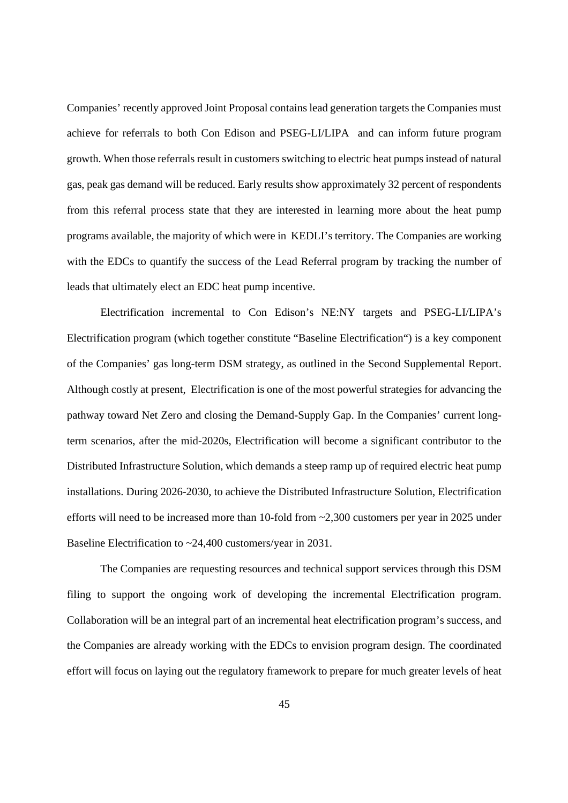Companies' recently approved Joint Proposal contains lead generation targets the Companies must achieve for referrals to both Con Edison and PSEG-LI/LIPA and can inform future program growth. When those referrals result in customers switching to electric heat pumps instead of natural gas, peak gas demand will be reduced. Early results show approximately 32 percent of respondents from this referral process state that they are interested in learning more about the heat pump programs available, the majority of which were in KEDLI's territory. The Companies are working with the EDCs to quantify the success of the Lead Referral program by tracking the number of leads that ultimately elect an EDC heat pump incentive.

Electrification incremental to Con Edison's NE:NY targets and PSEG-LI/LIPA's Electrification program (which together constitute "Baseline Electrification") is a key component of the Companies' gas long-term DSM strategy, as outlined in the Second Supplemental Report. Although costly at present, Electrification is one of the most powerful strategies for advancing the pathway toward Net Zero and closing the Demand-Supply Gap. In the Companies' current longterm scenarios, after the mid-2020s, Electrification will become a significant contributor to the Distributed Infrastructure Solution, which demands a steep ramp up of required electric heat pump installations. During 2026-2030, to achieve the Distributed Infrastructure Solution, Electrification efforts will need to be increased more than 10-fold from ~2,300 customers per year in 2025 under Baseline Electrification to ~24,400 customers/year in 2031.

The Companies are requesting resources and technical support services through this DSM filing to support the ongoing work of developing the incremental Electrification program. Collaboration will be an integral part of an incremental heat electrification program's success, and the Companies are already working with the EDCs to envision program design. The coordinated effort will focus on laying out the regulatory framework to prepare for much greater levels of heat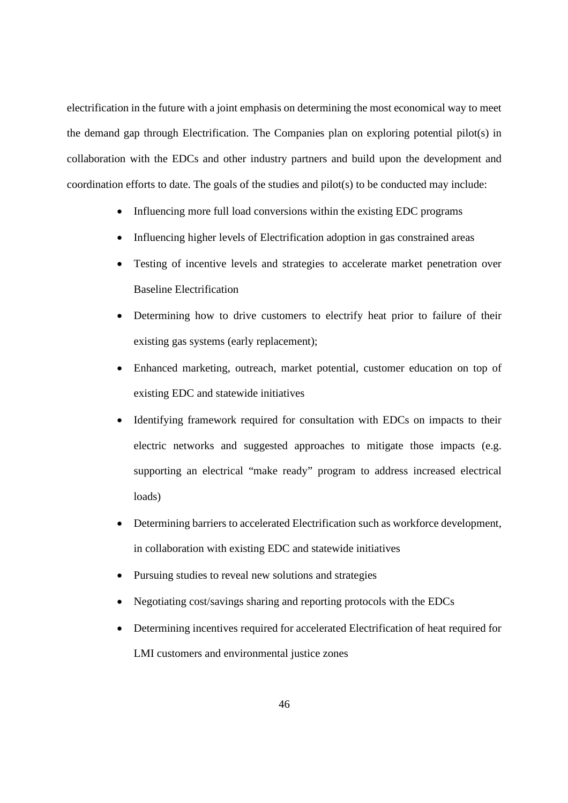electrification in the future with a joint emphasis on determining the most economical way to meet the demand gap through Electrification. The Companies plan on exploring potential pilot(s) in collaboration with the EDCs and other industry partners and build upon the development and coordination efforts to date. The goals of the studies and pilot(s) to be conducted may include:

- Influencing more full load conversions within the existing EDC programs
- Influencing higher levels of Electrification adoption in gas constrained areas
- Testing of incentive levels and strategies to accelerate market penetration over Baseline Electrification
- Determining how to drive customers to electrify heat prior to failure of their existing gas systems (early replacement);
- Enhanced marketing, outreach, market potential, customer education on top of existing EDC and statewide initiatives
- Identifying framework required for consultation with EDCs on impacts to their electric networks and suggested approaches to mitigate those impacts (e.g. supporting an electrical "make ready" program to address increased electrical loads)
- Determining barriers to accelerated Electrification such as workforce development, in collaboration with existing EDC and statewide initiatives
- Pursuing studies to reveal new solutions and strategies
- Negotiating cost/savings sharing and reporting protocols with the EDCs
- Determining incentives required for accelerated Electrification of heat required for LMI customers and environmental justice zones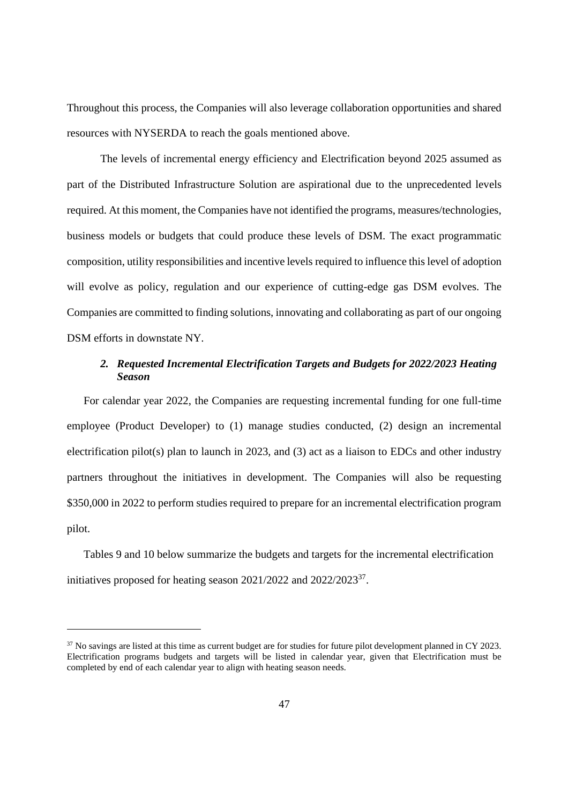Throughout this process, the Companies will also leverage collaboration opportunities and shared resources with NYSERDA to reach the goals mentioned above.

The levels of incremental energy efficiency and Electrification beyond 2025 assumed as part of the Distributed Infrastructure Solution are aspirational due to the unprecedented levels required. At this moment, the Companies have not identified the programs, measures/technologies, business models or budgets that could produce these levels of DSM. The exact programmatic composition, utility responsibilities and incentive levels required to influence this level of adoption will evolve as policy, regulation and our experience of cutting-edge gas DSM evolves. The Companies are committed to finding solutions, innovating and collaborating as part of our ongoing DSM efforts in downstate NY.

# *2. Requested Incremental Electrification Targets and Budgets for 2022/2023 Heating Season*

For calendar year 2022, the Companies are requesting incremental funding for one full-time employee (Product Developer) to (1) manage studies conducted, (2) design an incremental electrification pilot(s) plan to launch in 2023, and (3) act as a liaison to EDCs and other industry partners throughout the initiatives in development. The Companies will also be requesting \$350,000 in 2022 to perform studies required to prepare for an incremental electrification program pilot.

Tables 9 and 10 below summarize the budgets and targets for the incremental electrification initiatives proposed for heating season 2021/2022 and 2022/2023<sup>37</sup>.

 $37$  No savings are listed at this time as current budget are for studies for future pilot development planned in CY 2023. Electrification programs budgets and targets will be listed in calendar year, given that Electrification must be completed by end of each calendar year to align with heating season needs.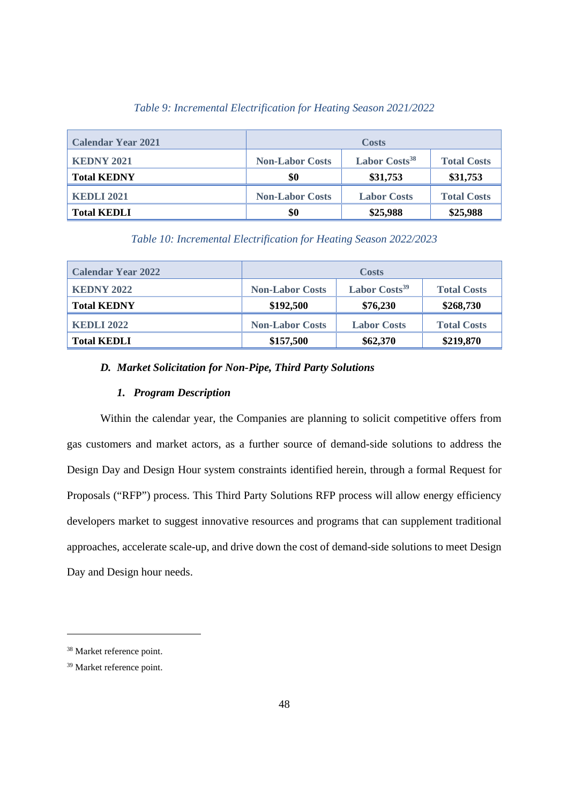| <b>Calendar Year 2021</b> | <b>Costs</b>           |                           |                    |  |  |
|---------------------------|------------------------|---------------------------|--------------------|--|--|
| <b>KEDNY 2021</b>         | <b>Non-Labor Costs</b> | Labor Costs <sup>38</sup> | <b>Total Costs</b> |  |  |
| <b>Total KEDNY</b>        | \$0                    | \$31,753                  | \$31,753           |  |  |
| <b>KEDLI 2021</b>         | <b>Non-Labor Costs</b> | <b>Labor Costs</b>        | <b>Total Costs</b> |  |  |
| <b>Total KEDLI</b>        | \$0                    | \$25,988                  | \$25,988           |  |  |

### *Table 9: Incremental Electrification for Heating Season 2021/2022*

*Table 10: Incremental Electrification for Heating Season 2022/2023*

| <b>Calendar Year 2022</b> |                        | <b>Costs</b>              |                    |
|---------------------------|------------------------|---------------------------|--------------------|
| <b>KEDNY 2022</b>         | <b>Non-Labor Costs</b> | Labor Costs <sup>39</sup> | <b>Total Costs</b> |
| <b>Total KEDNY</b>        | \$192,500              | \$76,230                  | \$268,730          |
| <b>KEDLI 2022</b>         | <b>Non-Labor Costs</b> | <b>Labor Costs</b>        | <b>Total Costs</b> |
| <b>Total KEDLI</b>        | \$157,500              | \$62,370                  | \$219,870          |

### *D. Market Solicitation for Non-Pipe, Third Party Solutions*

## *1. Program Description*

Within the calendar year, the Companies are planning to solicit competitive offers from gas customers and market actors, as a further source of demand-side solutions to address the Design Day and Design Hour system constraints identified herein, through a formal Request for Proposals ("RFP") process. This Third Party Solutions RFP process will allow energy efficiency developers market to suggest innovative resources and programs that can supplement traditional approaches, accelerate scale-up, and drive down the cost of demand-side solutions to meet Design Day and Design hour needs.

<sup>38</sup> Market reference point.

<sup>39</sup> Market reference point.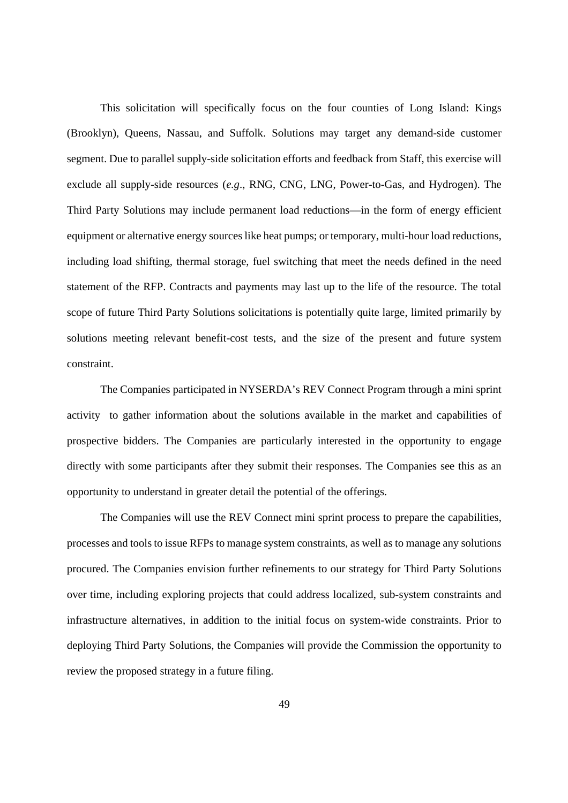This solicitation will specifically focus on the four counties of Long Island: Kings (Brooklyn), Queens, Nassau, and Suffolk. Solutions may target any demand-side customer segment. Due to parallel supply-side solicitation efforts and feedback from Staff, this exercise will exclude all supply-side resources (*e.g*., RNG, CNG, LNG, Power-to-Gas, and Hydrogen). The Third Party Solutions may include permanent load reductions—in the form of energy efficient equipment or alternative energy sources like heat pumps; or temporary, multi-hour load reductions, including load shifting, thermal storage, fuel switching that meet the needs defined in the need statement of the RFP. Contracts and payments may last up to the life of the resource. The total scope of future Third Party Solutions solicitations is potentially quite large, limited primarily by solutions meeting relevant benefit-cost tests, and the size of the present and future system constraint.

The Companies participated in NYSERDA's REV Connect Program through a mini sprint activity to gather information about the solutions available in the market and capabilities of prospective bidders. The Companies are particularly interested in the opportunity to engage directly with some participants after they submit their responses. The Companies see this as an opportunity to understand in greater detail the potential of the offerings.

The Companies will use the REV Connect mini sprint process to prepare the capabilities, processes and tools to issue RFPs to manage system constraints, as well as to manage any solutions procured. The Companies envision further refinements to our strategy for Third Party Solutions over time, including exploring projects that could address localized, sub-system constraints and infrastructure alternatives, in addition to the initial focus on system-wide constraints. Prior to deploying Third Party Solutions, the Companies will provide the Commission the opportunity to review the proposed strategy in a future filing.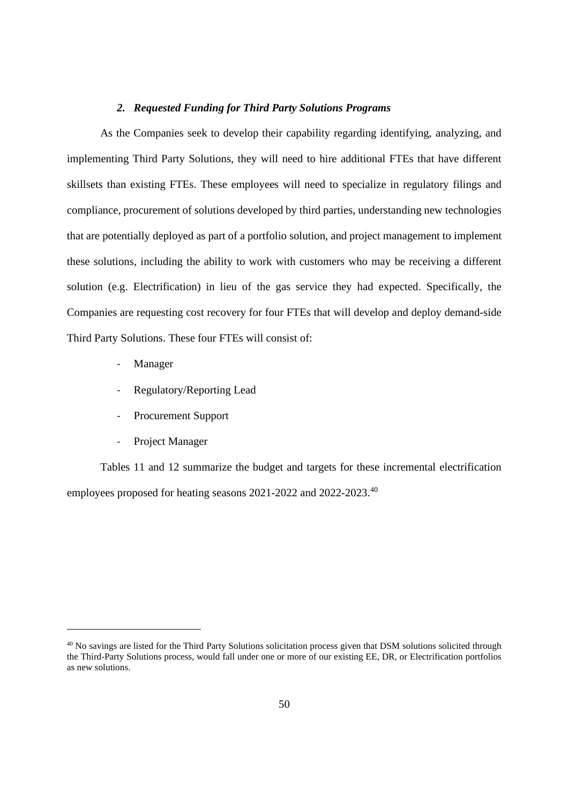#### *2. Requested Funding for Third Party Solutions Programs*

As the Companies seek to develop their capability regarding identifying, analyzing, and implementing Third Party Solutions, they will need to hire additional FTEs that have different skillsets than existing FTEs. These employees will need to specialize in regulatory filings and compliance, procurement of solutions developed by third parties, understanding new technologies that are potentially deployed as part of a portfolio solution, and project management to implement these solutions, including the ability to work with customers who may be receiving a different solution (e.g. Electrification) in lieu of the gas service they had expected. Specifically, the Companies are requesting cost recovery for four FTEs that will develop and deploy demand-side Third Party Solutions. These four FTEs will consist of:

- **Manager**
- Regulatory/Reporting Lead
- Procurement Support
- Project Manager

Tables 11 and 12 summarize the budget and targets for these incremental electrification employees proposed for heating seasons 2021-2022 and 2022-2023.<sup>40</sup>

<sup>&</sup>lt;sup>40</sup> No savings are listed for the Third Party Solutions solicitation process given that DSM solutions solicited through the Third-Party Solutions process, would fall under one or more of our existing EE, DR, or Electrification portfolios as new solutions.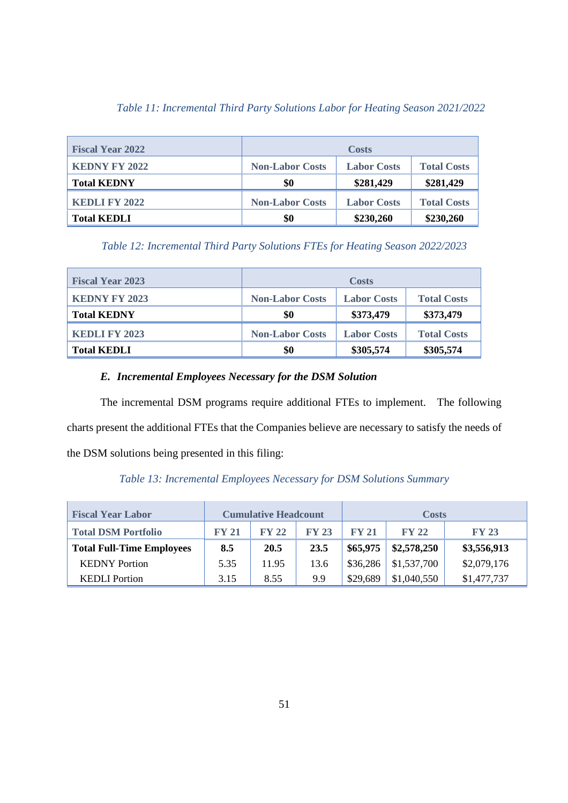| Table 11: Incremental Third Party Solutions Labor for Heating Season 2021/2022 |  |  |  |
|--------------------------------------------------------------------------------|--|--|--|
|--------------------------------------------------------------------------------|--|--|--|

| <b>Fiscal Year 2022</b> |                        | <b>Costs</b>       |                    |
|-------------------------|------------------------|--------------------|--------------------|
| <b>KEDNY FY 2022</b>    | <b>Non-Labor Costs</b> | <b>Labor Costs</b> | <b>Total Costs</b> |
| <b>Total KEDNY</b>      | \$0                    | \$281,429          | \$281,429          |
| <b>KEDLI FY 2022</b>    | <b>Non-Labor Costs</b> | <b>Labor Costs</b> | <b>Total Costs</b> |
| <b>Total KEDLI</b>      | \$0                    | \$230,260          | \$230,260          |

*Table 12: Incremental Third Party Solutions FTEs for Heating Season 2022/2023*

| <b>Fiscal Year 2023</b> |                        | <b>Costs</b>       |                    |
|-------------------------|------------------------|--------------------|--------------------|
| <b>KEDNY FY 2023</b>    | <b>Non-Labor Costs</b> | <b>Labor Costs</b> | <b>Total Costs</b> |
| <b>Total KEDNY</b>      | \$0                    | \$373,479          | \$373,479          |
| <b>KEDLI FY 2023</b>    | <b>Non-Labor Costs</b> | <b>Labor Costs</b> | <b>Total Costs</b> |
| <b>Total KEDLI</b>      | \$0                    | \$305,574          | \$305,574          |

# *E. Incremental Employees Necessary for the DSM Solution*

The incremental DSM programs require additional FTEs to implement. The following charts present the additional FTEs that the Companies believe are necessary to satisfy the needs of the DSM solutions being presented in this filing:

*Table 13: Incremental Employees Necessary for DSM Solutions Summary*

| <b>Fiscal Year Labor</b>         |              | <b>Cumulative Headcount</b> |              |          | <b>Costs</b> |              |
|----------------------------------|--------------|-----------------------------|--------------|----------|--------------|--------------|
| <b>Total DSM Portfolio</b>       | <b>FY 21</b> | <b>FY 22</b>                | <b>FY 23</b> | FY 21    | <b>FY 22</b> | <b>FY 23</b> |
| <b>Total Full-Time Employees</b> | 8.5          | 20.5                        | 23.5         | \$65,975 | \$2,578,250  | \$3,556,913  |
| <b>KEDNY</b> Portion             | 5.35         | 11.95                       | 13.6         | \$36,286 | \$1,537,700  | \$2,079,176  |
| <b>KEDLI</b> Portion             | 3.15         | 8.55                        | 9.9          | \$29,689 | \$1,040,550  | \$1,477,737  |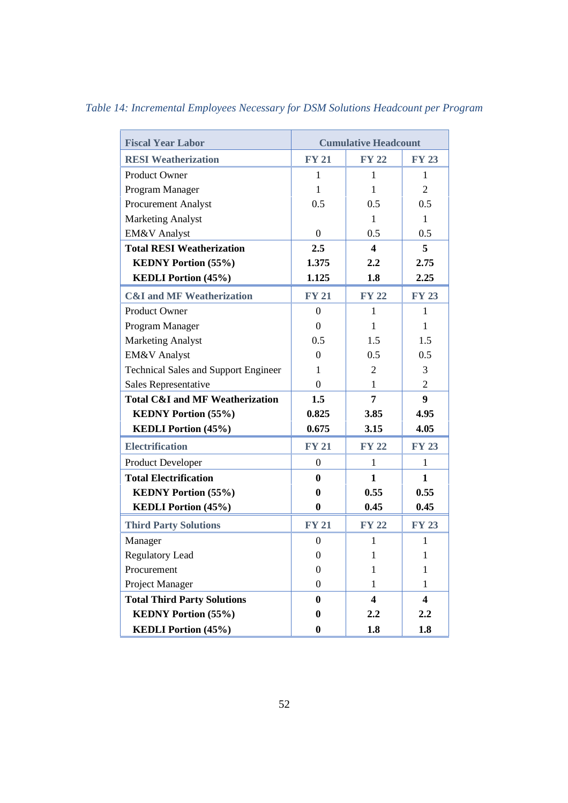| <b>Fiscal Year Labor</b>                    |                  | <b>Cumulative Headcount</b> |                         |
|---------------------------------------------|------------------|-----------------------------|-------------------------|
| <b>RESI</b> Weatherization                  | <b>FY 21</b>     | <b>FY 22</b>                | <b>FY 23</b>            |
| Product Owner                               | 1                | 1                           | 1                       |
| Program Manager                             | 1                | 1                           | $\overline{2}$          |
| <b>Procurement Analyst</b>                  | 0.5              | 0.5                         | 0.5                     |
| <b>Marketing Analyst</b>                    |                  | 1                           | $\mathbf{1}$            |
| EM&V Analyst                                | $\overline{0}$   | 0.5                         | 0.5                     |
| <b>Total RESI Weatherization</b>            | 2.5              | $\overline{\mathbf{4}}$     | 5                       |
| <b>KEDNY Portion (55%)</b>                  | 1.375            | 2.2                         | 2.75                    |
| <b>KEDLI Portion (45%)</b>                  | 1.125            | 1.8                         | 2.25                    |
| <b>C&amp;I</b> and MF Weatherization        | <b>FY 21</b>     | <b>FY 22</b>                | <b>FY 23</b>            |
| Product Owner                               | $\theta$         | 1                           | 1                       |
| Program Manager                             | $\overline{0}$   | $\mathbf{1}$                | $\mathbf{1}$            |
| <b>Marketing Analyst</b>                    | 0.5              | 1.5                         | 1.5                     |
| <b>EM&amp;V</b> Analyst                     | $\Omega$         | 0.5                         | 0.5                     |
| <b>Technical Sales and Support Engineer</b> | 1                | $\overline{2}$              | 3                       |
| Sales Representative                        | $\theta$         | 1                           | $\overline{2}$          |
| <b>Total C&amp;I and MF Weatherization</b>  | 1.5              | $\overline{7}$              | 9                       |
| <b>KEDNY Portion (55%)</b>                  | 0.825            | 3.85                        | 4.95                    |
| <b>KEDLI Portion (45%)</b>                  | 0.675            | 3.15                        | 4.05                    |
| <b>Electrification</b>                      | <b>FY 21</b>     | <b>FY 22</b>                | <b>FY 23</b>            |
| Product Developer                           | $\boldsymbol{0}$ | $\mathbf{1}$                | $\mathbf{1}$            |
| <b>Total Electrification</b>                | $\bf{0}$         | $\mathbf{1}$                | $\mathbf{1}$            |
| <b>KEDNY Portion (55%)</b>                  | $\bf{0}$         | 0.55                        | 0.55                    |
| <b>KEDLI Portion (45%)</b>                  | $\bf{0}$         | 0.45                        | 0.45                    |
| <b>Third Party Solutions</b>                | <b>FY 21</b>     | <b>FY 22</b>                | <b>FY 23</b>            |
| Manager                                     | $\overline{0}$   | $\mathbf{1}$                | $\mathbf{1}$            |
| Regulatory Lead                             | $\mathbf{0}$     | 1                           | 1                       |
| Procurement                                 | $\boldsymbol{0}$ | $\mathbf{1}$                | $\mathbf{1}$            |
| Project Manager                             | $\boldsymbol{0}$ | 1                           | 1                       |
| <b>Total Third Party Solutions</b>          | $\bf{0}$         | $\overline{\mathbf{4}}$     | $\overline{\mathbf{4}}$ |
| <b>KEDNY Portion (55%)</b>                  | $\boldsymbol{0}$ | 2.2                         | 2.2                     |
| <b>KEDLI Portion (45%)</b>                  | $\boldsymbol{0}$ | 1.8                         | 1.8                     |

*Table 14: Incremental Employees Necessary for DSM Solutions Headcount per Program*

l.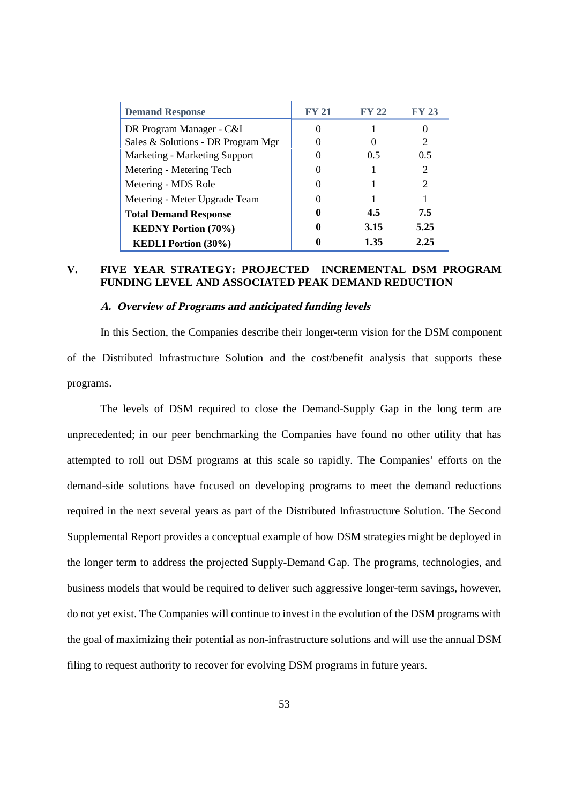| <b>Demand Response</b>             | <b>FY 21</b> | <b>FY 22</b> | <b>FY 23</b>   |
|------------------------------------|--------------|--------------|----------------|
| DR Program Manager - C&I           | $\theta$     |              |                |
| Sales & Solutions - DR Program Mgr |              |              | $\mathfrak{D}$ |
| Marketing - Marketing Support      | 0            | 0.5          | 0.5            |
| Metering - Metering Tech           | 0            |              | $\overline{2}$ |
| Metering - MDS Role                | 0            |              | $\overline{2}$ |
| Metering - Meter Upgrade Team      | 0            |              |                |
| <b>Total Demand Response</b>       | 0            | 4.5          | 7.5            |
| <b>KEDNY Portion (70%)</b>         |              | 3.15         | 5.25           |
| <b>KEDLI Portion (30%)</b>         |              | 1.35         | 2.25           |

# **V. FIVE YEAR STRATEGY: PROJECTED INCREMENTAL DSM PROGRAM FUNDING LEVEL AND ASSOCIATED PEAK DEMAND REDUCTION**

#### **A. Overview of Programs and anticipated funding levels**

In this Section, the Companies describe their longer-term vision for the DSM component of the Distributed Infrastructure Solution and the cost/benefit analysis that supports these programs.

The levels of DSM required to close the Demand-Supply Gap in the long term are unprecedented; in our peer benchmarking the Companies have found no other utility that has attempted to roll out DSM programs at this scale so rapidly. The Companies' efforts on the demand-side solutions have focused on developing programs to meet the demand reductions required in the next several years as part of the Distributed Infrastructure Solution. The Second Supplemental Report provides a conceptual example of how DSM strategies might be deployed in the longer term to address the projected Supply-Demand Gap. The programs, technologies, and business models that would be required to deliver such aggressive longer-term savings, however, do not yet exist. The Companies will continue to invest in the evolution of the DSM programs with the goal of maximizing their potential as non-infrastructure solutions and will use the annual DSM filing to request authority to recover for evolving DSM programs in future years.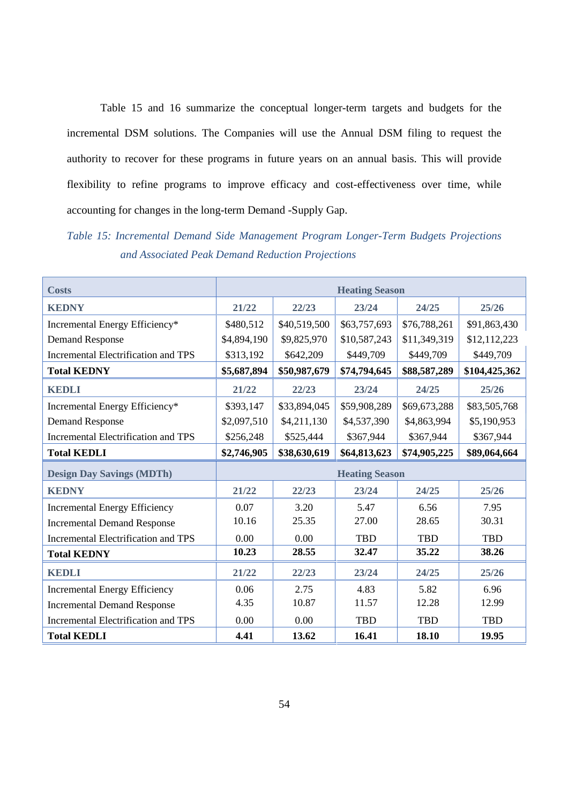Table 15 and 16 summarize the conceptual longer-term targets and budgets for the incremental DSM solutions. The Companies will use the Annual DSM filing to request the authority to recover for these programs in future years on an annual basis. This will provide flexibility to refine programs to improve efficacy and cost-effectiveness over time, while accounting for changes in the long-term Demand -Supply Gap.

*Table 15: Incremental Demand Side Management Program Longer-Term Budgets Projections and Associated Peak Demand Reduction Projections*

| <b>Costs</b>                               | <b>Heating Season</b> |              |                       |              |               |
|--------------------------------------------|-----------------------|--------------|-----------------------|--------------|---------------|
| <b>KEDNY</b>                               | 21/22                 | 22/23        | 23/24                 | 24/25        | 25/26         |
| Incremental Energy Efficiency*             | \$480,512             | \$40,519,500 | \$63,757,693          | \$76,788,261 | \$91,863,430  |
| <b>Demand Response</b>                     | \$4,894,190           | \$9,825,970  | \$10,587,243          | \$11,349,319 | \$12,112,223  |
| <b>Incremental Electrification and TPS</b> | \$313,192             | \$642,209    | \$449,709             | \$449,709    | \$449,709     |
| <b>Total KEDNY</b>                         | \$5,687,894           | \$50,987,679 | \$74,794,645          | \$88,587,289 | \$104,425,362 |
| KEDLI                                      | 21/22                 | 22/23        | 23/24                 | 24/25        | 25/26         |
| Incremental Energy Efficiency*             | \$393,147             | \$33,894,045 | \$59,908,289          | \$69,673,288 | \$83,505,768  |
| <b>Demand Response</b>                     | \$2,097,510           | \$4,211,130  | \$4,537,390           | \$4,863,994  | \$5,190,953   |
| Incremental Electrification and TPS        | \$256,248             | \$525,444    | \$367,944             | \$367,944    | \$367,944     |
| <b>Total KEDLI</b>                         | \$2,746,905           | \$38,630,619 | \$64,813,623          | \$74,905,225 | \$89,064,664  |
| <b>Design Day Savings (MDTh)</b>           |                       |              | <b>Heating Season</b> |              |               |
| <b>KEDNY</b>                               | 21/22                 | 22/23        | 23/24                 | 24/25        | 25/26         |
| <b>Incremental Energy Efficiency</b>       | 0.07                  | 3.20         | 5.47                  | 6.56         | 7.95          |
| <b>Incremental Demand Response</b>         | 10.16                 | 25.35        | 27.00                 | 28.65        | 30.31         |
| Incremental Electrification and TPS        | 0.00                  | 0.00         | TBD                   | <b>TBD</b>   | TBD           |
| <b>Total KEDNY</b>                         | 10.23                 | 28.55        | 32.47                 | 35.22        | 38.26         |
| <b>KEDLI</b>                               | 21/22                 | 22/23        | 23/24                 | 24/25        | 25/26         |
| <b>Incremental Energy Efficiency</b>       | 0.06                  | 2.75         | 4.83                  | 5.82         | 6.96          |
| <b>Incremental Demand Response</b>         | 4.35                  | 10.87        | 11.57                 | 12.28        | 12.99         |
| Incremental Electrification and TPS        | 0.00                  | 0.00         | TBD                   | <b>TBD</b>   | TBD           |
| <b>Total KEDLI</b>                         | 4.41                  | 13.62        | 16.41                 | 18.10        | 19.95         |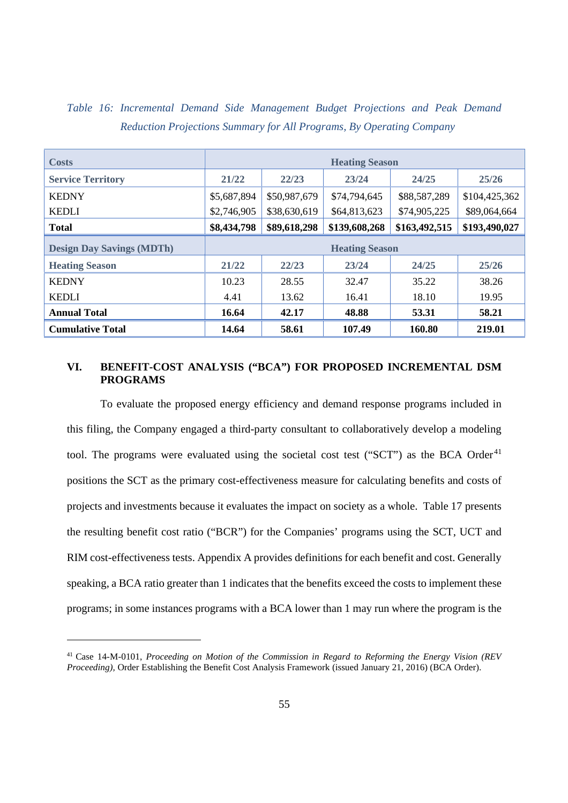| <b>Costs</b>                     | <b>Heating Season</b>                        |              |               |               |               |  |  |
|----------------------------------|----------------------------------------------|--------------|---------------|---------------|---------------|--|--|
| <b>Service Territory</b>         | 21/22                                        | 22/23        | 23/24         | 24/25         | 25/26         |  |  |
| <b>KEDNY</b>                     | \$5,687,894                                  | \$50,987,679 | \$74,794,645  | \$88,587,289  | \$104,425,362 |  |  |
| <b>KEDLI</b>                     | \$2,746,905                                  | \$38,630,619 | \$64,813,623  | \$74,905,225  | \$89,064,664  |  |  |
| <b>Total</b>                     | \$8,434,798                                  | \$89,618,298 | \$139,608,268 | \$163,492,515 | \$193,490,027 |  |  |
| <b>Design Day Savings (MDTh)</b> | <b>Heating Season</b>                        |              |               |               |               |  |  |
| <b>Heating Season</b>            | 21/22                                        | 22/23        | 23/24         | 24/25         | 25/26         |  |  |
| <b>KEDNY</b>                     | 10.23                                        | 28.55        | 32.47         | 35.22         | 38.26         |  |  |
| <b>KEDLI</b>                     | 4.41                                         | 13.62        | 16.41         | 18.10         | 19.95         |  |  |
| <b>Annual Total</b>              | 16.64<br>42.17<br>48.88<br>53.31<br>58.21    |              |               |               |               |  |  |
| <b>Cumulative Total</b>          | 14.64<br>58.61<br>107.49<br>160.80<br>219.01 |              |               |               |               |  |  |

# *Table 16: Incremental Demand Side Management Budget Projections and Peak Demand Reduction Projections Summary for All Programs, By Operating Company*

## **VI. BENEFIT-COST ANALYSIS ("BCA") FOR PROPOSED INCREMENTAL DSM PROGRAMS**

To evaluate the proposed energy efficiency and demand response programs included in this filing, the Company engaged a third-party consultant to collaboratively develop a modeling tool. The programs were evaluated using the societal cost test ("SCT") as the BCA Order<sup>41</sup> positions the SCT as the primary cost-effectiveness measure for calculating benefits and costs of projects and investments because it evaluates the impact on society as a whole. Table 17 presents the resulting benefit cost ratio ("BCR") for the Companies' programs using the SCT, UCT and RIM cost-effectiveness tests. Appendix A provides definitions for each benefit and cost. Generally speaking, a BCA ratio greater than 1 indicates that the benefits exceed the costs to implement these programs; in some instances programs with a BCA lower than 1 may run where the program is the

<sup>41</sup> Case 14-M-0101, *Proceeding on Motion of the Commission in Regard to Reforming the Energy Vision (REV Proceeding),* Order Establishing the Benefit Cost Analysis Framework (issued January 21, 2016) (BCA Order).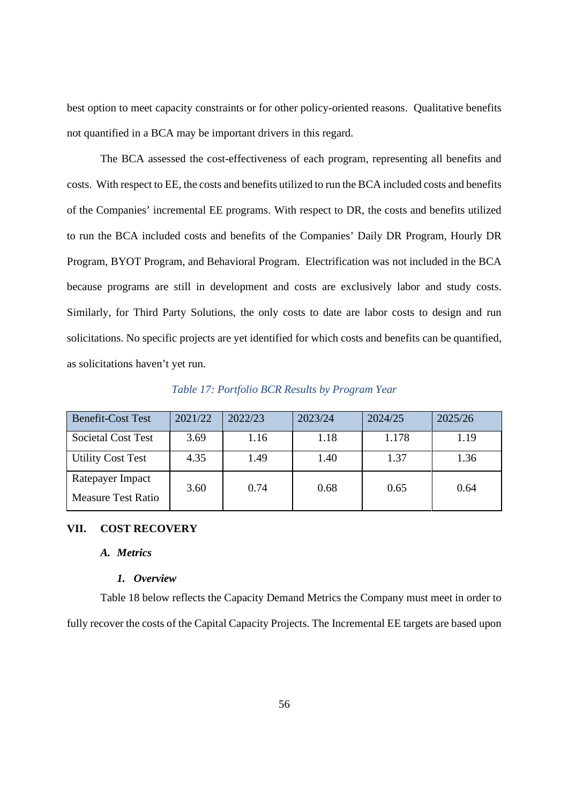best option to meet capacity constraints or for other policy-oriented reasons. Qualitative benefits not quantified in a BCA may be important drivers in this regard.

The BCA assessed the cost-effectiveness of each program, representing all benefits and costs. With respect to EE, the costs and benefits utilized to run the BCA included costs and benefits of the Companies' incremental EE programs. With respect to DR, the costs and benefits utilized to run the BCA included costs and benefits of the Companies' Daily DR Program, Hourly DR Program, BYOT Program, and Behavioral Program. Electrification was not included in the BCA because programs are still in development and costs are exclusively labor and study costs. Similarly, for Third Party Solutions, the only costs to date are labor costs to design and run solicitations. No specific projects are yet identified for which costs and benefits can be quantified, as solicitations haven't yet run.

| <b>Benefit-Cost Test</b>  | 2021/22 | 2022/23 | 2023/24 | 2024/25 | 2025/26 |
|---------------------------|---------|---------|---------|---------|---------|
| <b>Societal Cost Test</b> | 3.69    | 1.16    | 1.18    | 1.178   | 1.19    |
| <b>Utility Cost Test</b>  | 4.35    | 1.49    | 1.40    | 1.37    | 1.36    |
| Ratepayer Impact          | 3.60    | 0.74    | 0.68    | 0.65    | 0.64    |
| Measure Test Ratio        |         |         |         |         |         |

*Table 17: Portfolio BCR Results by Program Year*

#### **VII. COST RECOVERY**

#### *A. Metrics*

#### *1. Overview*

Table 18 below reflects the Capacity Demand Metrics the Company must meet in order to fully recover the costs of the Capital Capacity Projects. The Incremental EE targets are based upon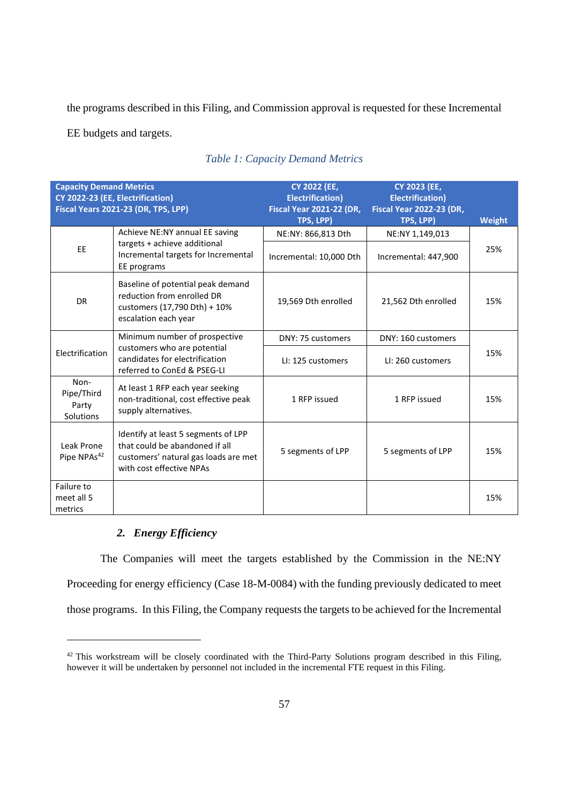the programs described in this Filing, and Commission approval is requested for these Incremental

EE budgets and targets.

| <b>Capacity Demand Metrics</b><br>CY 2022-23 (EE, Electrification)<br>Fiscal Years 2021-23 (DR, TPS, LPP) |                                                                                                                                           | <b>CY 2022 (EE,</b><br><b>Electrification)</b><br><b>Fiscal Year 2021-22 (DR,</b><br>TPS, LPP) | <b>CY 2023 (EE,</b><br><b>Electrification)</b><br><b>Fiscal Year 2022-23 (DR,</b><br>TPS, LPP) | Weight |
|-----------------------------------------------------------------------------------------------------------|-------------------------------------------------------------------------------------------------------------------------------------------|------------------------------------------------------------------------------------------------|------------------------------------------------------------------------------------------------|--------|
|                                                                                                           | Achieve NE:NY annual EE saving                                                                                                            | NE:NY: 866,813 Dth                                                                             | NE:NY 1,149,013                                                                                |        |
| EE                                                                                                        | targets + achieve additional<br>Incremental targets for Incremental<br>EE programs                                                        | Incremental: 10,000 Dth                                                                        | Incremental: 447,900                                                                           | 25%    |
| <b>DR</b>                                                                                                 | Baseline of potential peak demand<br>reduction from enrolled DR<br>customers (17,790 Dth) + 10%<br>escalation each year                   | 19,569 Dth enrolled                                                                            | 21,562 Dth enrolled                                                                            | 15%    |
|                                                                                                           | Minimum number of prospective                                                                                                             | DNY: 75 customers                                                                              | DNY: 160 customers                                                                             |        |
| Electrification                                                                                           | customers who are potential<br>candidates for electrification<br>referred to ConEd & PSEG-LI                                              | LI: 125 customers                                                                              | LI: 260 customers                                                                              | 15%    |
| Non-<br>Pipe/Third<br>Party<br>Solutions                                                                  | At least 1 RFP each year seeking<br>non-traditional, cost effective peak<br>supply alternatives.                                          | 1 RFP issued                                                                                   | 1 RFP issued                                                                                   | 15%    |
| Leak Prone<br>Pipe NPAs <sup>42</sup>                                                                     | Identify at least 5 segments of LPP<br>that could be abandoned if all<br>customers' natural gas loads are met<br>with cost effective NPAs | 5 segments of LPP                                                                              | 5 segments of LPP                                                                              | 15%    |
| Failure to<br>meet all 5<br>metrics                                                                       |                                                                                                                                           |                                                                                                |                                                                                                | 15%    |

# *Table 1: Capacity Demand Metrics*

#### *2. Energy Efficiency*

The Companies will meet the targets established by the Commission in the NE:NY Proceeding for energy efficiency (Case 18-M-0084) with the funding previously dedicated to meet those programs. In this Filing, the Company requests the targets to be achieved for the Incremental

<sup>&</sup>lt;sup>42</sup> This workstream will be closely coordinated with the Third-Party Solutions program described in this Filing, however it will be undertaken by personnel not included in the incremental FTE request in this Filing.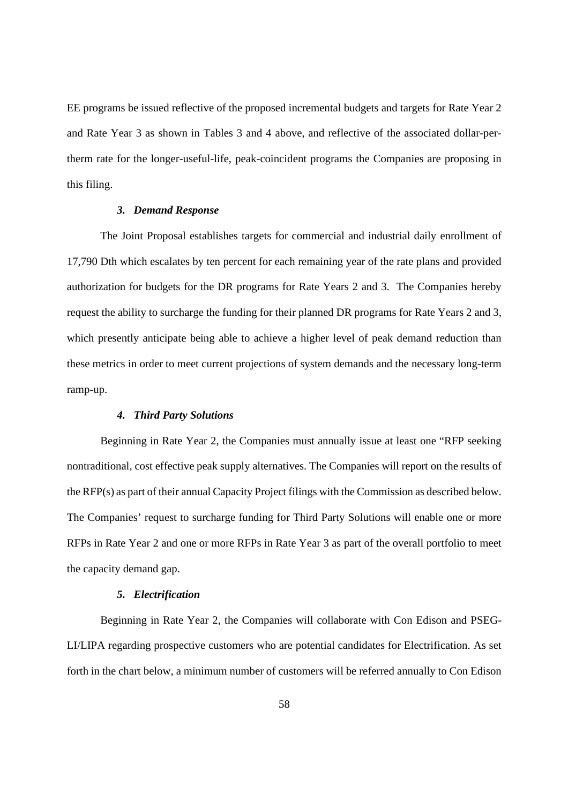EE programs be issued reflective of the proposed incremental budgets and targets for Rate Year 2 and Rate Year 3 as shown in Tables 3 and 4 above, and reflective of the associated dollar-pertherm rate for the longer-useful-life, peak-coincident programs the Companies are proposing in this filing.

#### *3. Demand Response*

The Joint Proposal establishes targets for commercial and industrial daily enrollment of 17,790 Dth which escalates by ten percent for each remaining year of the rate plans and provided authorization for budgets for the DR programs for Rate Years 2 and 3. The Companies hereby request the ability to surcharge the funding for their planned DR programs for Rate Years 2 and 3, which presently anticipate being able to achieve a higher level of peak demand reduction than these metrics in order to meet current projections of system demands and the necessary long-term ramp-up.

#### *4. Third Party Solutions*

Beginning in Rate Year 2, the Companies must annually issue at least one "RFP seeking nontraditional, cost effective peak supply alternatives. The Companies will report on the results of the RFP(s) as part of their annual Capacity Project filings with the Commission as described below. The Companies' request to surcharge funding for Third Party Solutions will enable one or more RFPs in Rate Year 2 and one or more RFPs in Rate Year 3 as part of the overall portfolio to meet the capacity demand gap.

#### *5. Electrification*

Beginning in Rate Year 2, the Companies will collaborate with Con Edison and PSEG-LI/LIPA regarding prospective customers who are potential candidates for Electrification. As set forth in the chart below, a minimum number of customers will be referred annually to Con Edison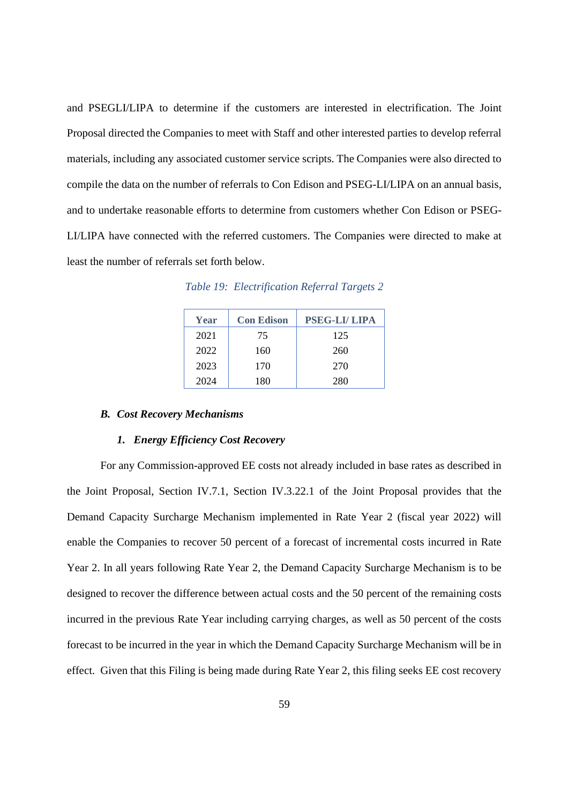and PSEGLI/LIPA to determine if the customers are interested in electrification. The Joint Proposal directed the Companies to meet with Staff and other interested parties to develop referral materials, including any associated customer service scripts. The Companies were also directed to compile the data on the number of referrals to Con Edison and PSEG-LI/LIPA on an annual basis, and to undertake reasonable efforts to determine from customers whether Con Edison or PSEG-LI/LIPA have connected with the referred customers. The Companies were directed to make at least the number of referrals set forth below.

*Table 19: Electrification Referral Targets 2*

| Year | <b>Con Edison</b> | <b>PSEG-LI/LIPA</b> |
|------|-------------------|---------------------|
| 2021 | 75                | 125                 |
| 2022 | 160               | 260                 |
| 2023 | 170               | 270                 |
| 2024 | 180               | 280                 |

#### *B. Cost Recovery Mechanisms*

#### *1. Energy Efficiency Cost Recovery*

For any Commission-approved EE costs not already included in base rates as described in the Joint Proposal, Section IV.7.1, Section IV.3.22.1 of the Joint Proposal provides that the Demand Capacity Surcharge Mechanism implemented in Rate Year 2 (fiscal year 2022) will enable the Companies to recover 50 percent of a forecast of incremental costs incurred in Rate Year 2. In all years following Rate Year 2, the Demand Capacity Surcharge Mechanism is to be designed to recover the difference between actual costs and the 50 percent of the remaining costs incurred in the previous Rate Year including carrying charges, as well as 50 percent of the costs forecast to be incurred in the year in which the Demand Capacity Surcharge Mechanism will be in effect. Given that this Filing is being made during Rate Year 2, this filing seeks EE cost recovery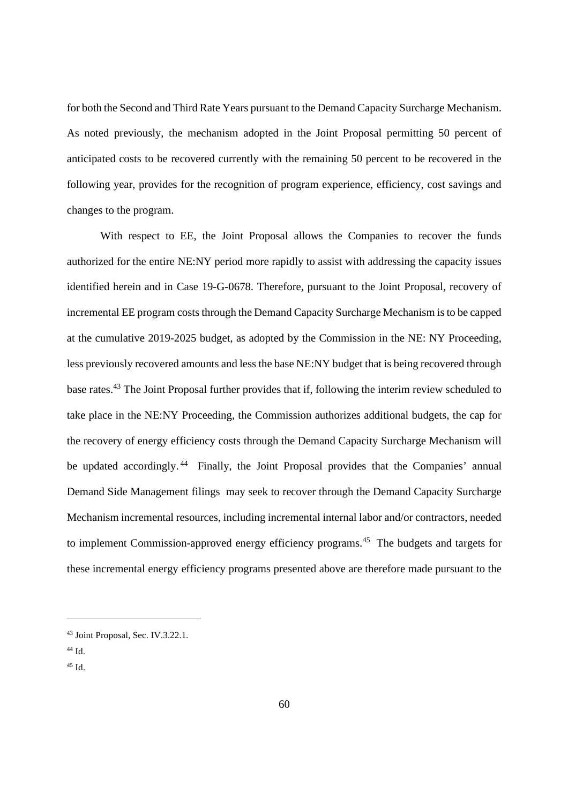for both the Second and Third Rate Years pursuant to the Demand Capacity Surcharge Mechanism. As noted previously, the mechanism adopted in the Joint Proposal permitting 50 percent of anticipated costs to be recovered currently with the remaining 50 percent to be recovered in the following year, provides for the recognition of program experience, efficiency, cost savings and changes to the program.

With respect to EE, the Joint Proposal allows the Companies to recover the funds authorized for the entire NE:NY period more rapidly to assist with addressing the capacity issues identified herein and in Case 19-G-0678. Therefore, pursuant to the Joint Proposal, recovery of incremental EE program costs through the Demand Capacity Surcharge Mechanism is to be capped at the cumulative 2019-2025 budget, as adopted by the Commission in the NE: NY Proceeding, less previously recovered amounts and less the base NE:NY budget that is being recovered through base rates.<sup>43</sup> The Joint Proposal further provides that if, following the interim review scheduled to take place in the NE:NY Proceeding, the Commission authorizes additional budgets, the cap for the recovery of energy efficiency costs through the Demand Capacity Surcharge Mechanism will be updated accordingly.<sup>44</sup> Finally, the Joint Proposal provides that the Companies' annual Demand Side Management filings may seek to recover through the Demand Capacity Surcharge Mechanism incremental resources, including incremental internal labor and/or contractors, needed to implement Commission-approved energy efficiency programs.<sup>45</sup> The budgets and targets for these incremental energy efficiency programs presented above are therefore made pursuant to the

<sup>43</sup> Joint Proposal, Sec. IV.3.22.1.

 $44$  Id.

<sup>45</sup> Id.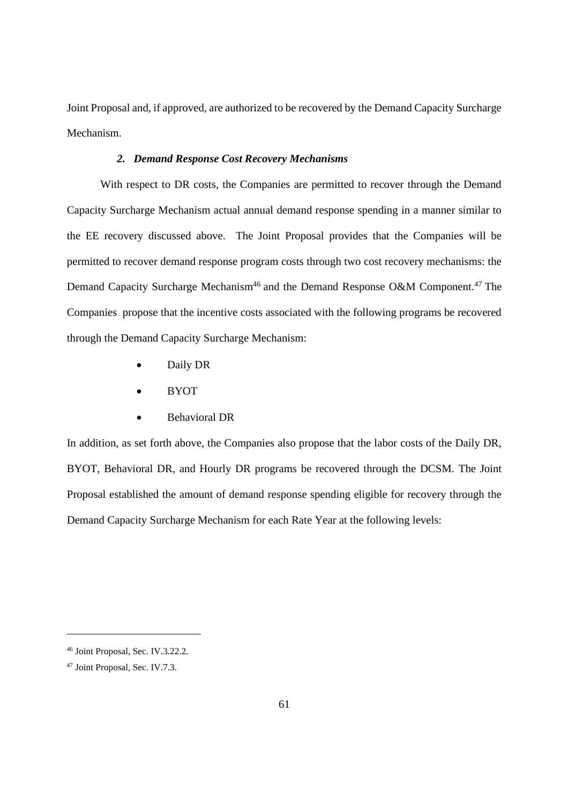Joint Proposal and, if approved, are authorized to be recovered by the Demand Capacity Surcharge Mechanism.

#### *2. Demand Response Cost Recovery Mechanisms*

With respect to DR costs, the Companies are permitted to recover through the Demand Capacity Surcharge Mechanism actual annual demand response spending in a manner similar to the EE recovery discussed above. The Joint Proposal provides that the Companies will be permitted to recover demand response program costs through two cost recovery mechanisms: the Demand Capacity Surcharge Mechanism<sup>46</sup> and the Demand Response O&M Component.<sup>47</sup> The Companies propose that the incentive costs associated with the following programs be recovered through the Demand Capacity Surcharge Mechanism:

- Daily DR
- BYOT
- Behavioral DR

In addition, as set forth above, the Companies also propose that the labor costs of the Daily DR, BYOT, Behavioral DR, and Hourly DR programs be recovered through the DCSM. The Joint Proposal established the amount of demand response spending eligible for recovery through the Demand Capacity Surcharge Mechanism for each Rate Year at the following levels:

<sup>46</sup> Joint Proposal, Sec. IV.3.22.2.

<sup>47</sup> Joint Proposal, Sec. IV.7.3.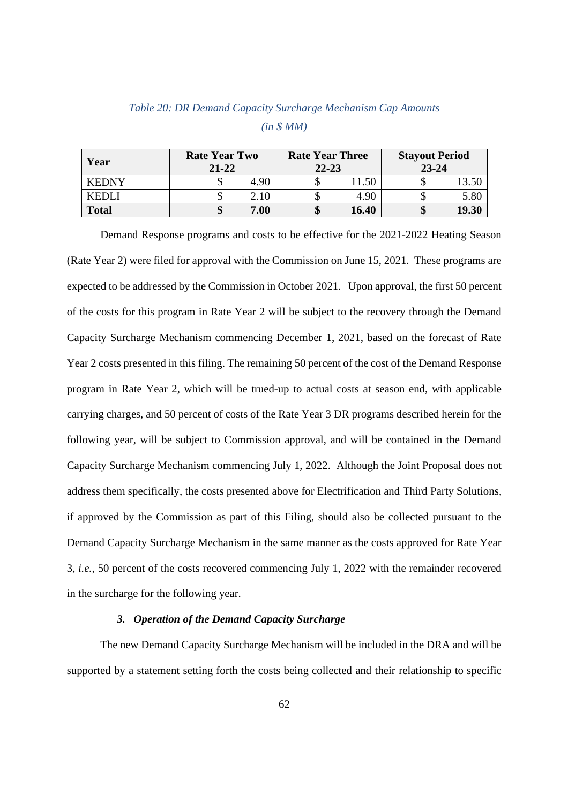| Year         | <b>Rate Year Two</b><br>$21 - 22$ |      | <b>Rate Year Three</b><br>$22 - 23$ |       | <b>Stayout Period</b><br>$23 - 24$ |       |
|--------------|-----------------------------------|------|-------------------------------------|-------|------------------------------------|-------|
| <b>KEDNY</b> |                                   | 4.90 |                                     | 1.50  |                                    | 13.50 |
| KEDL I       |                                   | 2.10 |                                     | 4.90  |                                    | 5.80  |
| <b>Total</b> |                                   | 7.00 |                                     | 16.40 |                                    | 19.30 |

# *Table 20: DR Demand Capacity Surcharge Mechanism Cap Amounts (in \$ MM)*

Demand Response programs and costs to be effective for the 2021-2022 Heating Season (Rate Year 2) were filed for approval with the Commission on June 15, 2021. These programs are expected to be addressed by the Commission in October 2021. Upon approval, the first 50 percent of the costs for this program in Rate Year 2 will be subject to the recovery through the Demand Capacity Surcharge Mechanism commencing December 1, 2021, based on the forecast of Rate Year 2 costs presented in this filing. The remaining 50 percent of the cost of the Demand Response program in Rate Year 2, which will be trued-up to actual costs at season end, with applicable carrying charges, and 50 percent of costs of the Rate Year 3 DR programs described herein for the following year, will be subject to Commission approval, and will be contained in the Demand Capacity Surcharge Mechanism commencing July 1, 2022. Although the Joint Proposal does not address them specifically, the costs presented above for Electrification and Third Party Solutions, if approved by the Commission as part of this Filing, should also be collected pursuant to the Demand Capacity Surcharge Mechanism in the same manner as the costs approved for Rate Year 3, *i.e.,* 50 percent of the costs recovered commencing July 1, 2022 with the remainder recovered in the surcharge for the following year.

## *3. Operation of the Demand Capacity Surcharge*

The new Demand Capacity Surcharge Mechanism will be included in the DRA and will be supported by a statement setting forth the costs being collected and their relationship to specific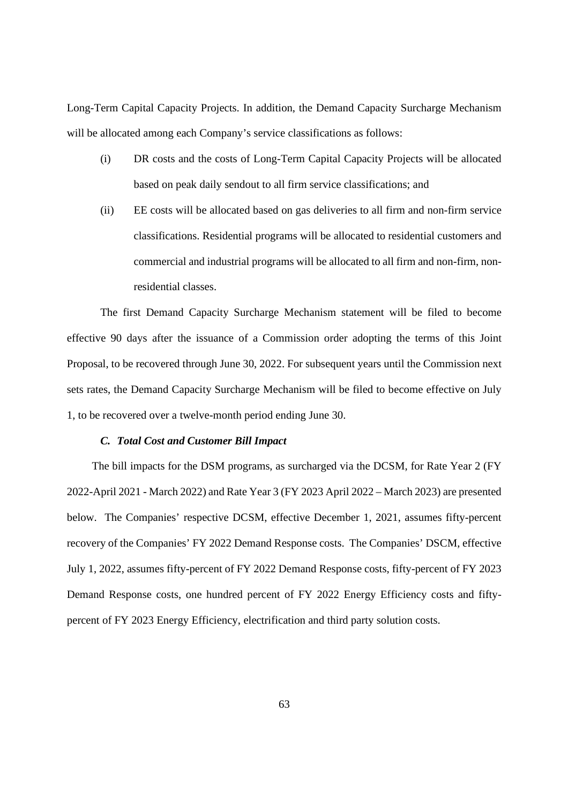Long-Term Capital Capacity Projects. In addition, the Demand Capacity Surcharge Mechanism will be allocated among each Company's service classifications as follows:

- (i) DR costs and the costs of Long-Term Capital Capacity Projects will be allocated based on peak daily sendout to all firm service classifications; and
- (ii) EE costs will be allocated based on gas deliveries to all firm and non-firm service classifications. Residential programs will be allocated to residential customers and commercial and industrial programs will be allocated to all firm and non-firm, nonresidential classes.

The first Demand Capacity Surcharge Mechanism statement will be filed to become effective 90 days after the issuance of a Commission order adopting the terms of this Joint Proposal, to be recovered through June 30, 2022. For subsequent years until the Commission next sets rates, the Demand Capacity Surcharge Mechanism will be filed to become effective on July 1, to be recovered over a twelve-month period ending June 30.

#### *C. Total Cost and Customer Bill Impact*

The bill impacts for the DSM programs, as surcharged via the DCSM, for Rate Year 2 (FY 2022-April 2021 - March 2022) and Rate Year 3 (FY 2023 April 2022 – March 2023) are presented below. The Companies' respective DCSM, effective December 1, 2021, assumes fifty-percent recovery of the Companies' FY 2022 Demand Response costs. The Companies' DSCM, effective July 1, 2022, assumes fifty-percent of FY 2022 Demand Response costs, fifty-percent of FY 2023 Demand Response costs, one hundred percent of FY 2022 Energy Efficiency costs and fiftypercent of FY 2023 Energy Efficiency, electrification and third party solution costs.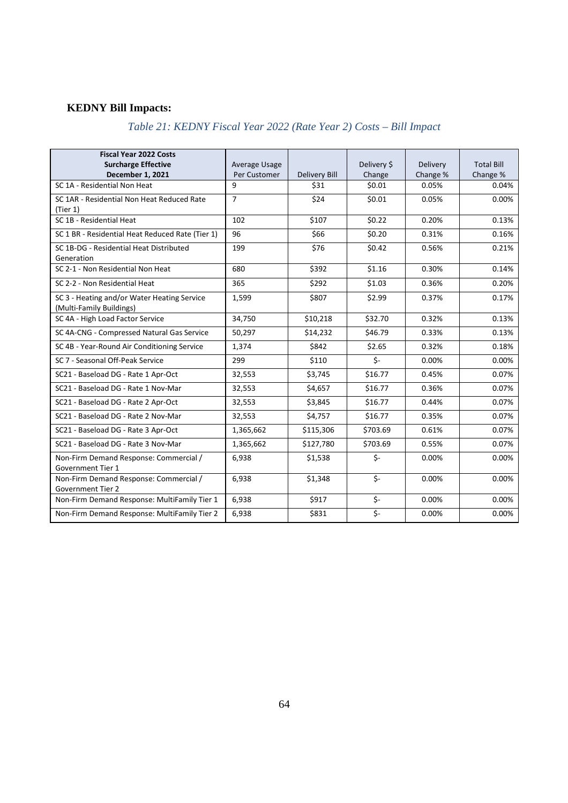# **KEDNY Bill Impacts:**

# *Table 21: KEDNY Fiscal Year 2022 (Rate Year 2) Costs – Bill Impact*

| <b>Fiscal Year 2022 Costs</b><br><b>Surcharge Effective</b><br><b>December 1, 2021</b> | Average Usage<br>Per Customer | <b>Delivery Bill</b> | Delivery \$<br>Change   | Delivery<br>Change % | <b>Total Bill</b><br>Change % |
|----------------------------------------------------------------------------------------|-------------------------------|----------------------|-------------------------|----------------------|-------------------------------|
| SC 1A - Residential Non Heat                                                           | 9                             | \$31                 | \$0.01                  | 0.05%                | 0.04%                         |
| SC 1AR - Residential Non Heat Reduced Rate<br>(Tier 1)                                 | $\overline{7}$                | \$24                 | \$0.01                  | 0.05%                | 0.00%                         |
| SC 1B - Residential Heat                                                               | 102                           | \$107                | \$0.22                  | 0.20%                | 0.13%                         |
| SC 1 BR - Residential Heat Reduced Rate (Tier 1)                                       | 96                            | \$66                 | \$0.20                  | 0.31%                | 0.16%                         |
| SC 1B-DG - Residential Heat Distributed<br>Generation                                  | 199                           | \$76                 | \$0.42                  | 0.56%                | 0.21%                         |
| SC 2-1 - Non Residential Non Heat                                                      | 680                           | \$392                | \$1.16                  | 0.30%                | 0.14%                         |
| SC 2-2 - Non Residential Heat                                                          | 365                           | \$292                | \$1.03                  | 0.36%                | 0.20%                         |
| SC 3 - Heating and/or Water Heating Service<br>(Multi-Family Buildings)                | 1,599                         | \$807                | \$2.99                  | 0.37%                | 0.17%                         |
| SC 4A - High Load Factor Service                                                       | 34,750                        | \$10,218             | \$32.70                 | 0.32%                | 0.13%                         |
| SC 4A-CNG - Compressed Natural Gas Service                                             | 50,297                        | \$14,232             | \$46.79                 | 0.33%                | 0.13%                         |
| SC 4B - Year-Round Air Conditioning Service                                            | 1,374                         | \$842                | \$2.65                  | 0.32%                | 0.18%                         |
| SC 7 - Seasonal Off-Peak Service                                                       | 299                           | \$110                | \$-                     | 0.00%                | 0.00%                         |
| SC21 - Baseload DG - Rate 1 Apr-Oct                                                    | 32,553                        | \$3,745              | \$16.77                 | 0.45%                | 0.07%                         |
| SC21 - Baseload DG - Rate 1 Nov-Mar                                                    | 32,553                        | \$4,657              | \$16.77                 | 0.36%                | 0.07%                         |
| SC21 - Baseload DG - Rate 2 Apr-Oct                                                    | 32,553                        | \$3,845              | \$16.77                 | 0.44%                | 0.07%                         |
| SC21 - Baseload DG - Rate 2 Nov-Mar                                                    | 32.553                        | \$4,757              | \$16.77                 | 0.35%                | 0.07%                         |
| SC21 - Baseload DG - Rate 3 Apr-Oct                                                    | 1,365,662                     | \$115,306            | \$703.69                | 0.61%                | 0.07%                         |
| SC21 - Baseload DG - Rate 3 Nov-Mar                                                    | 1,365,662                     | \$127,780            | \$703.69                | 0.55%                | 0.07%                         |
| Non-Firm Demand Response: Commercial /<br>Government Tier 1                            | 6,938                         | \$1,538              | $\zeta$ -               | 0.00%                | 0.00%                         |
| Non-Firm Demand Response: Commercial /<br><b>Government Tier 2</b>                     | 6,938                         | \$1,348              | $\overline{\mathsf{S}}$ | 0.00%                | 0.00%                         |
| Non-Firm Demand Response: MultiFamily Tier 1                                           | 6,938                         | \$917                | $\overline{\mathsf{S}}$ | 0.00%                | 0.00%                         |
| Non-Firm Demand Response: MultiFamily Tier 2                                           | 6,938                         | \$831                | $\overline{\mathsf{S}}$ | 0.00%                | 0.00%                         |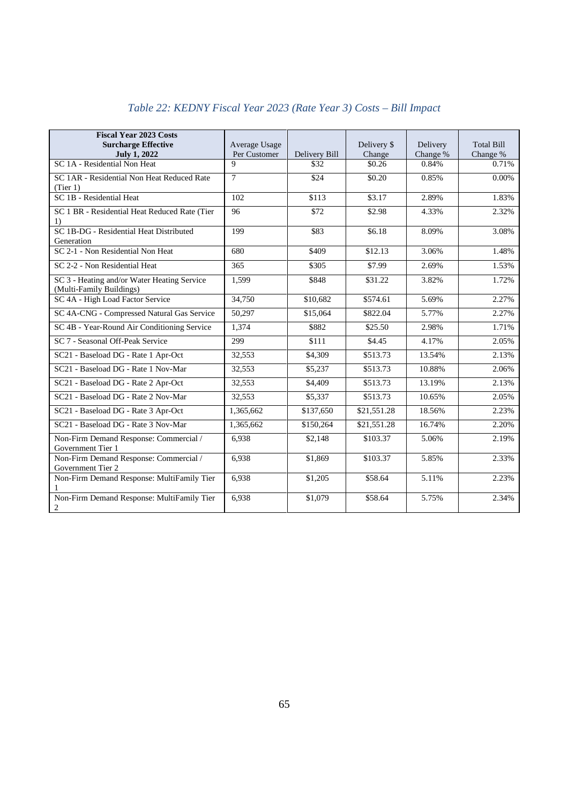| <b>Fiscal Year 2023 Costs</b>                                           |                               |               |                       |                      |                               |
|-------------------------------------------------------------------------|-------------------------------|---------------|-----------------------|----------------------|-------------------------------|
| <b>Surcharge Effective</b><br><b>July 1, 2022</b>                       | Average Usage<br>Per Customer | Delivery Bill | Delivery \$<br>Change | Delivery<br>Change % | <b>Total Bill</b><br>Change % |
| SC 1A - Residential Non Heat                                            | 9                             | \$32          | \$0.26                | 0.84%                | 0.71%                         |
| SC 1AR - Residential Non Heat Reduced Rate<br>(Tier 1)                  | $\overline{7}$                | \$24          | \$0.20                | 0.85%                | 0.00%                         |
| SC 1B - Residential Heat                                                | 102                           | \$113         | \$3.17                | 2.89%                | 1.83%                         |
| SC 1 BR - Residential Heat Reduced Rate (Tier<br>1)                     | 96                            | \$72          | \$2.98                | 4.33%                | 2.32%                         |
| SC 1B-DG - Residential Heat Distributed<br>Generation                   | 199                           | \$83          | \$6.18                | 8.09%                | 3.08%                         |
| SC 2-1 - Non Residential Non Heat                                       | 680                           | \$409         | \$12.13               | 3.06%                | 1.48%                         |
| SC 2-2 - Non Residential Heat                                           | 365                           | \$305         | \$7.99                | 2.69%                | 1.53%                         |
| SC 3 - Heating and/or Water Heating Service<br>(Multi-Family Buildings) | 1,599                         | \$848         | \$31.22               | 3.82%                | 1.72%                         |
| SC 4A - High Load Factor Service                                        | 34,750                        | \$10,682      | \$574.61              | 5.69%                | 2.27%                         |
| SC 4A-CNG - Compressed Natural Gas Service                              | 50,297                        | \$15,064      | \$822.04              | 5.77%                | 2.27%                         |
| SC 4B - Year-Round Air Conditioning Service                             | 1,374                         | \$882         | \$25.50               | 2.98%                | 1.71%                         |
| SC 7 - Seasonal Off-Peak Service                                        | 299                           | \$111         | \$4.45                | 4.17%                | 2.05%                         |
| SC21 - Baseload DG - Rate 1 Apr-Oct                                     | 32,553                        | \$4,309       | \$513.73              | 13.54%               | 2.13%                         |
| SC21 - Baseload DG - Rate 1 Nov-Mar                                     | 32,553                        | \$5,237       | \$513.73              | 10.88%               | 2.06%                         |
| SC21 - Baseload DG - Rate 2 Apr-Oct                                     | 32,553                        | \$4,409       | \$513.73              | 13.19%               | 2.13%                         |
| SC21 - Baseload DG - Rate 2 Nov-Mar                                     | 32,553                        | \$5,337       | \$513.73              | 10.65%               | 2.05%                         |
| SC21 - Baseload DG - Rate 3 Apr-Oct                                     | 1,365,662                     | \$137,650     | \$21,551.28           | 18.56%               | 2.23%                         |
| SC21 - Baseload DG - Rate 3 Nov-Mar                                     | 1,365,662                     | \$150,264     | \$21,551.28           | 16.74%               | 2.20%                         |
| Non-Firm Demand Response: Commercial /<br>Government Tier 1             | 6,938                         | \$2,148       | \$103.37              | 5.06%                | 2.19%                         |
| Non-Firm Demand Response: Commercial /<br>Government Tier 2             | 6,938                         | \$1,869       | \$103.37              | 5.85%                | 2.33%                         |
| Non-Firm Demand Response: MultiFamily Tier                              | 6.938                         | \$1,205       | \$58.64               | 5.11%                | 2.23%                         |
| Non-Firm Demand Response: MultiFamily Tier<br>$\boldsymbol{2}$          | 6,938                         | \$1,079       | \$58.64               | 5.75%                | 2.34%                         |

# *Table 22: KEDNY Fiscal Year 2023 (Rate Year 3) Costs – Bill Impact*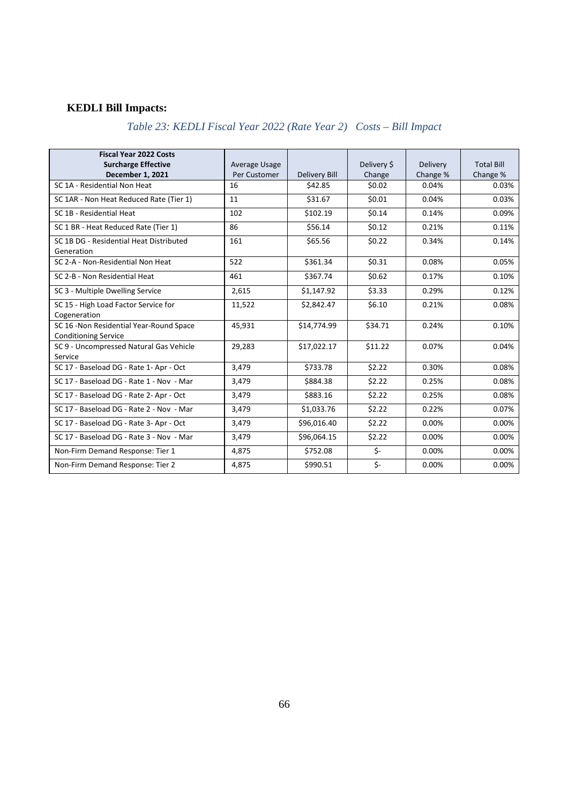# **KEDLI Bill Impacts:**

# *Table 23: KEDLI Fiscal Year 2022 (Rate Year 2) Costs – Bill Impact*

| <b>Fiscal Year 2022 Costs</b><br><b>Surcharge Effective</b><br><b>December 1, 2021</b> | Average Usage<br>Per Customer | <b>Delivery Bill</b> | Delivery \$<br>Change | Delivery<br>Change % | <b>Total Bill</b><br>Change % |
|----------------------------------------------------------------------------------------|-------------------------------|----------------------|-----------------------|----------------------|-------------------------------|
| SC 1A - Residential Non Heat                                                           | 16                            | \$42.85              | \$0.02                | 0.04%                | 0.03%                         |
| SC 1AR - Non Heat Reduced Rate (Tier 1)                                                | 11                            | \$31.67              | \$0.01                | 0.04%                | 0.03%                         |
| SC 1B - Residential Heat                                                               | 102                           | \$102.19             | \$0.14                | 0.14%                | 0.09%                         |
| SC 1 BR - Heat Reduced Rate (Tier 1)                                                   | 86                            | \$56.14              | \$0.12                | 0.21%                | 0.11%                         |
| SC 1B DG - Residential Heat Distributed<br>Generation                                  | 161                           | \$65.56              | \$0.22                | 0.34%                | 0.14%                         |
| SC 2-A - Non-Residential Non Heat                                                      | 522                           | \$361.34             | \$0.31                | 0.08%                | 0.05%                         |
| SC 2-B - Non Residential Heat                                                          | 461                           | \$367.74             | \$0.62                | 0.17%                | 0.10%                         |
| SC 3 - Multiple Dwelling Service                                                       | 2,615                         | \$1,147.92           | \$3.33                | 0.29%                | 0.12%                         |
| SC 15 - High Load Factor Service for<br>Cogeneration                                   | 11,522                        | \$2,842.47           | \$6.10                | 0.21%                | 0.08%                         |
| SC 16 -Non Residential Year-Round Space<br><b>Conditioning Service</b>                 | 45,931                        | \$14,774.99          | \$34.71               | 0.24%                | 0.10%                         |
| SC 9 - Uncompressed Natural Gas Vehicle<br>Service                                     | 29,283                        | \$17,022.17          | \$11.22               | 0.07%                | 0.04%                         |
| SC 17 - Baseload DG - Rate 1- Apr - Oct                                                | 3,479                         | \$733.78             | \$2.22                | 0.30%                | 0.08%                         |
| SC 17 - Baseload DG - Rate 1 - Nov - Mar                                               | 3,479                         | \$884.38             | \$2.22                | 0.25%                | 0.08%                         |
| SC 17 - Baseload DG - Rate 2- Apr - Oct                                                | 3,479                         | \$883.16             | \$2.22                | 0.25%                | 0.08%                         |
| SC 17 - Baseload DG - Rate 2 - Nov - Mar                                               | 3,479                         | \$1,033.76           | \$2.22                | 0.22%                | 0.07%                         |
| SC 17 - Baseload DG - Rate 3- Apr - Oct                                                | 3,479                         | \$96,016.40          | \$2.22                | 0.00%                | 0.00%                         |
| SC 17 - Baseload DG - Rate 3 - Nov - Mar                                               | 3,479                         | \$96,064.15          | \$2.22                | 0.00%                | 0.00%                         |
| Non-Firm Demand Response: Tier 1                                                       | 4,875                         | \$752.08             | \$-                   | 0.00%                | 0.00%                         |
| Non-Firm Demand Response: Tier 2                                                       | 4.875                         | \$990.51             | \$-                   | 0.00%                | 0.00%                         |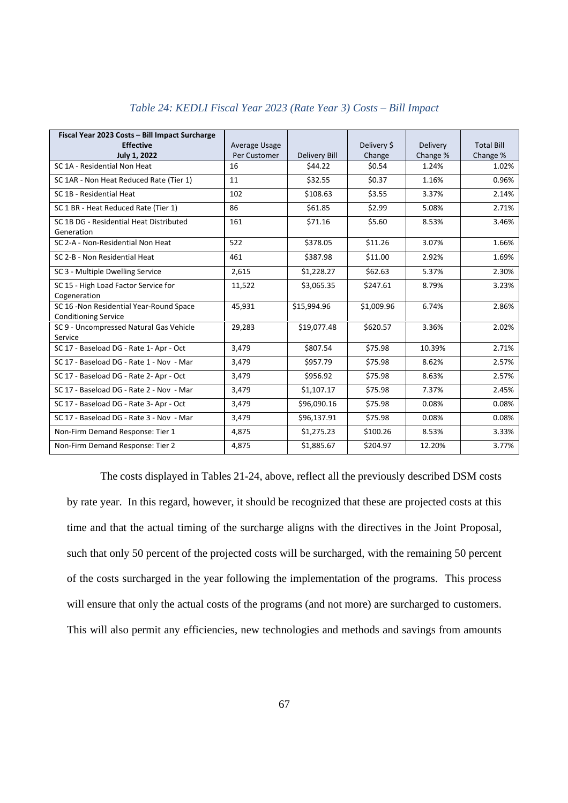| Fiscal Year 2023 Costs - Bill Impact Surcharge                          |               |                      |             |          |                   |
|-------------------------------------------------------------------------|---------------|----------------------|-------------|----------|-------------------|
| <b>Effective</b>                                                        | Average Usage |                      | Delivery \$ | Delivery | <b>Total Bill</b> |
| July 1, 2022                                                            | Per Customer  | <b>Delivery Bill</b> | Change      | Change % | Change %          |
| SC 1A - Residential Non Heat                                            | 16            | \$44.22              | \$0.54      | 1.24%    | 1.02%             |
| SC 1AR - Non Heat Reduced Rate (Tier 1)                                 | 11            | \$32.55              | \$0.37      | 1.16%    | 0.96%             |
| SC 1B - Residential Heat                                                | 102           | \$108.63             | \$3.55      | 3.37%    | 2.14%             |
| SC 1 BR - Heat Reduced Rate (Tier 1)                                    | 86            | \$61.85              | \$2.99      | 5.08%    | 2.71%             |
| SC 1B DG - Residential Heat Distributed<br>Generation                   | 161           | \$71.16              | \$5.60      | 8.53%    | 3.46%             |
| SC 2-A - Non-Residential Non Heat                                       | 522           | \$378.05             | \$11.26     | 3.07%    | 1.66%             |
| SC 2-B - Non Residential Heat                                           | 461           | \$387.98             | \$11.00     | 2.92%    | 1.69%             |
| SC 3 - Multiple Dwelling Service                                        | 2,615         | \$1,228.27           | \$62.63     | 5.37%    | 2.30%             |
| SC 15 - High Load Factor Service for<br>Cogeneration                    | 11,522        | \$3,065.35           | \$247.61    | 8.79%    | 3.23%             |
| SC 16 - Non Residential Year-Round Space<br><b>Conditioning Service</b> | 45,931        | \$15,994.96          | \$1,009.96  | 6.74%    | 2.86%             |
| SC 9 - Uncompressed Natural Gas Vehicle<br>Service                      | 29,283        | \$19,077.48          | \$620.57    | 3.36%    | 2.02%             |
| SC 17 - Baseload DG - Rate 1- Apr - Oct                                 | 3,479         | \$807.54             | \$75.98     | 10.39%   | 2.71%             |
| SC 17 - Baseload DG - Rate 1 - Nov - Mar                                | 3,479         | \$957.79             | \$75.98     | 8.62%    | 2.57%             |
| SC 17 - Baseload DG - Rate 2- Apr - Oct                                 | 3,479         | \$956.92             | \$75.98     | 8.63%    | 2.57%             |
| SC 17 - Baseload DG - Rate 2 - Nov - Mar                                | 3,479         | \$1,107.17           | \$75.98     | 7.37%    | 2.45%             |
| SC 17 - Baseload DG - Rate 3- Apr - Oct                                 | 3,479         | \$96,090.16          | \$75.98     | 0.08%    | 0.08%             |
| SC 17 - Baseload DG - Rate 3 - Nov - Mar                                | 3,479         | \$96,137.91          | \$75.98     | 0.08%    | 0.08%             |
| Non-Firm Demand Response: Tier 1                                        | 4,875         | \$1,275.23           | \$100.26    | 8.53%    | 3.33%             |
| Non-Firm Demand Response: Tier 2                                        | 4,875         | \$1,885.67           | \$204.97    | 12.20%   | 3.77%             |

#### *Table 24: KEDLI Fiscal Year 2023 (Rate Year 3) Costs – Bill Impact*

The costs displayed in Tables 21-24, above, reflect all the previously described DSM costs by rate year. In this regard, however, it should be recognized that these are projected costs at this time and that the actual timing of the surcharge aligns with the directives in the Joint Proposal, such that only 50 percent of the projected costs will be surcharged, with the remaining 50 percent of the costs surcharged in the year following the implementation of the programs. This process will ensure that only the actual costs of the programs (and not more) are surcharged to customers. This will also permit any efficiencies, new technologies and methods and savings from amounts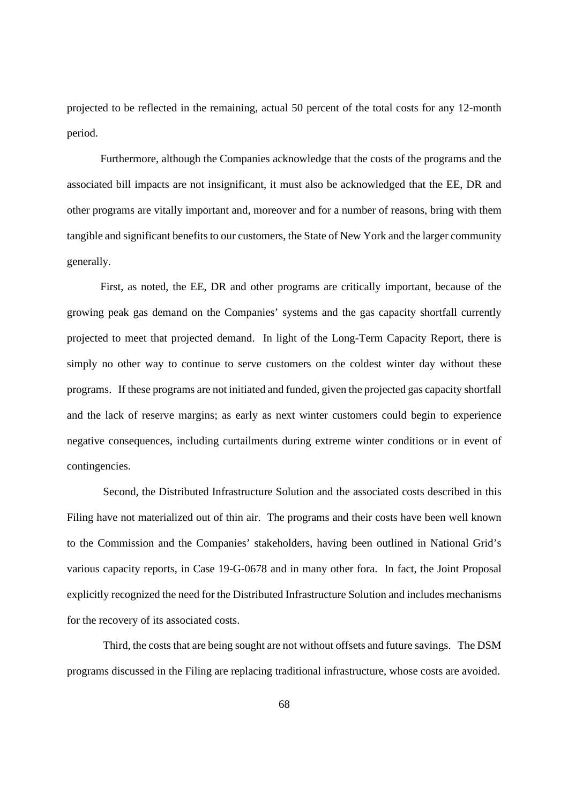projected to be reflected in the remaining, actual 50 percent of the total costs for any 12-month period.

Furthermore, although the Companies acknowledge that the costs of the programs and the associated bill impacts are not insignificant, it must also be acknowledged that the EE, DR and other programs are vitally important and, moreover and for a number of reasons, bring with them tangible and significant benefits to our customers, the State of New York and the larger community generally.

First, as noted, the EE, DR and other programs are critically important, because of the growing peak gas demand on the Companies' systems and the gas capacity shortfall currently projected to meet that projected demand. In light of the Long-Term Capacity Report, there is simply no other way to continue to serve customers on the coldest winter day without these programs. If these programs are not initiated and funded, given the projected gas capacity shortfall and the lack of reserve margins; as early as next winter customers could begin to experience negative consequences, including curtailments during extreme winter conditions or in event of contingencies.

Second, the Distributed Infrastructure Solution and the associated costs described in this Filing have not materialized out of thin air. The programs and their costs have been well known to the Commission and the Companies' stakeholders, having been outlined in National Grid's various capacity reports, in Case 19-G-0678 and in many other fora. In fact, the Joint Proposal explicitly recognized the need for the Distributed Infrastructure Solution and includes mechanisms for the recovery of its associated costs.

Third, the costs that are being sought are not without offsets and future savings. The DSM programs discussed in the Filing are replacing traditional infrastructure, whose costs are avoided.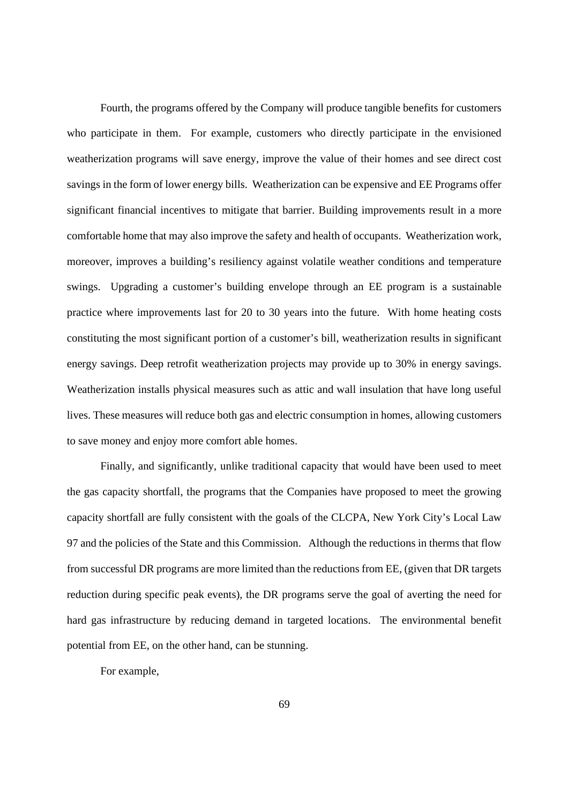Fourth, the programs offered by the Company will produce tangible benefits for customers who participate in them. For example, customers who directly participate in the envisioned weatherization programs will save energy, improve the value of their homes and see direct cost savings in the form of lower energy bills. Weatherization can be expensive and EE Programs offer significant financial incentives to mitigate that barrier. Building improvements result in a more comfortable home that may also improve the safety and health of occupants. Weatherization work, moreover, improves a building's resiliency against volatile weather conditions and temperature swings. Upgrading a customer's building envelope through an EE program is a sustainable practice where improvements last for 20 to 30 years into the future. With home heating costs constituting the most significant portion of a customer's bill, weatherization results in significant energy savings. Deep retrofit weatherization projects may provide up to 30% in energy savings. Weatherization installs physical measures such as attic and wall insulation that have long useful lives. These measures will reduce both gas and electric consumption in homes, allowing customers to save money and enjoy more comfort able homes.

Finally, and significantly, unlike traditional capacity that would have been used to meet the gas capacity shortfall, the programs that the Companies have proposed to meet the growing capacity shortfall are fully consistent with the goals of the CLCPA, New York City's Local Law 97 and the policies of the State and this Commission. Although the reductions in therms that flow from successful DR programs are more limited than the reductions from EE, (given that DR targets reduction during specific peak events), the DR programs serve the goal of averting the need for hard gas infrastructure by reducing demand in targeted locations. The environmental benefit potential from EE, on the other hand, can be stunning.

For example,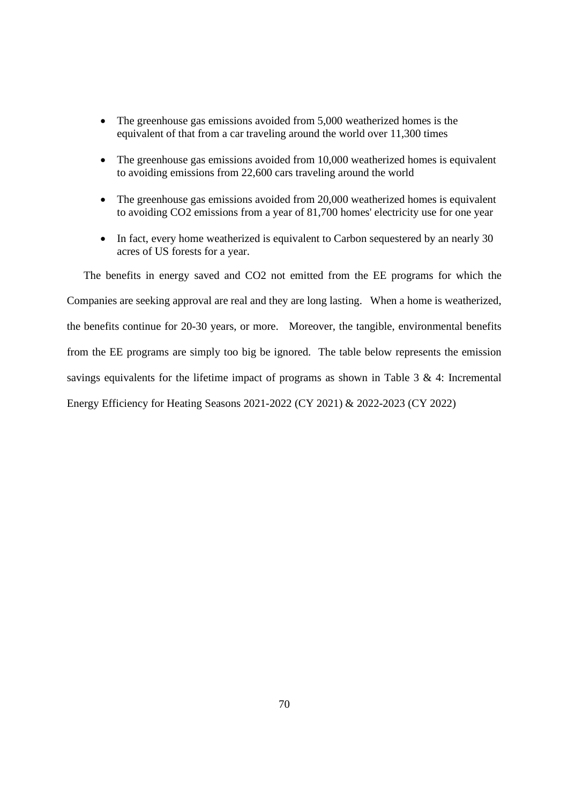- The greenhouse gas emissions avoided from 5,000 weatherized homes is the equivalent of that from a car traveling around the world over 11,300 times
- The greenhouse gas emissions avoided from 10,000 weatherized homes is equivalent to avoiding emissions from 22,600 cars traveling around the world
- The greenhouse gas emissions avoided from 20,000 weatherized homes is equivalent to avoiding CO2 emissions from a year of 81,700 homes' electricity use for one year
- In fact, every home weatherized is equivalent to Carbon sequestered by an nearly 30 acres of US forests for a year.

The benefits in energy saved and CO2 not emitted from the EE programs for which the Companies are seeking approval are real and they are long lasting. When a home is weatherized, the benefits continue for 20-30 years, or more. Moreover, the tangible, environmental benefits from the EE programs are simply too big be ignored. The table below represents the emission savings equivalents for the lifetime impact of programs as shown in Table 3 & 4: Incremental Energy Efficiency for Heating Seasons 2021-2022 (CY 2021) & 2022-2023 (CY 2022)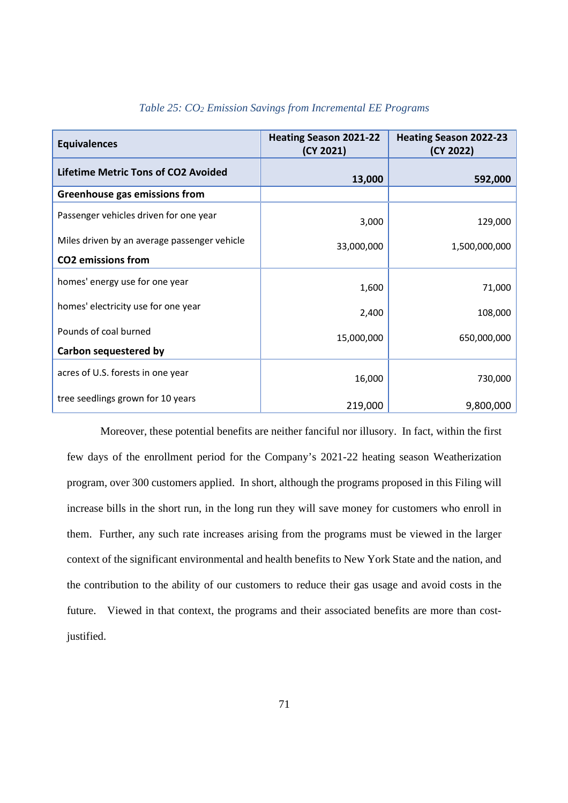| <b>Equivalences</b>                          | <b>Heating Season 2021-22</b><br>(CY 2021) | <b>Heating Season 2022-23</b><br>(CY 2022) |  |
|----------------------------------------------|--------------------------------------------|--------------------------------------------|--|
| <b>Lifetime Metric Tons of CO2 Avoided</b>   | 13,000                                     | 592,000                                    |  |
| Greenhouse gas emissions from                |                                            |                                            |  |
| Passenger vehicles driven for one year       | 3,000                                      | 129,000                                    |  |
| Miles driven by an average passenger vehicle | 33,000,000                                 | 1,500,000,000                              |  |
| <b>CO2</b> emissions from                    |                                            |                                            |  |
| homes' energy use for one year               | 1,600                                      | 71,000                                     |  |
| homes' electricity use for one year          | 2,400                                      | 108,000                                    |  |
| Pounds of coal burned                        | 15,000,000                                 | 650,000,000                                |  |
| Carbon sequestered by                        |                                            |                                            |  |
| acres of U.S. forests in one year            | 16,000                                     | 730,000                                    |  |
| tree seedlings grown for 10 years            | 219,000                                    | 9,800,000                                  |  |

## *Table 25: CO<sup>2</sup> Emission Savings from Incremental EE Programs*

Moreover, these potential benefits are neither fanciful nor illusory. In fact, within the first few days of the enrollment period for the Company's 2021-22 heating season Weatherization program, over 300 customers applied. In short, although the programs proposed in this Filing will increase bills in the short run, in the long run they will save money for customers who enroll in them. Further, any such rate increases arising from the programs must be viewed in the larger context of the significant environmental and health benefits to New York State and the nation, and the contribution to the ability of our customers to reduce their gas usage and avoid costs in the future. Viewed in that context, the programs and their associated benefits are more than costjustified.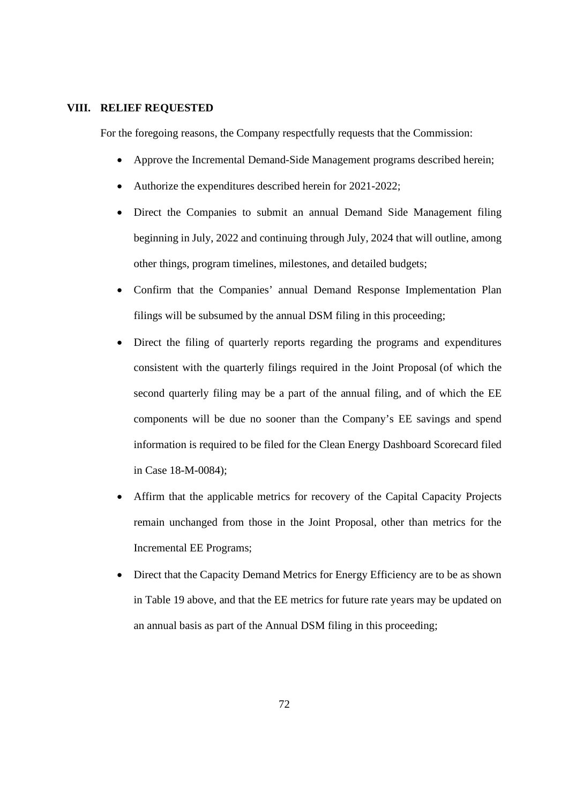#### **VIII. RELIEF REQUESTED**

For the foregoing reasons, the Company respectfully requests that the Commission:

- Approve the Incremental Demand-Side Management programs described herein;
- Authorize the expenditures described herein for 2021-2022;
- Direct the Companies to submit an annual Demand Side Management filing beginning in July, 2022 and continuing through July, 2024 that will outline, among other things, program timelines, milestones, and detailed budgets;
- Confirm that the Companies' annual Demand Response Implementation Plan filings will be subsumed by the annual DSM filing in this proceeding;
- Direct the filing of quarterly reports regarding the programs and expenditures consistent with the quarterly filings required in the Joint Proposal (of which the second quarterly filing may be a part of the annual filing, and of which the EE components will be due no sooner than the Company's EE savings and spend information is required to be filed for the Clean Energy Dashboard Scorecard filed in Case 18-M-0084);
- Affirm that the applicable metrics for recovery of the Capital Capacity Projects remain unchanged from those in the Joint Proposal, other than metrics for the Incremental EE Programs;
- Direct that the Capacity Demand Metrics for Energy Efficiency are to be as shown in Table 19 above, and that the EE metrics for future rate years may be updated on an annual basis as part of the Annual DSM filing in this proceeding;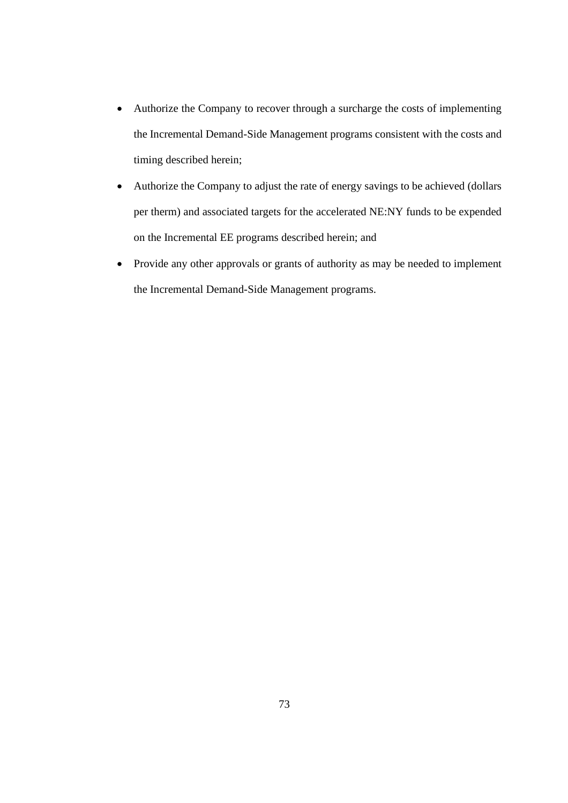- Authorize the Company to recover through a surcharge the costs of implementing the Incremental Demand-Side Management programs consistent with the costs and timing described herein;
- Authorize the Company to adjust the rate of energy savings to be achieved (dollars per therm) and associated targets for the accelerated NE:NY funds to be expended on the Incremental EE programs described herein; and
- Provide any other approvals or grants of authority as may be needed to implement the Incremental Demand-Side Management programs.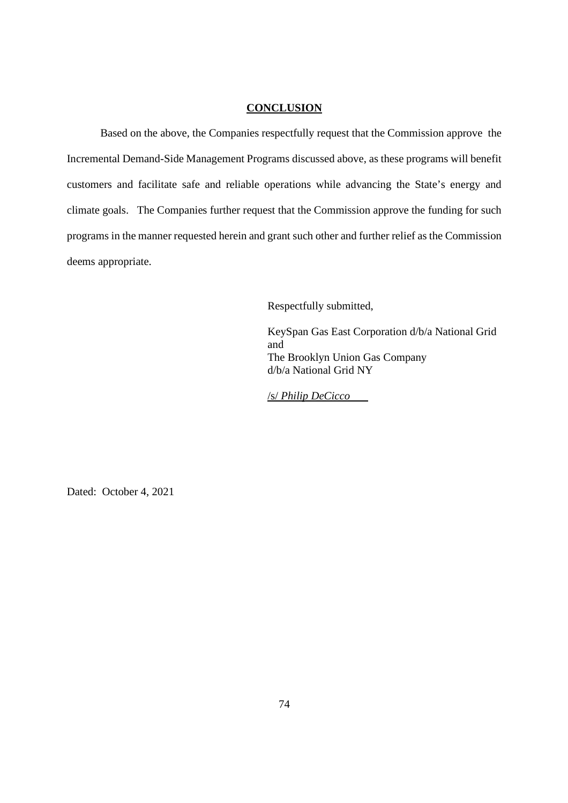## **CONCLUSION**

Based on the above, the Companies respectfully request that the Commission approve the Incremental Demand-Side Management Programs discussed above, as these programs will benefit customers and facilitate safe and reliable operations while advancing the State's energy and climate goals. The Companies further request that the Commission approve the funding for such programs in the manner requested herein and grant such other and further relief as the Commission deems appropriate.

Respectfully submitted,

KeySpan Gas East Corporation d/b/a National Grid and The Brooklyn Union Gas Company d/b/a National Grid NY

/s/ *Philip DeCicco*

Dated: October 4, 2021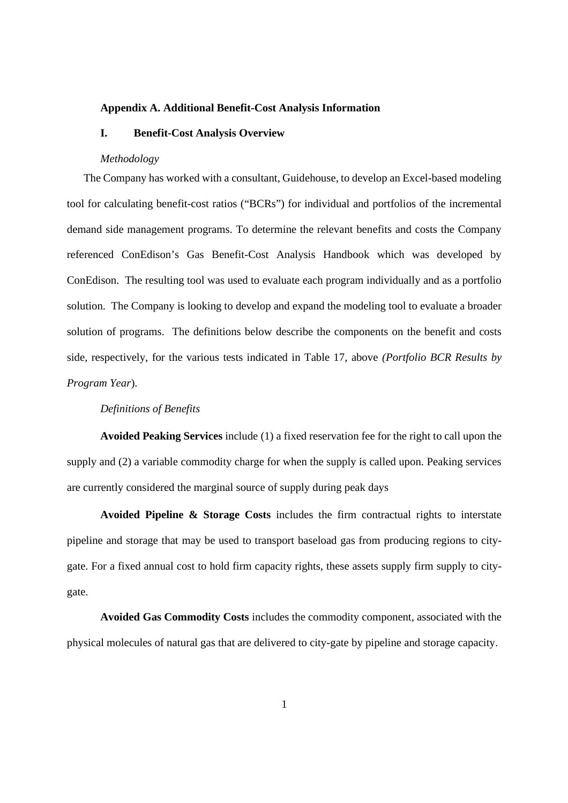#### **Appendix A. Additional Benefit-Cost Analysis Information**

## **I. Benefit-Cost Analysis Overview**

#### *Methodology*

The Company has worked with a consultant, Guidehouse, to develop an Excel-based modeling tool for calculating benefit-cost ratios ("BCRs") for individual and portfolios of the incremental demand side management programs. To determine the relevant benefits and costs the Company referenced ConEdison's Gas Benefit-Cost Analysis Handbook which was developed by ConEdison. The resulting tool was used to evaluate each program individually and as a portfolio solution. The Company is looking to develop and expand the modeling tool to evaluate a broader solution of programs. The definitions below describe the components on the benefit and costs side, respectively, for the various tests indicated in Table 17, above *(Portfolio BCR Results by Program Year*).

#### *Definitions of Benefits*

**Avoided Peaking Services** include (1) a fixed reservation fee for the right to call upon the supply and (2) a variable commodity charge for when the supply is called upon. Peaking services are currently considered the marginal source of supply during peak days

**Avoided Pipeline & Storage Costs** includes the firm contractual rights to interstate pipeline and storage that may be used to transport baseload gas from producing regions to citygate. For a fixed annual cost to hold firm capacity rights, these assets supply firm supply to citygate.

**Avoided Gas Commodity Costs** includes the commodity component, associated with the physical molecules of natural gas that are delivered to city-gate by pipeline and storage capacity.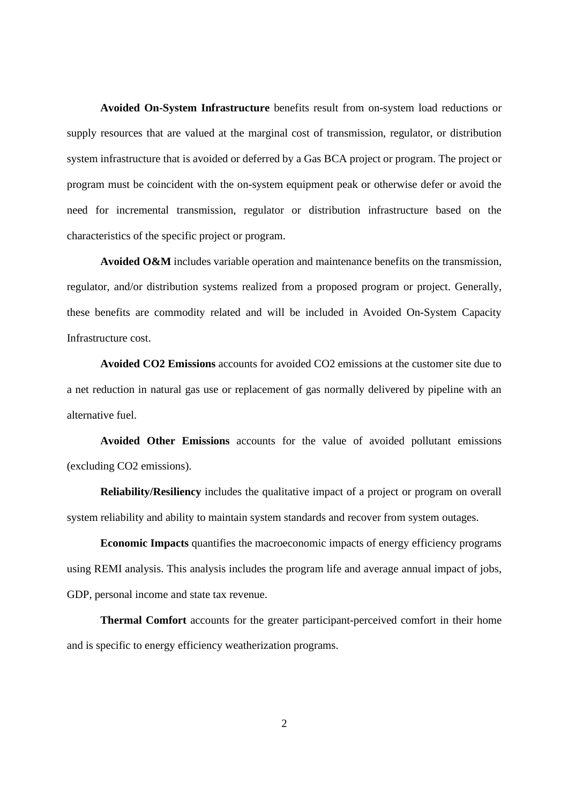**Avoided On-System Infrastructure** benefits result from on-system load reductions or supply resources that are valued at the marginal cost of transmission, regulator, or distribution system infrastructure that is avoided or deferred by a Gas BCA project or program. The project or program must be coincident with the on-system equipment peak or otherwise defer or avoid the need for incremental transmission, regulator or distribution infrastructure based on the characteristics of the specific project or program.

**Avoided O&M** includes variable operation and maintenance benefits on the transmission, regulator, and/or distribution systems realized from a proposed program or project. Generally, these benefits are commodity related and will be included in Avoided On-System Capacity Infrastructure cost.

**Avoided CO2 Emissions** accounts for avoided CO2 emissions at the customer site due to a net reduction in natural gas use or replacement of gas normally delivered by pipeline with an alternative fuel.

**Avoided Other Emissions** accounts for the value of avoided pollutant emissions (excluding CO2 emissions).

**Reliability/Resiliency** includes the qualitative impact of a project or program on overall system reliability and ability to maintain system standards and recover from system outages.

**Economic Impacts** quantifies the macroeconomic impacts of energy efficiency programs using REMI analysis. This analysis includes the program life and average annual impact of jobs, GDP, personal income and state tax revenue.

**Thermal Comfort** accounts for the greater participant-perceived comfort in their home and is specific to energy efficiency weatherization programs.

2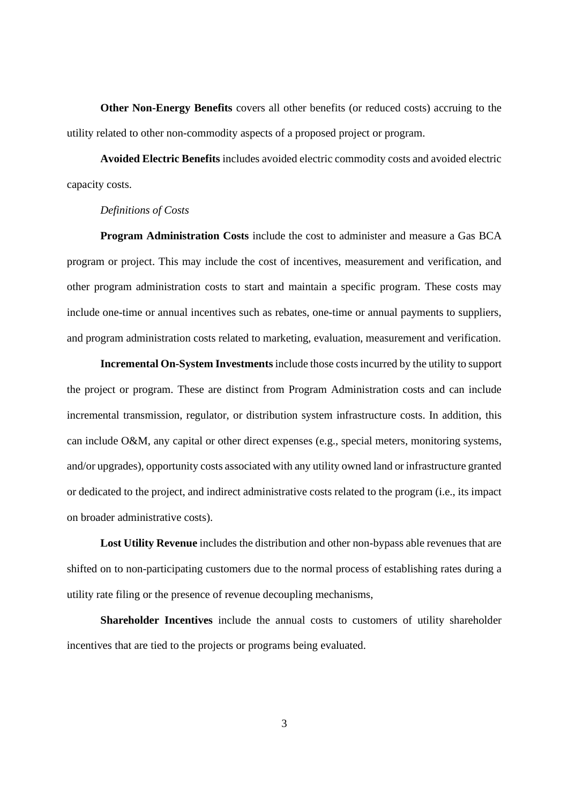**Other Non-Energy Benefits** covers all other benefits (or reduced costs) accruing to the utility related to other non-commodity aspects of a proposed project or program.

**Avoided Electric Benefits** includes avoided electric commodity costs and avoided electric capacity costs.

#### *Definitions of Costs*

**Program Administration Costs** include the cost to administer and measure a Gas BCA program or project. This may include the cost of incentives, measurement and verification, and other program administration costs to start and maintain a specific program. These costs may include one-time or annual incentives such as rebates, one-time or annual payments to suppliers, and program administration costs related to marketing, evaluation, measurement and verification.

**Incremental On-System Investments** include those costs incurred by the utility to support the project or program. These are distinct from Program Administration costs and can include incremental transmission, regulator, or distribution system infrastructure costs. In addition, this can include O&M, any capital or other direct expenses (e.g., special meters, monitoring systems, and/or upgrades), opportunity costs associated with any utility owned land or infrastructure granted or dedicated to the project, and indirect administrative costs related to the program (i.e., its impact on broader administrative costs).

**Lost Utility Revenue** includes the distribution and other non-bypass able revenues that are shifted on to non-participating customers due to the normal process of establishing rates during a utility rate filing or the presence of revenue decoupling mechanisms,

**Shareholder Incentives** include the annual costs to customers of utility shareholder incentives that are tied to the projects or programs being evaluated.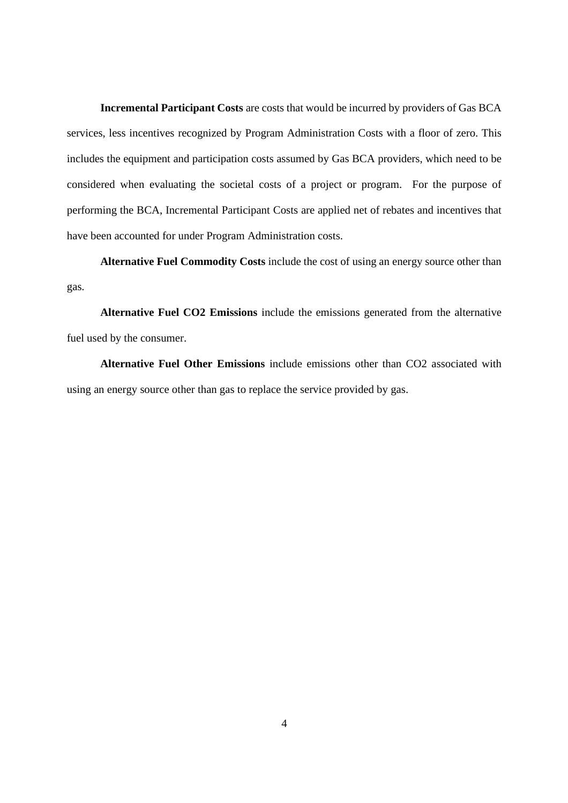**Incremental Participant Costs** are costs that would be incurred by providers of Gas BCA services, less incentives recognized by Program Administration Costs with a floor of zero. This includes the equipment and participation costs assumed by Gas BCA providers, which need to be considered when evaluating the societal costs of a project or program. For the purpose of performing the BCA, Incremental Participant Costs are applied net of rebates and incentives that have been accounted for under Program Administration costs.

**Alternative Fuel Commodity Costs** include the cost of using an energy source other than gas.

**Alternative Fuel CO2 Emissions** include the emissions generated from the alternative fuel used by the consumer.

**Alternative Fuel Other Emissions** include emissions other than CO2 associated with using an energy source other than gas to replace the service provided by gas.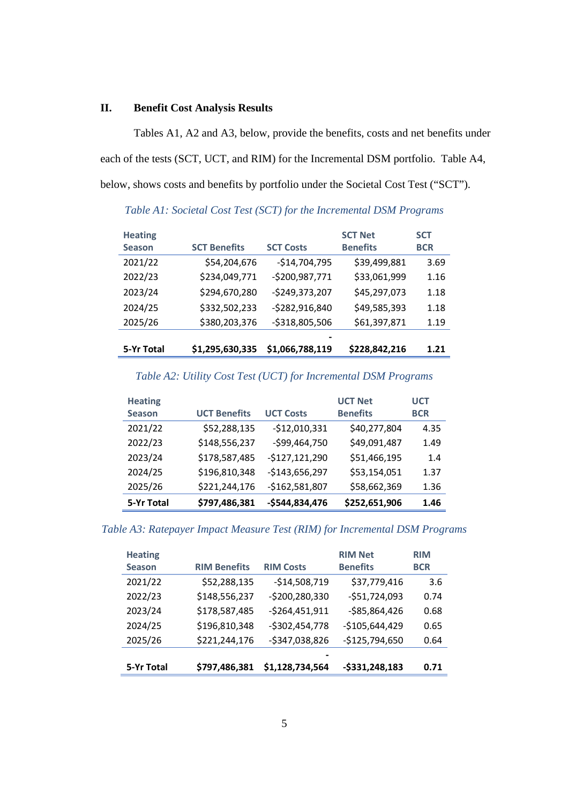## **II. Benefit Cost Analysis Results**

Tables A1, A2 and A3, below, provide the benefits, costs and net benefits under each of the tests (SCT, UCT, and RIM) for the Incremental DSM portfolio. Table A4, below, shows costs and benefits by portfolio under the Societal Cost Test ("SCT").

| <b>Heating</b> |                     |                  | <b>SCT Net</b>  | <b>SCT</b> |
|----------------|---------------------|------------------|-----------------|------------|
| <b>Season</b>  | <b>SCT Benefits</b> | <b>SCT Costs</b> | <b>Benefits</b> | <b>BCR</b> |
| 2021/22        | \$54,204,676        | $-$14,704,795$   | \$39,499,881    | 3.69       |
| 2022/23        | \$234,049,771       | -\$200,987,771   | \$33,061,999    | 1.16       |
| 2023/24        | \$294,670,280       | $-$249,373,207$  | \$45,297,073    | 1.18       |
| 2024/25        | \$332,502,233       | -\$282,916,840   | \$49,585,393    | 1.18       |
| 2025/26        | \$380,203,376       | $-5318,805,506$  | \$61,397,871    | 1.19       |
|                |                     |                  |                 |            |
| 5-Yr Total     | \$1,295,630,335     | \$1,066,788,119  | \$228,842,216   | 1.21       |

*Table A1: Societal Cost Test (SCT) for the Incremental DSM Programs*

## *Table A2: Utility Cost Test (UCT) for Incremental DSM Programs*

| <b>Heating</b><br><b>Season</b> | <b>UCT Benefits</b> | <b>UCT Costs</b> | <b>UCT Net</b><br><b>Benefits</b> | <b>UCT</b><br><b>BCR</b> |
|---------------------------------|---------------------|------------------|-----------------------------------|--------------------------|
| 2021/22                         | \$52,288,135        | $-$12,010,331$   | \$40,277,804                      | 4.35                     |
| 2022/23                         | \$148,556,237       | -\$99,464,750    | \$49,091,487                      | 1.49                     |
| 2023/24                         | \$178,587,485       | $-$127,121,290$  | \$51,466,195                      | 1.4                      |
| 2024/25                         | \$196,810,348       | $-$143,656,297$  | \$53,154,051                      | 1.37                     |
| 2025/26                         | \$221,244,176       | -\$162,581,807   | \$58,662,369                      | 1.36                     |
| 5-Yr Total                      | \$797,486,381       | $-$544,834,476$  | \$252,651,906                     | 1.46                     |

## *Table A3: Ratepayer Impact Measure Test (RIM) for Incremental DSM Programs*

|                     |                  | <b>RIM Net</b>  | <b>RIM</b> |
|---------------------|------------------|-----------------|------------|
| <b>RIM Benefits</b> | <b>RIM Costs</b> | <b>Benefits</b> | <b>BCR</b> |
| \$52,288,135        | $-$14,508,719$   | \$37,779,416    | 3.6        |
| \$148,556,237       | -\$200,280,330   | $-551,724,093$  | 0.74       |
| \$178,587,485       | $-$264,451,911$  | $-$85,864,426$  | 0.68       |
| \$196,810,348       | $-$302,454,778$  | $-$105,644,429$ | 0.65       |
| \$221,244,176       | -\$347,038,826   | $-$125,794,650$ | 0.64       |
|                     |                  |                 |            |
| \$797,486,381       | \$1,128,734,564  | $-5331,248,183$ | 0.71       |
|                     |                  |                 |            |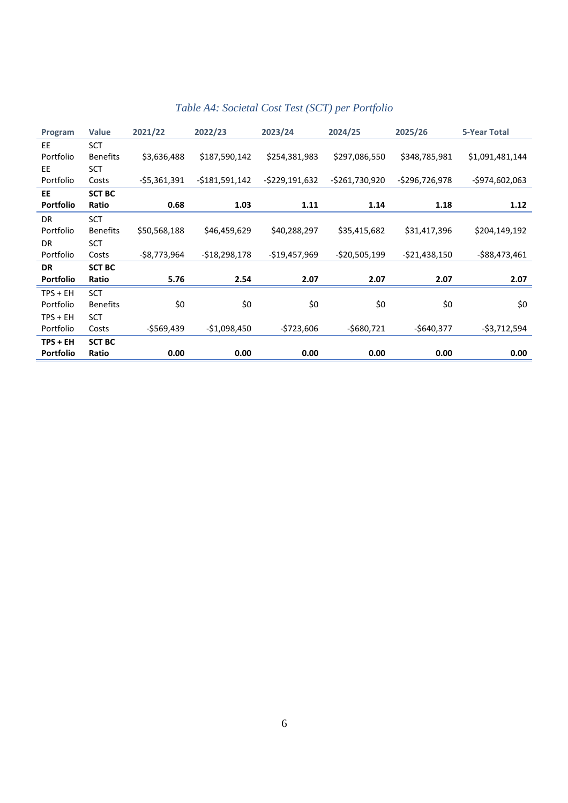| Program          | <b>Value</b>    | 2021/22       | 2022/23         | 2023/24         | 2024/25         | 2025/26         | 5-Year Total    |
|------------------|-----------------|---------------|-----------------|-----------------|-----------------|-----------------|-----------------|
| EE               | <b>SCT</b>      |               |                 |                 |                 |                 |                 |
| Portfolio        | <b>Benefits</b> | \$3,636,488   | \$187,590,142   | \$254,381,983   | \$297,086,550   | \$348,785,981   | \$1,091,481,144 |
| <b>EE</b>        | <b>SCT</b>      |               |                 |                 |                 |                 |                 |
| Portfolio        | Costs           | $-55,361,391$ | $-5181,591,142$ | $-5229,191,632$ | $-5261,730,920$ | $-5296,726,978$ | -\$974,602,063  |
| <b>EE</b>        | <b>SCT BC</b>   |               |                 |                 |                 |                 |                 |
| <b>Portfolio</b> | Ratio           | 0.68          | 1.03            | 1.11            | 1.14            | 1.18            | 1.12            |
| <b>DR</b>        | <b>SCT</b>      |               |                 |                 |                 |                 |                 |
| Portfolio        | <b>Benefits</b> | \$50,568,188  | \$46,459,629    | \$40,288,297    | \$35,415,682    | \$31,417,396    | \$204,149,192   |
| <b>DR</b>        | <b>SCT</b>      |               |                 |                 |                 |                 |                 |
| Portfolio        | Costs           | -\$8,773,964  | $-518,298,178$  | $-$19,457,969$  | $-520,505,199$  | $-521,438,150$  | $-588,473,461$  |
| <b>DR</b>        | <b>SCT BC</b>   |               |                 |                 |                 |                 |                 |
| <b>Portfolio</b> | Ratio           | 5.76          | 2.54            | 2.07            | 2.07            | 2.07            | 2.07            |
| $TPS + EH$       | <b>SCT</b>      |               |                 |                 |                 |                 |                 |
| Portfolio        | <b>Benefits</b> | \$0           | \$0             | \$0             | \$0             | \$0             | \$0             |
| $TPS + EH$       | <b>SCT</b>      |               |                 |                 |                 |                 |                 |
| Portfolio        | Costs           | -\$569,439    | $-51,098,450$   | $-5723,606$     | $-5680,721$     | $-5640,377$     | -\$3,712,594    |
| $TPS + EH$       | <b>SCT BC</b>   |               |                 |                 |                 |                 |                 |
| <b>Portfolio</b> | Ratio           | 0.00          | 0.00            | 0.00            | 0.00            | 0.00            | 0.00            |

# *Table A4: Societal Cost Test (SCT) per Portfolio*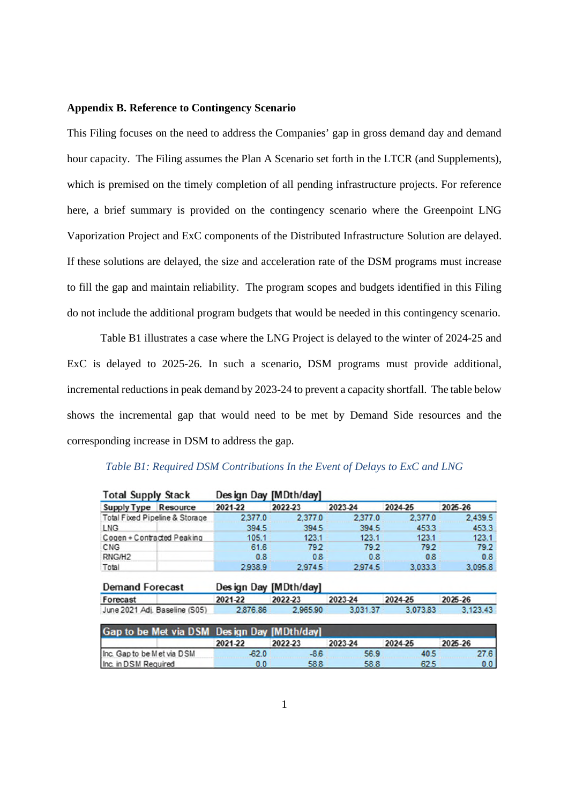### **Appendix B. Reference to Contingency Scenario**

This Filing focuses on the need to address the Companies' gap in gross demand day and demand hour capacity. The Filing assumes the Plan A Scenario set forth in the LTCR (and Supplements), which is premised on the timely completion of all pending infrastructure projects. For reference here, a brief summary is provided on the contingency scenario where the Greenpoint LNG Vaporization Project and ExC components of the Distributed Infrastructure Solution are delayed. If these solutions are delayed, the size and acceleration rate of the DSM programs must increase to fill the gap and maintain reliability. The program scopes and budgets identified in this Filing do not include the additional program budgets that would be needed in this contingency scenario.

Table B1 illustrates a case where the LNG Project is delayed to the winter of 2024-25 and ExC is delayed to 2025-26. In such a scenario, DSM programs must provide additional, incremental reductions in peak demand by 2023-24 to prevent a capacity shortfall. The table below shows the incremental gap that would need to be met by Demand Side resources and the corresponding increase in DSM to address the gap.

| <b>Total Supply Stack</b>      |         | Design Day [MDth/day] |         |          |         |
|--------------------------------|---------|-----------------------|---------|----------|---------|
| Supply Type<br>Resource        | 2021-22 | 2022-23               | 2023-24 | 2024-25  | 2025-26 |
| Total Fixed Pipeline & Storage | 2,377.0 | 2.377.0               | 2,377.0 | 2.377.0  | 2.439.5 |
| <b>LNG</b>                     | 394.5   | 394.5                 | 394.5   | 453.3    | 453.3   |
| Cogen + Contracted Peaking     | 105.1   | 123.1                 | 123.1   | 123.1    | 123.1   |
| CNG                            | 61.6    | 79.2                  | 79.2    | 79.2     | 79.2    |
| RNG/H <sub>2</sub>             | 0.8     | 0.8                   | 0.8     | 0.8      | 0.8     |
| Total                          | 29389   | 29745                 | 29745   | उ ० २२ २ | 3.095.8 |

| Table B1: Required DSM Contributions In the Event of Delays to ExC and LNG |  |  |
|----------------------------------------------------------------------------|--|--|
|----------------------------------------------------------------------------|--|--|

| <b>Demand Forecast</b>        |          | Design Day [MDth/day] |          |          |          |
|-------------------------------|----------|-----------------------|----------|----------|----------|
| Forecast                      | 2021-22  | 2022-23               | 2023-24  | 2024-25  | 2025-26  |
| June 2021 Adi. Baseline (S05) | 2,876.86 | 2.965.90              | 3.031.37 | 3.073.83 | 3.123.43 |

|                            | Gap to be Met via DSM Design Day [MDth/day] |         |         |         |         |  |  |  |
|----------------------------|---------------------------------------------|---------|---------|---------|---------|--|--|--|
|                            | 2021-22                                     | 2022-23 | 2023-24 | 2024-25 | 2025-26 |  |  |  |
| Inc. Gap to be Met via DSM | $-62.0$                                     | -86     | 56.9    | 40.5    | 27.61   |  |  |  |
| Inc. in DSM Required       | 0.0                                         | 58.8    | 58.8    | 62.5    | 0.0     |  |  |  |